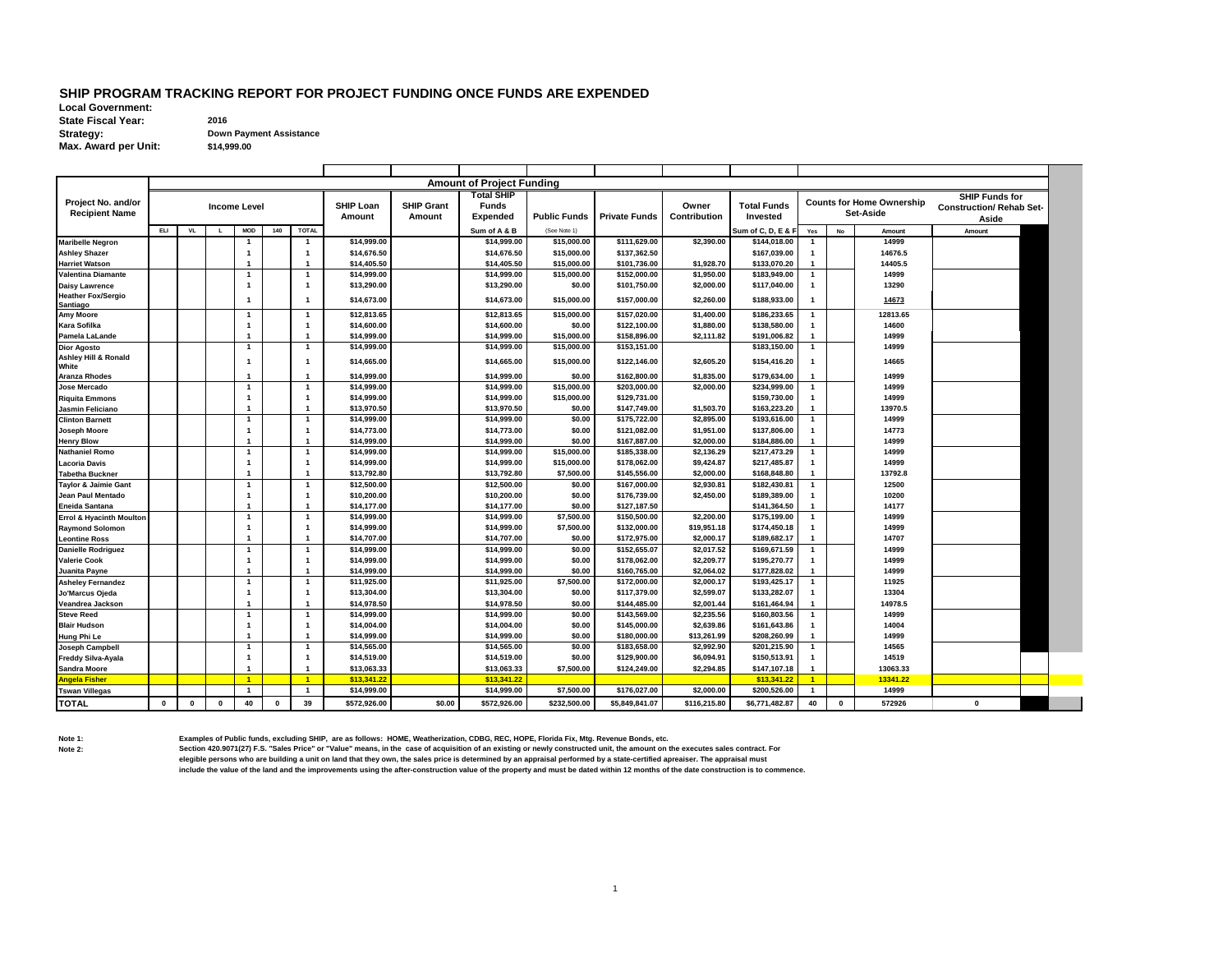## **SHIP PROGRAM TRACKING REPORT FOR PROJECT FUNDING ONCE FUNDS ARE EXPENDED**

**Local Government: State Fiscal Year: 2016 Strategy: Down Payment Assistance Max. Award per Unit:**

**\$14,999.00**

|                                      |             |           |             |                                         |              |                                  |                            |                   | <b>Amount of Project Funding</b> |                          |                              |                           |                              |                              |             |                                  |                                 |  |
|--------------------------------------|-------------|-----------|-------------|-----------------------------------------|--------------|----------------------------------|----------------------------|-------------------|----------------------------------|--------------------------|------------------------------|---------------------------|------------------------------|------------------------------|-------------|----------------------------------|---------------------------------|--|
|                                      |             |           |             |                                         |              |                                  |                            |                   | <b>Total SHIP</b>                |                          |                              |                           |                              |                              |             |                                  | <b>SHIP Funds for</b>           |  |
| Project No. and/or                   |             |           |             | <b>Income Level</b>                     |              |                                  | <b>SHIP Loan</b>           | <b>SHIP Grant</b> | <b>Funds</b>                     |                          |                              | Owner                     | <b>Total Funds</b>           |                              |             | <b>Counts for Home Ownership</b> | <b>Construction/ Rehab Set-</b> |  |
| <b>Recipient Name</b>                |             |           |             |                                         |              |                                  | Amount                     | Amount            | <b>Expended</b>                  | <b>Public Funds</b>      | <b>Private Funds</b>         | Contribution              | Invested                     |                              |             | <b>Set-Aside</b>                 | Aside                           |  |
|                                      | ELI         | <b>VL</b> | L           | <b>MOD</b>                              | 140          | <b>TOTAL</b>                     |                            |                   | Sum of A & B                     | (See Note 1)             |                              |                           | Sum of C, D, E & F           | Yes                          | <b>No</b>   | Amount                           | Amount                          |  |
| <b>Maribelle Negron</b>              |             |           |             |                                         |              | $\overline{1}$                   | \$14,999.00                |                   | \$14,999.00                      | \$15,000.00              | \$111,629.00                 | \$2,390.00                | \$144,018.00                 | $\overline{1}$               |             | 14999                            |                                 |  |
| <b>Ashley Shazer</b>                 |             |           |             | $\mathbf{1}$                            |              | $\overline{1}$                   | \$14,676.50                |                   | \$14,676.50                      | \$15,000.00              | \$137,362.50                 |                           | \$167,039.00                 | $\mathbf{1}$                 |             | 14676.5                          |                                 |  |
| <b>Harriet Watson</b>                |             |           |             |                                         |              | $\overline{1}$                   | \$14,405.50                |                   | \$14,405.50                      | \$15,000.00              | \$101,736.00                 | \$1.928.70                | \$133,070.20                 | $\blacktriangleleft$         |             | 14405.5                          |                                 |  |
| <b>Valentina Diamante</b>            |             |           |             | $\mathbf{1}$                            |              | $\overline{1}$                   | \$14,999.00                |                   | \$14,999.00                      | \$15,000.00              | \$152,000.00                 | \$1,950.00                | \$183,949.00                 | $\mathbf{1}$                 |             | 14999                            |                                 |  |
| <b>Daisy Lawrence</b>                |             |           |             |                                         |              | $\overline{1}$                   | \$13,290.00                |                   | \$13,290.00                      | \$0.00                   | \$101,750.00                 | \$2,000.00                | \$117,040.00                 |                              |             | 13290                            |                                 |  |
| <b>Heather Fox/Sergio</b>            |             |           |             |                                         |              |                                  |                            |                   |                                  |                          |                              |                           |                              |                              |             |                                  |                                 |  |
| Santiago                             |             |           |             | $\mathbf{1}$                            |              | $\overline{1}$                   | \$14,673.00                |                   | \$14,673.00                      | \$15,000.00              | \$157,000.00                 | \$2,260.00                | \$188,933.00                 |                              |             | 14673                            |                                 |  |
| <b>Amy Moore</b>                     |             |           |             | $\mathbf{1}$                            |              | $\overline{1}$                   | \$12,813.65                |                   | \$12,813.65                      | \$15,000.00              | \$157,020.00                 | \$1,400.00                | \$186,233.65                 | 1                            |             | 12813.65                         |                                 |  |
| <b>Kara Sofilka</b>                  |             |           |             | $\overline{\mathbf{1}}$                 |              | $\overline{1}$                   | \$14,600.00                |                   | \$14,600.00                      | \$0.00                   | \$122,100.00                 | \$1,880.00                | \$138,580.00                 | $\mathbf{1}$                 |             | 14600                            |                                 |  |
| Pamela LaLande                       |             |           |             | $\mathbf{1}$                            |              | $\overline{1}$                   | \$14,999.00                |                   | \$14,999.00                      | \$15,000.00              | \$158,896.00                 | \$2,111.82                | \$191,006.82                 | $\mathbf{1}$                 |             | 14999                            |                                 |  |
| <b>Dior Agosto</b>                   |             |           |             | -1                                      |              | $\overline{1}$                   | \$14,999.00                |                   | \$14,999.00                      | \$15,000.00              | \$153,151.00                 |                           | \$183,150.00                 | 1                            |             | 14999                            |                                 |  |
| <b>Ashley Hill &amp; Ronald</b>      |             |           |             | -1                                      |              | $\overline{1}$                   | \$14,665.00                |                   | \$14,665.00                      | \$15,000.00              | \$122,146.00                 | \$2,605.20                | \$154,416.20                 | -1                           |             | 14665                            |                                 |  |
| White                                |             |           |             |                                         |              |                                  |                            |                   |                                  |                          |                              |                           |                              |                              |             |                                  |                                 |  |
| <b>Aranza Rhodes</b>                 |             |           |             |                                         |              | $\mathbf{1}$                     | \$14,999.00                |                   | \$14,999.00                      | \$0.00                   | \$162,800.00                 | \$1,835.00                | \$179,634.00                 | $\mathbf{1}$                 |             | 14999                            |                                 |  |
| Jose Mercado                         |             |           |             | -1                                      |              | $\overline{1}$                   | \$14,999.00                |                   | \$14,999.00                      | \$15,000.00              | \$203,000.00                 | \$2,000.00                | \$234,999.00                 | $\mathbf{1}$                 |             | 14999                            |                                 |  |
| <b>Riquita Emmons</b>                |             |           |             | -1                                      |              | $\mathbf{1}$                     | \$14,999.00                |                   | \$14.999.00                      | \$15,000.00              | \$129,731.00                 |                           | \$159,730.00                 |                              |             | 14999                            |                                 |  |
| Jasmin Feliciano                     |             |           |             |                                         |              | $\overline{1}$                   | \$13,970.50                |                   | \$13,970.50                      | \$0.00                   | \$147,749.00                 | \$1,503.70                | \$163,223.20                 |                              |             | 13970.5                          |                                 |  |
| <b>Clinton Barnett</b>               |             |           |             | -1                                      |              | $\mathbf{1}$                     | \$14,999.00                |                   | \$14,999.00                      | \$0.00                   | \$175,722.00                 | \$2.895.00                | \$193,616.00                 | $\mathbf{1}$                 |             | 14999                            |                                 |  |
| <b>Joseph Moore</b>                  |             |           |             |                                         |              | $\overline{1}$                   | \$14,773.00                |                   | \$14,773.00                      | \$0.00                   | \$121.082.00                 | \$1.951.00                | \$137,806.00                 |                              |             | 14773                            |                                 |  |
| <b>Henry Blow</b>                    |             |           |             |                                         |              | $\mathbf{1}$                     | \$14,999.00                |                   | \$14,999.00                      | \$0.00                   | \$167.887.00                 | \$2,000.00                | \$184,886,00                 |                              |             | 14999                            |                                 |  |
| <b>Nathaniel Romo</b>                |             |           |             |                                         |              | $\overline{1}$                   | \$14,999.00                |                   | \$14,999.00                      | \$15,000.00              | \$185,338.00                 | \$2,136.29                | \$217,473.29                 | $\mathbf{1}$                 |             | 14999                            |                                 |  |
| Lacoria Davis                        |             |           |             |                                         |              | $\overline{1}$                   | \$14,999.00                |                   | \$14.999.00                      | \$15,000.00              | \$178,062.00                 | \$9,424.87                | \$217,485.87                 |                              |             | 14999                            |                                 |  |
| <b>Tabetha Buckner</b>               |             |           |             | $\mathbf{1}$                            |              | $\overline{1}$                   | \$13,792.80                |                   | \$13,792.80                      | \$7,500.00               | \$145,556.00                 | \$2.000.00                | \$168,848.80                 | $\mathbf{1}$                 |             | 13792.8                          |                                 |  |
| <b>Taylor &amp; Jaimie Gant</b>      |             |           |             |                                         |              | $\overline{1}$                   | \$12,500.00                |                   | \$12,500.00                      | \$0.00                   | \$167,000.00                 | \$2,930.81                | \$182,430.81                 | $\mathbf{1}$                 |             | 12500                            |                                 |  |
| Jean Paul Mentado                    |             |           |             | $\mathbf{1}$                            |              | $\overline{1}$<br>$\mathbf{1}$   | \$10,200.00<br>\$14,177.00 |                   | \$10,200.00                      | \$0.00<br>\$0.00         | \$176,739.00<br>\$127,187.50 | \$2,450.00                | \$189,389.00                 | $\mathbf{1}$<br>$\mathbf{1}$ |             | 10200                            |                                 |  |
| <b>Eneida Santana</b>                |             |           |             |                                         |              |                                  |                            |                   | \$14,177.00                      |                          |                              |                           | \$141,364.50                 | $\mathbf{1}$                 |             | 14177                            |                                 |  |
| <b>Errol &amp; Hyacinth Moulton</b>  |             |           |             | $\overline{\mathbf{1}}$<br>$\mathbf{1}$ |              | $\overline{1}$<br>$\overline{1}$ | \$14,999.00<br>\$14,999.00 |                   | \$14,999.00<br>\$14,999.00       | \$7,500.00<br>\$7,500.00 | \$150,500.00<br>\$132,000.00 | \$2,200.00<br>\$19,951.18 | \$175,199.00<br>\$174,450.18 | $\mathbf{1}$                 |             | 14999<br>14999                   |                                 |  |
| <b>Raymond Solomon</b>               |             |           |             |                                         |              | $\overline{1}$                   | \$14,707.00                |                   | \$14,707.00                      | \$0.00                   | \$172,975.00                 | \$2.000.17                | \$189,682.17                 |                              |             | 14707                            |                                 |  |
| <b>Leontine Ross</b>                 |             |           |             | -1                                      |              | $\mathbf{1}$                     | \$14,999.00                |                   | \$14,999.00                      | \$0.00                   | \$152,655.07                 | \$2,017.52                | \$169,671.59                 | 1                            |             | 14999                            |                                 |  |
| <b>Danielle Rodriguez</b>            |             |           |             | $\overline{\mathbf{1}}$                 |              | $\overline{1}$                   | \$14,999.00                |                   | \$14,999.00                      | \$0.00                   | \$178,062.00                 | \$2,209.77                | \$195,270.77                 |                              |             | 14999                            |                                 |  |
| <b>Valerie Cook</b><br>Juanita Pavne |             |           |             |                                         |              | $\overline{1}$                   | \$14.999.00                |                   | \$14,999.00                      | \$0.00                   | \$160,765.00                 | \$2.064.02                | \$177,828.02                 |                              |             | 14999                            |                                 |  |
| <b>Asheley Fernandez</b>             |             |           |             | -1                                      |              | $\mathbf{1}$                     | \$11,925.00                |                   | \$11,925.00                      | \$7,500.00               | \$172,000.00                 | \$2,000.17                | \$193,425.17                 | $\mathbf{1}$                 |             | 11925                            |                                 |  |
| Jo'Marcus Ojeda                      |             |           |             |                                         |              | $\mathbf{1}$                     | \$13,304.00                |                   | \$13,304.00                      | \$0.00                   | \$117,379.00                 | \$2.599.07                | \$133,282.07                 |                              |             | 13304                            |                                 |  |
| Veandrea Jackson                     |             |           |             | -1                                      |              | $\overline{1}$                   | \$14,978.50                |                   | \$14,978.50                      | \$0.00                   | \$144,485.00                 | \$2,001.44                | \$161,464.94                 |                              |             | 14978.5                          |                                 |  |
| <b>Steve Reed</b>                    |             |           |             | -1                                      |              | $\mathbf{1}$                     | \$14,999.00                |                   | \$14,999.00                      | \$0.00                   | \$143,569.00                 | \$2,235.56                | \$160,803.56                 | $\mathbf{1}$                 |             | 14999                            |                                 |  |
| <b>Blair Hudson</b>                  |             |           |             | $\overline{\mathbf{1}}$                 |              | $\mathbf{1}$                     | \$14,004.00                |                   | \$14,004.00                      | \$0.00                   | \$145,000.00                 | \$2,639.86                | \$161,643.86                 |                              |             | 14004                            |                                 |  |
| Hung Phi Le                          |             |           |             |                                         |              | $\overline{1}$                   | \$14,999.00                |                   | \$14,999.00                      | \$0.00                   | \$180,000.00                 | \$13,261.99               | \$208,260.99                 |                              |             | 14999                            |                                 |  |
| <b>Joseph Campbell</b>               |             |           |             |                                         |              | $\mathbf{1}$                     | \$14,565.00                |                   | \$14,565.00                      | \$0.00                   | \$183,658.00                 | \$2,992.90                | \$201,215.90                 | $\mathbf{1}$                 |             | 14565                            |                                 |  |
| <b>Freddy Silva-Ayala</b>            |             |           |             |                                         |              | $\overline{1}$                   | \$14,519.00                |                   | \$14,519.00                      | \$0.00                   | \$129,900.00                 | \$6,094.91                | \$150,513.91                 |                              |             | 14519                            |                                 |  |
| <b>Sandra Moore</b>                  |             |           |             |                                         |              | $\mathbf{1}$                     | \$13.063.33                |                   | \$13,063.33                      | \$7,500.00               | \$124,249.00                 | \$2.294.85                | \$147,107.18                 |                              |             | 13063.33                         |                                 |  |
| Angela Fisher                        |             |           |             | $\blacksquare$                          |              | $\overline{1}$                   | \$13,341.22                |                   | \$13,341.22                      |                          |                              |                           | \$13,341.22                  | $\blacktriangleleft$         |             | 13341.22                         |                                 |  |
| <b>Tswan Villegas</b>                |             |           |             |                                         |              | $\overline{1}$                   | \$14,999.00                |                   | \$14,999.00                      | \$7,500.00               | \$176,027.00                 | \$2,000.00                | \$200,526.00                 | $\blacktriangleleft$         |             | 14999                            |                                 |  |
|                                      |             |           |             |                                         | $\mathbf{0}$ |                                  |                            |                   |                                  | \$232.500.00             |                              | \$116,215.80              |                              | 40                           |             | 572926                           |                                 |  |
| <b>TOTAL</b>                         | $\mathbf 0$ | $\bf{0}$  | $\mathbf 0$ | 40                                      |              | 39                               | \$572,926.00               | \$0.00            | \$572,926.00                     |                          | \$5,849,841.07               |                           | \$6,771,482.87               |                              | $\mathbf 0$ |                                  | 0                               |  |

Examples of Public funds, excluding SHIP, are as follows: HOME, Weatherization, CDBG, REC, HOPE, Florida Fix, Mtg. Revenue Bonds, etc.<br>Section 420.9071(27) F.S. "Sales Price" or "Value" means, in the case of acquisitio

**elegible persons who are building a unit on land that they own, the sales price is determined by an appraisal performed by a state-certified apreaiser. The appraisal must include the value of the land and the improvements using the after-construction value of the property and must be dated within 12 months of the date construction is to commence.**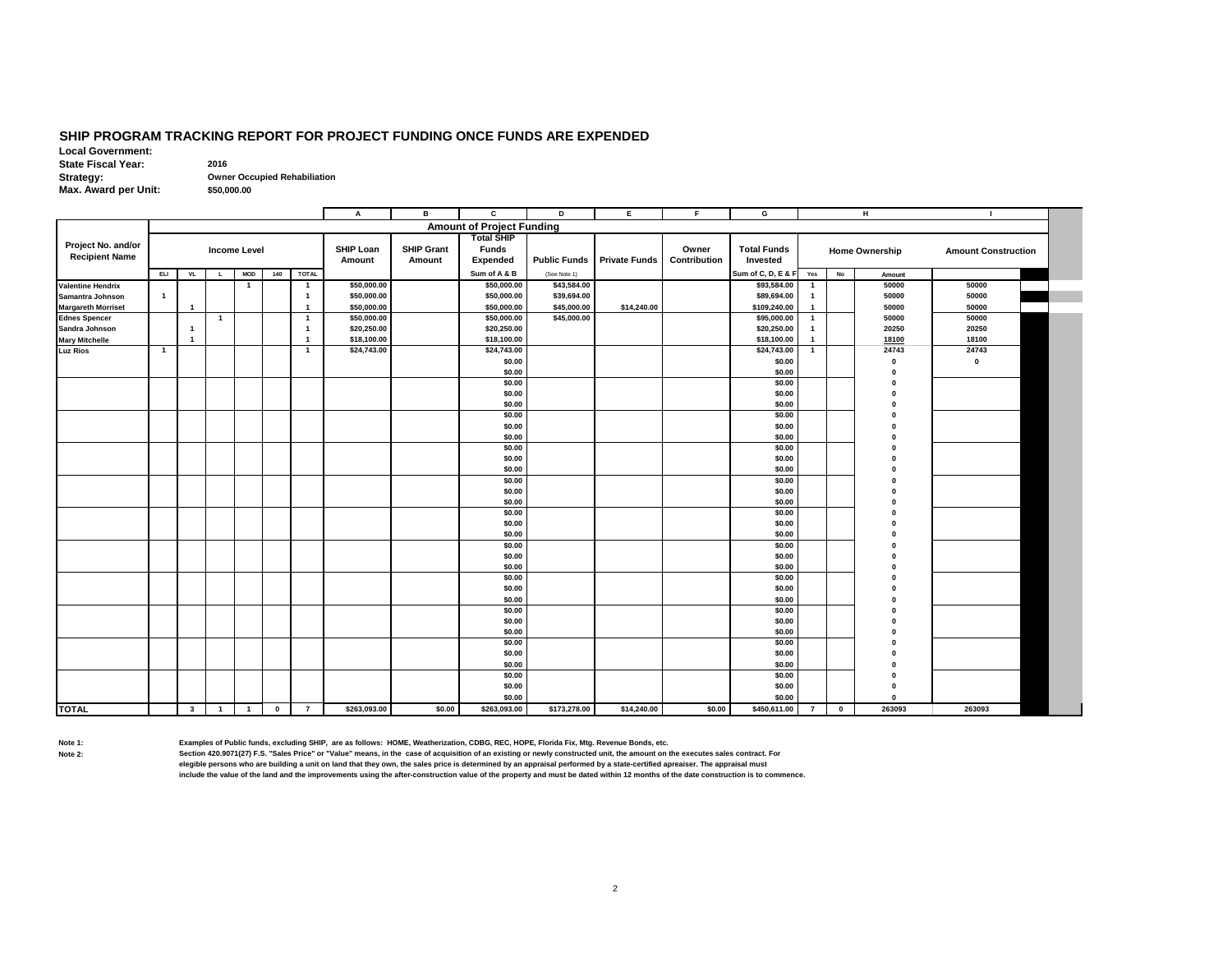# **SHIP PROGRAM TRACKING REPORT FOR PROJECT FUNDING ONCE FUNDS ARE EXPENDED**

**Local Government: State Fiscal Year:** 2016<br>**Strategy:** Owne **Strategy: Owner Occupied Rehabiliation \$50,000.00**

**Max. Award per Unit:**

|                           |                |                         |                |                     |              |                         | А                | в                 | c                                | D                   | Е                    | F            | G                  |                |             | н                     |                            |  |
|---------------------------|----------------|-------------------------|----------------|---------------------|--------------|-------------------------|------------------|-------------------|----------------------------------|---------------------|----------------------|--------------|--------------------|----------------|-------------|-----------------------|----------------------------|--|
|                           |                |                         |                |                     |              |                         |                  |                   | <b>Amount of Project Funding</b> |                     |                      |              |                    |                |             |                       |                            |  |
|                           |                |                         |                |                     |              |                         |                  |                   | <b>Total SHIP</b>                |                     |                      |              |                    |                |             |                       |                            |  |
| Project No. and/or        |                |                         |                | <b>Income Level</b> |              |                         | <b>SHIP Loan</b> | <b>SHIP Grant</b> | <b>Funds</b>                     |                     |                      | Owner        | <b>Total Funds</b> |                |             | <b>Home Ownership</b> | <b>Amount Construction</b> |  |
| <b>Recipient Name</b>     |                |                         |                |                     |              |                         | Amount           | Amount            | <b>Expended</b>                  | <b>Public Funds</b> | <b>Private Funds</b> | Contribution | Invested           |                |             |                       |                            |  |
|                           | ELI            | <b>VL</b>               | $\mathsf{L}$   | <b>MOD</b>          | 140          | <b>TOTAL</b>            |                  |                   | Sum of A & B                     | (See Note 1)        |                      |              | Sum of C, D, E & F | Yes            | No          | Amount                |                            |  |
| <b>Valentine Hendrix</b>  |                |                         |                | $\mathbf{1}$        |              | $\overline{\mathbf{1}}$ | \$50,000.00      |                   | \$50,000.00                      | \$43,584.00         |                      |              | \$93,584.00        | $\mathbf{1}$   |             | 50000                 | 50000                      |  |
| Samantra Johnson          | $\mathbf{1}$   |                         |                |                     |              | -1                      | \$50,000.00      |                   | \$50,000.00                      | \$39,694.00         |                      |              | \$89,694.00        | $\mathbf{1}$   |             | 50000                 | 50000                      |  |
| <b>Margareth Morriset</b> |                | $\overline{1}$          |                |                     |              | -1                      | \$50,000.00      |                   | \$50,000.00                      | \$45,000.00         | \$14,240.00          |              | \$109,240.00       | $\mathbf{1}$   |             | 50000                 | 50000                      |  |
| <b>Ednes Spencer</b>      |                |                         | $\overline{1}$ |                     |              | $\overline{\mathbf{1}}$ | \$50,000.00      |                   | \$50,000.00                      | \$45,000.00         |                      |              | \$95,000.00        | $\mathbf{1}$   |             | 50000                 | 50000                      |  |
| Sandra Johnson            |                | $\mathbf{1}$            |                |                     |              | -1                      | \$20,250.00      |                   | \$20,250.00                      |                     |                      |              | \$20,250.00        | $\mathbf{1}$   |             | 20250                 | 20250                      |  |
| <b>Mary Mitchelle</b>     |                | 1                       |                |                     |              | r.                      | \$18,100.00      |                   | \$18,100.00                      |                     |                      |              | \$18,100.00        | $\mathbf{1}$   |             | 18100                 | 18100                      |  |
| <b>Luz Rios</b>           | $\overline{1}$ |                         |                |                     |              | $\overline{\mathbf{1}}$ | \$24,743.00      |                   | \$24,743.00                      |                     |                      |              | \$24,743.00        | $\mathbf{1}$   |             | 24743                 | 24743                      |  |
|                           |                |                         |                |                     |              |                         |                  |                   | \$0.00                           |                     |                      |              | \$0.00             |                |             | $\bf{0}$              | $\mathbf 0$                |  |
|                           |                |                         |                |                     |              |                         |                  |                   | \$0.00                           |                     |                      |              | \$0.00             |                |             | $\Omega$              |                            |  |
|                           |                |                         |                |                     |              |                         |                  |                   | \$0.00                           |                     |                      |              | \$0.00             |                |             |                       |                            |  |
|                           |                |                         |                |                     |              |                         |                  |                   | \$0.00                           |                     |                      |              | \$0.00             |                |             | O                     |                            |  |
|                           |                |                         |                |                     |              |                         |                  |                   | \$0.00                           |                     |                      |              | \$0.00             |                |             |                       |                            |  |
|                           |                |                         |                |                     |              |                         |                  |                   | \$0.00                           |                     |                      |              | \$0.00             |                |             |                       |                            |  |
|                           |                |                         |                |                     |              |                         |                  |                   | \$0.00                           |                     |                      |              | \$0.00             |                |             |                       |                            |  |
|                           |                |                         |                |                     |              |                         |                  |                   | \$0.00                           |                     |                      |              | \$0.00             |                |             |                       |                            |  |
|                           |                |                         |                |                     |              |                         |                  |                   | \$0.00                           |                     |                      |              | \$0.00             |                |             |                       |                            |  |
|                           |                |                         |                |                     |              |                         |                  |                   | \$0.00                           |                     |                      |              | \$0.00             |                |             |                       |                            |  |
|                           |                |                         |                |                     |              |                         |                  |                   | \$0.00                           |                     |                      |              | \$0.00             |                |             |                       |                            |  |
|                           |                |                         |                |                     |              |                         |                  |                   | \$0.00                           |                     |                      |              | \$0.00             |                |             |                       |                            |  |
|                           |                |                         |                |                     |              |                         |                  |                   | \$0.00<br>\$0.00                 |                     |                      |              | \$0.00<br>\$0.00   |                |             |                       |                            |  |
|                           |                |                         |                |                     |              |                         |                  |                   | \$0.00                           |                     |                      |              | \$0.00             |                |             |                       |                            |  |
|                           |                |                         |                |                     |              |                         |                  |                   | \$0.00                           |                     |                      |              | \$0.00             |                |             |                       |                            |  |
|                           |                |                         |                |                     |              |                         |                  |                   | \$0.00                           |                     |                      |              | \$0.00             |                |             |                       |                            |  |
|                           |                |                         |                |                     |              |                         |                  |                   | \$0.00                           |                     |                      |              | \$0.00             |                |             |                       |                            |  |
|                           |                |                         |                |                     |              |                         |                  |                   | \$0.00                           |                     |                      |              | \$0.00             |                |             |                       |                            |  |
|                           |                |                         |                |                     |              |                         |                  |                   | \$0.00                           |                     |                      |              | \$0.00             |                |             |                       |                            |  |
|                           |                |                         |                |                     |              |                         |                  |                   | \$0.00                           |                     |                      |              | \$0.00             |                |             |                       |                            |  |
|                           |                |                         |                |                     |              |                         |                  |                   | \$0.00                           |                     |                      |              | \$0.00             |                |             |                       |                            |  |
|                           |                |                         |                |                     |              |                         |                  |                   | \$0.00                           |                     |                      |              | \$0.00             |                |             |                       |                            |  |
|                           |                |                         |                |                     |              |                         |                  |                   | \$0.00                           |                     |                      |              | \$0.00             |                |             |                       |                            |  |
|                           |                |                         |                |                     |              |                         |                  |                   | \$0.00                           |                     |                      |              | \$0.00             |                |             |                       |                            |  |
|                           |                |                         |                |                     |              |                         |                  |                   | \$0.00                           |                     |                      |              | \$0.00             |                |             |                       |                            |  |
|                           |                |                         |                |                     |              |                         |                  |                   | \$0.00                           |                     |                      |              | \$0.00             |                |             |                       |                            |  |
|                           |                |                         |                |                     |              |                         |                  |                   | \$0.00                           |                     |                      |              | \$0.00             |                |             |                       |                            |  |
|                           |                |                         |                |                     |              |                         |                  |                   | \$0.00                           |                     |                      |              | \$0.00             |                |             |                       |                            |  |
|                           |                |                         |                |                     |              |                         |                  |                   | \$0.00                           |                     |                      |              | \$0.00             |                |             |                       |                            |  |
|                           |                |                         |                |                     |              |                         |                  |                   | \$0.00                           |                     |                      |              | \$0.00             |                |             | $\Omega$              |                            |  |
|                           |                |                         |                |                     |              |                         |                  |                   | \$0.00                           |                     |                      |              | \$0.00             |                |             | $\Omega$              |                            |  |
| <b>TOTAL</b>              |                | $\overline{\mathbf{3}}$ | $\overline{1}$ | $\overline{1}$      | $\mathbf{0}$ | $\overline{7}$          | \$263,093.00     | \$0.00            | \$263,093.00                     | \$173,278.00        | \$14,240.00          | \$0.00       | \$450,611.00       | $\overline{7}$ | $\mathbf 0$ | 263093                | 263093                     |  |

**Note 1: Examples of Public funds, excluding SHIP, are as follows: HOME, Weatherization, CDBG, REC, HOPE, Florida Fix, Mtg. Revenue Bonds, etc.**

Section 420.9071(27) F.S. "Sales Price" or "Value" means, in the case of acquisition of an existing or newly constructed unit, the amount on the executes sales contract. For<br>elegible persons who are building a unit on land **include the value of the land and the improvements using the after-construction value of the property and must be dated within 12 months of the date construction is to commence.**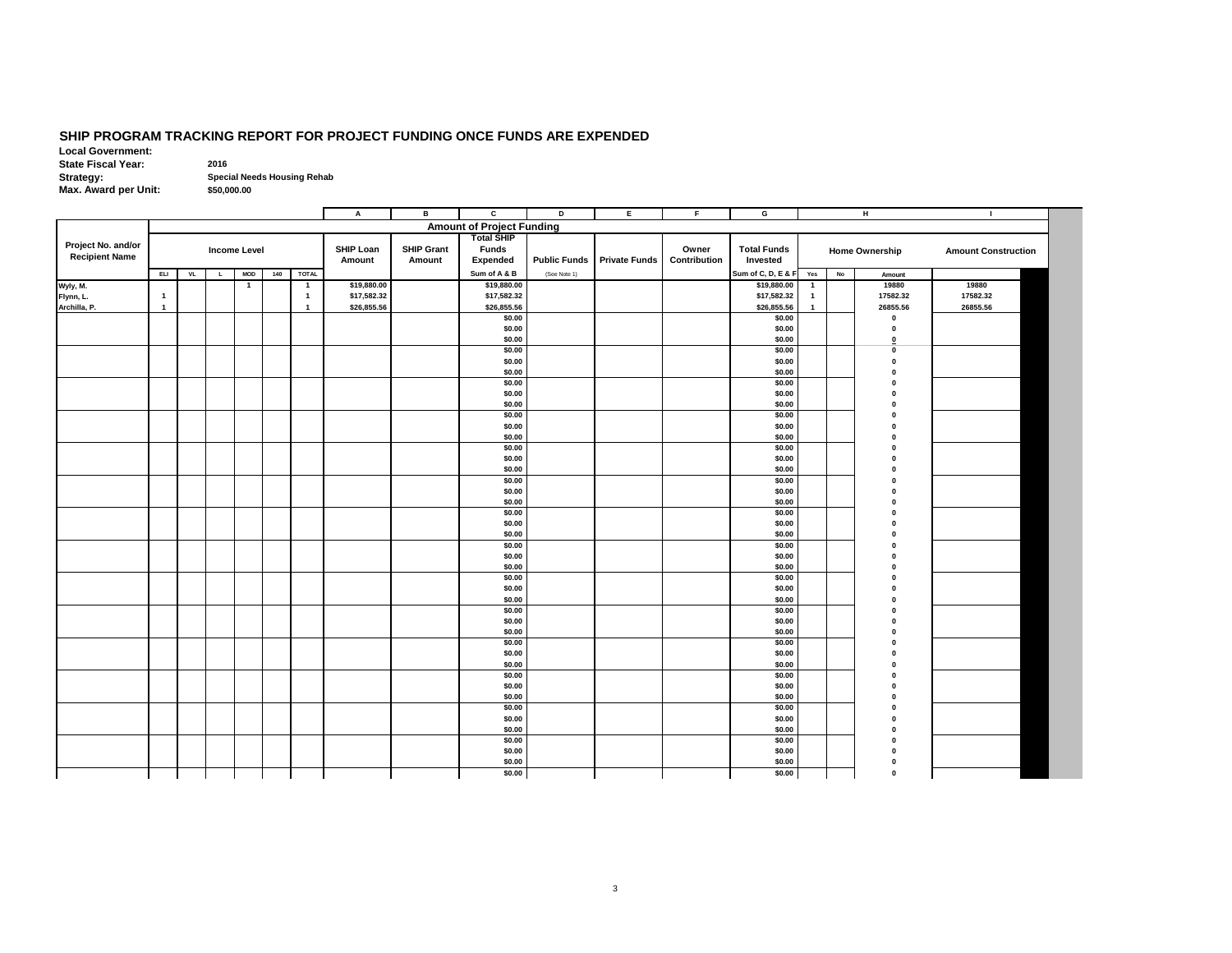#### **SHIP PROGRAM TRACKING REPORT FOR PROJECT FUNDING ONCE FUNDS ARE EXPENDED**

**Local Government: State Fiscal Year:** 2016 **Strategy: Special Needs Housing Rehab Max. Award per Unit: \$50,000.00**

**A B C D E F G H I Amount of Project Funding Project No. and/or Recipient Name SHIP Loan Amount SHIP Grant Amount Total SHIP Funds Expended Public Funds Private Funds Owner Contribution Total Funds Invested Home Ownership Amount Construction ELI VL L MOD 140 TOTAL Sum of A & B** (See Note 1) **Sum of C, D, E & F Yes No Amount Wyly, M. 1 1 \$19,880.00 \$19,880.00 \$19,880.00 1 19880 19880 Flynn, L. 1 1 \$17,582.32 \$17,582.32 \$17,582.32 1 17582.32 17582.32 Archilla, P. 1 1 \$26,855.56 \$26,855.56 \$26,855.56 1 26855.56 26855.56 \$0.00 \$0.00 0 \$0.00 \$0.00 0 \$0.00 \$0.00 0 \$0.00 \$0.00 0 \$0.00 \$0.00 0 \$0.00 \$0.00 0 \$0.00 \$0.00 0 \$0.00 \$0.00 0 \$0.00 \$0.00 0 \$0.00 \$0.00 0 \$0.00 \$0.00 0 \$0.00 \$0.00 0 \$0.00 \$0.00 0 \$0.00 \$0.00 0 \$0.00 \$0.00 0 \$0.00 \$0.00 0 \$0.00 \$0.00 0 \$0.00 \$0.00 0 \$0.00 \$0.00 0 \$0.00 \$0.00 0 \$0.00 \$0.00 0 \$0.00 \$0.00 0 \$0.00 \$0.00 0 \$0.00 \$0.00 0 \$0.00 \$0.00 0 \$0.00 \$0.00 0 \$0.00 \$0.00 0 \$0.00 \$0.00 0 \$0.00 \$0.00 0 \$0.00 \$0.00 0 \$0.00 \$0.00 0 \$0.00 \$0.00 0 \$0.00 \$0.00 0 \$0.00 \$0.00 0 \$0.00 \$0.00 0 \$0.00 \$0.00 0 \$0.00 \$0.00 0 \$0.00 \$0.00 0 \$0.00 \$0.00 0 \$0.00 \$0.00 0 \$0.00 \$0.00 0 \$0.00 \$0.00 0 \$0.00 \$0.00 0 Income Level**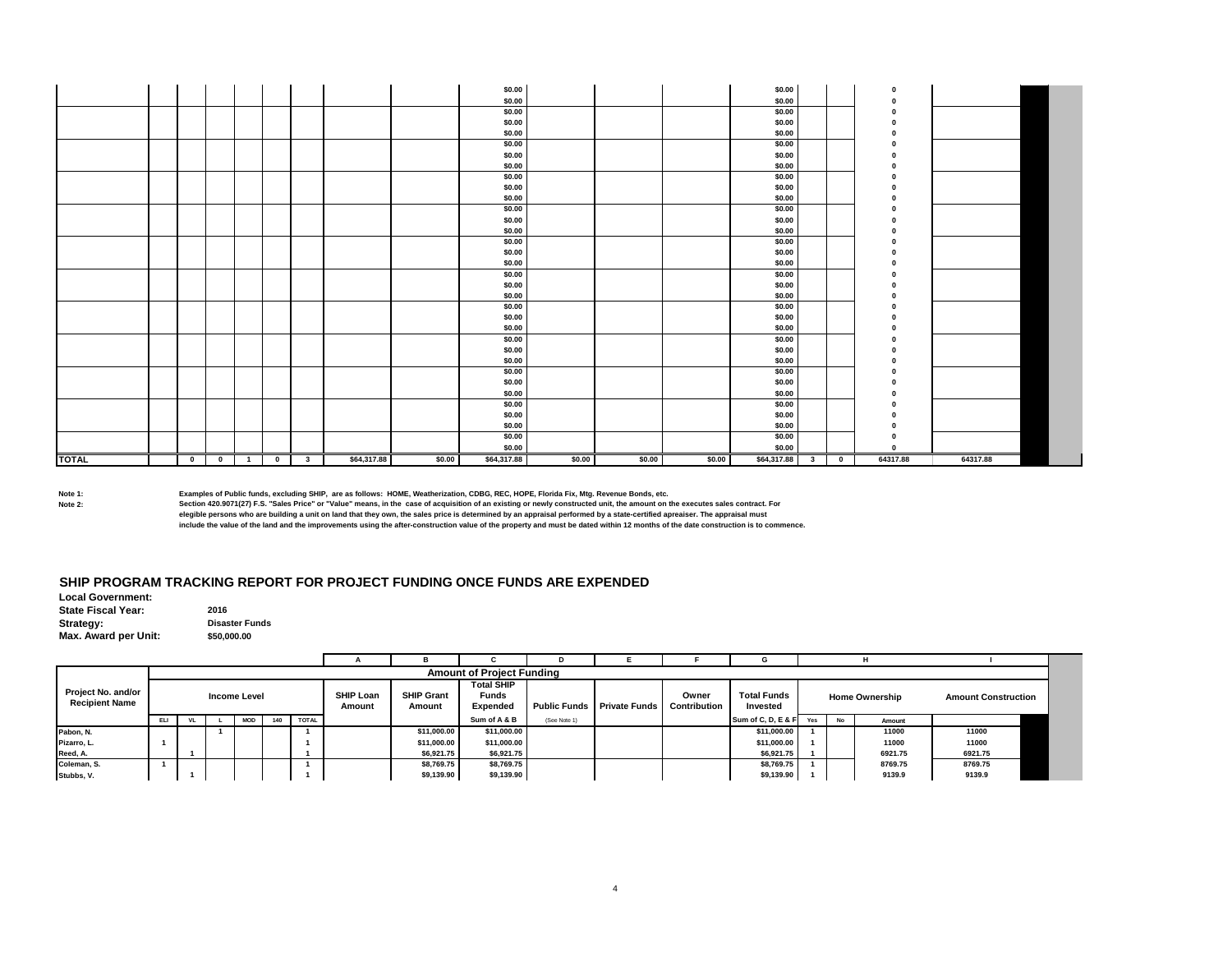|              |              |           |                |              |                         |             |        | \$0.00      |        |        |        | \$0.00      |                         |           |          |          |  |
|--------------|--------------|-----------|----------------|--------------|-------------------------|-------------|--------|-------------|--------|--------|--------|-------------|-------------------------|-----------|----------|----------|--|
|              |              |           |                |              |                         |             |        | \$0.00      |        |        |        | \$0.00      |                         |           |          |          |  |
|              |              |           |                |              |                         |             |        | \$0.00      |        |        |        | \$0.00      |                         |           |          |          |  |
|              |              |           |                |              |                         |             |        | \$0.00      |        |        |        | \$0.00      |                         |           |          |          |  |
|              |              |           |                |              |                         |             |        | \$0.00      |        |        |        | \$0.00      |                         |           |          |          |  |
|              |              |           |                |              |                         |             |        | \$0.00      |        |        |        | \$0.00      |                         |           |          |          |  |
|              |              |           |                |              |                         |             |        | \$0.00      |        |        |        | \$0.00      |                         |           |          |          |  |
|              |              |           |                |              |                         |             |        | \$0.00      |        |        |        | \$0.00      |                         |           |          |          |  |
|              |              |           |                |              |                         |             |        | \$0.00      |        |        |        | \$0.00      |                         |           |          |          |  |
|              |              |           |                |              |                         |             |        | \$0.00      |        |        |        | \$0.00      |                         |           |          |          |  |
|              |              |           |                |              |                         |             |        | \$0.00      |        |        |        | \$0.00      |                         |           |          |          |  |
|              |              |           |                |              |                         |             |        | \$0.00      |        |        |        | \$0.00      |                         |           |          |          |  |
|              |              |           |                |              |                         |             |        | \$0.00      |        |        |        | \$0.00      |                         |           |          |          |  |
|              |              |           |                |              |                         |             |        | \$0.00      |        |        |        | \$0.00      |                         |           |          |          |  |
|              |              |           |                |              |                         |             |        | \$0.00      |        |        |        | \$0.00      |                         |           |          |          |  |
|              |              |           |                |              |                         |             |        | \$0.00      |        |        |        | \$0.00      |                         |           |          |          |  |
|              |              |           |                |              |                         |             |        | \$0.00      |        |        |        | \$0.00      |                         |           |          |          |  |
|              |              |           |                |              |                         |             |        | \$0.00      |        |        |        | \$0.00      |                         |           |          |          |  |
|              |              |           |                |              |                         |             |        | \$0.00      |        |        |        | \$0.00      |                         |           |          |          |  |
|              |              |           |                |              |                         |             |        | \$0.00      |        |        |        | \$0.00      |                         |           |          |          |  |
|              |              |           |                |              |                         |             |        | \$0.00      |        |        |        | \$0.00      |                         |           |          |          |  |
|              |              |           |                |              |                         |             |        | \$0.00      |        |        |        | \$0.00      |                         |           |          |          |  |
|              |              |           |                |              |                         |             |        | \$0.00      |        |        |        | \$0.00      |                         |           |          |          |  |
|              |              |           |                |              |                         |             |        | \$0.00      |        |        |        | \$0.00      |                         |           |          |          |  |
|              |              |           |                |              |                         |             |        | \$0.00      |        |        |        | \$0.00      |                         |           |          |          |  |
|              |              |           |                |              |                         |             |        | \$0.00      |        |        |        | \$0.00      |                         |           |          |          |  |
|              |              |           |                |              |                         |             |        | \$0.00      |        |        |        | \$0.00      |                         |           |          |          |  |
|              |              |           |                |              |                         |             |        | \$0.00      |        |        |        | \$0.00      |                         |           |          |          |  |
|              |              |           |                |              |                         |             |        | \$0.00      |        |        |        | \$0.00      |                         |           |          |          |  |
|              |              |           |                |              |                         |             |        | \$0.00      |        |        |        | \$0.00      |                         |           |          |          |  |
|              |              |           |                |              |                         |             |        | \$0.00      |        |        |        | \$0.00      |                         |           |          |          |  |
|              |              |           |                |              |                         |             |        | \$0.00      |        |        |        | \$0.00      |                         |           |          |          |  |
|              |              |           |                |              |                         |             |        | \$0.00      |        |        |        | \$0.00      |                         |           |          |          |  |
|              |              |           |                |              |                         |             |        | \$0.00      |        |        |        | \$0.00      |                         |           | $\Omega$ |          |  |
| <b>TOTAL</b> | $\mathbf{0}$ | $\bullet$ | $\blacksquare$ | $\mathbf{0}$ | $\overline{\mathbf{3}}$ | \$64,317.88 | \$0.00 | \$64,317.88 | \$0.00 | \$0.00 | \$0.00 | \$64,317.88 | $\overline{\mathbf{3}}$ | $\bullet$ | 64317.88 | 64317.88 |  |

**Note 1: Examples of Public funds, excluding SHIP, are as follows: HOME, Weatherization, CDBG, REC, HOPE, Florida Fix, Mtg. Revenue Bonds, etc.**

**Note 2: Section 420.9071(27) F.S. "Sales Price" or "Value" means, in the case of acquisition of an existing or newly constructed unit, the amount on the executes sales contract. For elegible persons who are building a unit on land that they own, the sales price is determined by an appraisal performed by a state-certified apreaiser. The appraisal must**

**include the value of the land and the improvements using the after-construction value of the property and must be dated within 12 months of the date construction is to commence.**

### **SHIP PROGRAM TRACKING REPORT FOR PROJECT FUNDING ONCE FUNDS ARE EXPENDED**

**Local Government: State Fiscal Year:** 2016 **Strategy: Disaster Funds Max. Award per Unit: \$50,000.00**

|                                             |                                          |  |  |  |              |                     |                             | <b>Amount of Project Funding</b>              |              |                                                |       |                                |     |           |                       |                            |
|---------------------------------------------|------------------------------------------|--|--|--|--------------|---------------------|-----------------------------|-----------------------------------------------|--------------|------------------------------------------------|-------|--------------------------------|-----|-----------|-----------------------|----------------------------|
| Project No. and/or<br><b>Recipient Name</b> | <b>Income Level</b><br>140<br>ELI<br>MOD |  |  |  |              | SHIP Loan<br>Amount | <b>SHIP Grant</b><br>Amount | <b>Total SHIP</b><br><b>Funds</b><br>Expended |              | <b>Public Funds Private Funds Contribution</b> | Owner | <b>Total Funds</b><br>Invested |     |           | <b>Home Ownership</b> | <b>Amount Construction</b> |
|                                             |                                          |  |  |  | <b>TOTAL</b> |                     |                             | Sum of A & B                                  | (See Note 1) |                                                |       | Sum of C, D, E & F             | Yes | <b>No</b> | Amount                |                            |
| Pabon, N.                                   |                                          |  |  |  |              |                     | \$11.000.00                 | \$11,000.00                                   |              |                                                |       | \$11.000.00                    |     |           | 11000                 | 11000                      |
| Pizarro, L.                                 |                                          |  |  |  |              |                     | \$11,000.00                 | \$11,000.00                                   |              |                                                |       | \$11,000.00                    |     |           | 11000                 | 11000                      |
| Reed, A.                                    |                                          |  |  |  |              |                     | \$6.921.75                  | \$6,921.75                                    |              |                                                |       | \$6,921.75                     |     |           | 6921.75               | 6921.75                    |
| Coleman, S.                                 |                                          |  |  |  |              |                     | \$8,769.75                  | \$8,769.75                                    |              |                                                |       | \$8,769.75                     |     |           | 8769.75               | 8769.75                    |
| Stubbs, V.                                  |                                          |  |  |  |              |                     | \$9,139.90                  | \$9,139.90                                    |              |                                                |       | \$9,139.90                     |     |           | 9139.9                | 9139.9                     |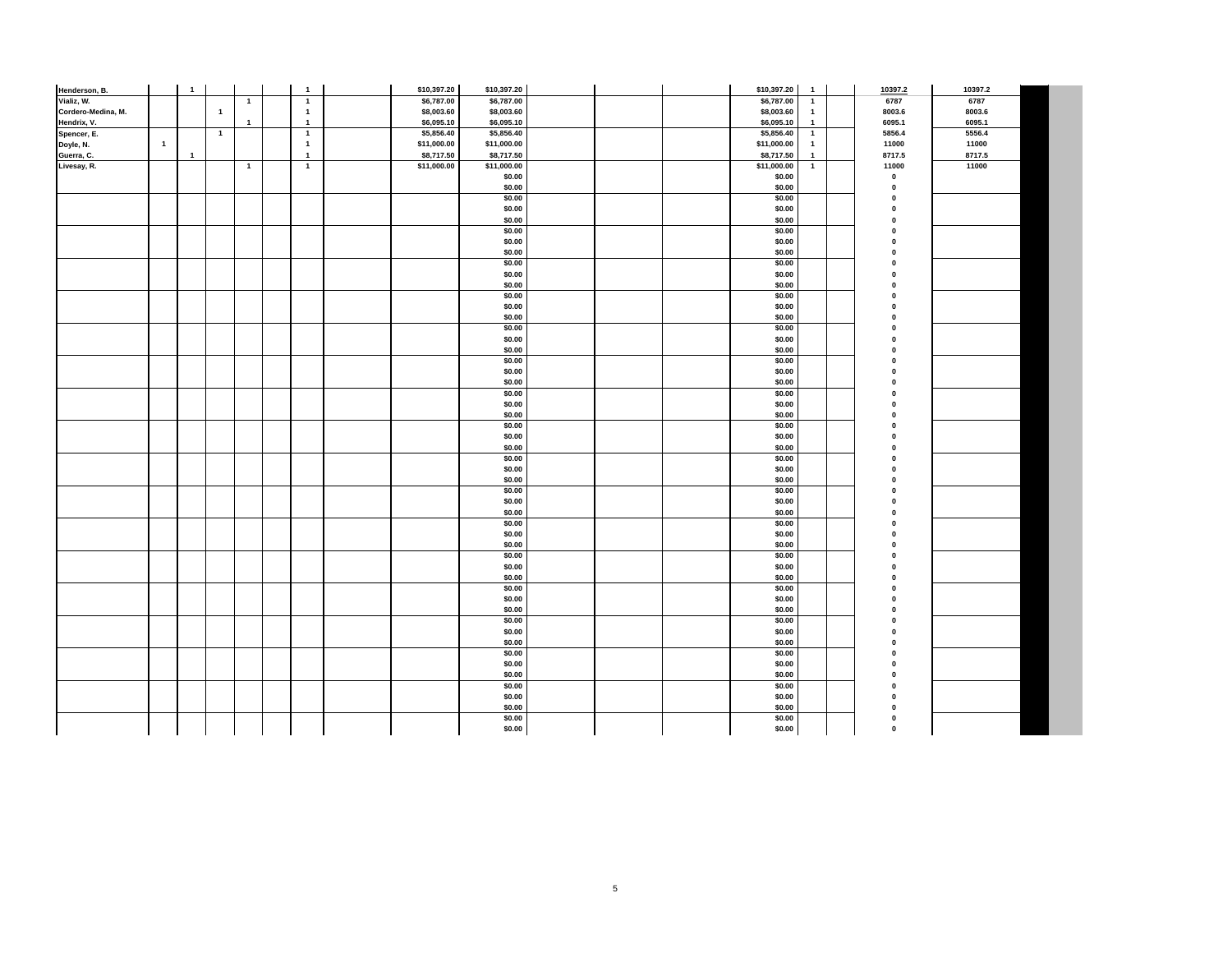| Henderson, B.      |                | $\mathbf{1}$   |                |              | $\mathbf{1}$   | \$10,397.20 | \$10,397.20      |  | \$10,397.20      | $\mathbf{1}$   | 10397.2      | 10397.2 |  |
|--------------------|----------------|----------------|----------------|--------------|----------------|-------------|------------------|--|------------------|----------------|--------------|---------|--|
| Vializ, W.         |                |                |                | $\mathbf{1}$ | $\overline{1}$ | \$6,787.00  | \$6,787.00       |  | \$6,787.00       | $\mathbf{1}$   | 6787         | 6787    |  |
| Cordero-Medina, M. |                |                | $\overline{1}$ |              | $\mathbf{1}$   | \$8,003.60  | \$8,003.60       |  | \$8,003.60       | $\overline{1}$ | 8003.6       | 8003.6  |  |
| Hendrix, V.        |                |                |                | $\mathbf{1}$ | $\overline{1}$ | \$6,095.10  | \$6,095.10       |  | \$6,095.10       | $\mathbf{1}$   | 6095.1       | 6095.1  |  |
| Spencer, E.        |                |                | $\overline{1}$ |              | $\overline{1}$ | \$5,856.40  | \$5,856.40       |  | \$5,856.40       | $\overline{1}$ | 5856.4       | 5556.4  |  |
| Doyle, N.          | $\overline{1}$ |                |                |              | $\overline{1}$ | \$11,000.00 | \$11,000.00      |  | \$11,000.00      | $\overline{1}$ | 11000        | 11000   |  |
| Guerra, C.         |                | $\overline{1}$ |                |              | $\overline{1}$ | \$8,717.50  | \$8,717.50       |  | \$8,717.50       | $\overline{1}$ | 8717.5       | 8717.5  |  |
| Livesay, R.        |                |                |                | $\mathbf{1}$ | $\overline{1}$ | \$11,000.00 | \$11,000.00      |  | \$11,000.00      | $\overline{1}$ | 11000        | 11000   |  |
|                    |                |                |                |              |                |             | \$0.00           |  | \$0.00           |                | $\pmb{0}$    |         |  |
|                    |                |                |                |              |                |             | \$0.00           |  | \$0.00           |                | $\mathbf{0}$ |         |  |
|                    |                |                |                |              |                |             | \$0.00<br>\$0.00 |  | \$0.00<br>\$0.00 |                |              |         |  |
|                    |                |                |                |              |                |             | \$0.00           |  | \$0.00           |                |              |         |  |
|                    |                |                |                |              |                |             | \$0.00           |  | \$0.00           |                | $\Omega$     |         |  |
|                    |                |                |                |              |                |             | \$0.00           |  | \$0.00           |                |              |         |  |
|                    |                |                |                |              |                |             | \$0.00           |  | \$0.00           |                |              |         |  |
|                    |                |                |                |              |                |             | \$0.00           |  | \$0.00           |                |              |         |  |
|                    |                |                |                |              |                |             | \$0.00           |  | \$0.00           |                |              |         |  |
|                    |                |                |                |              |                |             | \$0.00           |  | \$0.00           |                |              |         |  |
|                    |                |                |                |              |                |             | \$0.00           |  | \$0.00           |                |              |         |  |
|                    |                |                |                |              |                |             | \$0.00           |  | \$0.00           |                |              |         |  |
|                    |                |                |                |              |                |             | \$0.00           |  | \$0.00           |                |              |         |  |
|                    |                |                |                |              |                |             | \$0.00           |  | \$0.00           |                |              |         |  |
|                    |                |                |                |              |                |             | \$0.00           |  | \$0.00           |                |              |         |  |
|                    |                |                |                |              |                |             | \$0.00           |  | \$0.00           |                |              |         |  |
|                    |                |                |                |              |                |             | \$0.00           |  | \$0.00           |                | $\Omega$     |         |  |
|                    |                |                |                |              |                |             | \$0.00           |  | \$0.00           |                |              |         |  |
|                    |                |                |                |              |                |             | \$0.00           |  | \$0.00           |                |              |         |  |
|                    |                |                |                |              |                |             | \$0.00           |  | \$0.00           |                |              |         |  |
|                    |                |                |                |              |                |             | \$0.00           |  | \$0.00           |                | n            |         |  |
|                    |                |                |                |              |                |             | \$0.00           |  | \$0.00           |                |              |         |  |
|                    |                |                |                |              |                |             | \$0.00           |  | \$0.00           |                |              |         |  |
|                    |                |                |                |              |                |             | \$0.00           |  | \$0.00           |                |              |         |  |
|                    |                |                |                |              |                |             | \$0.00           |  | \$0.00           |                |              |         |  |
|                    |                |                |                |              |                |             | \$0.00           |  | \$0.00           |                |              |         |  |
|                    |                |                |                |              |                |             | \$0.00           |  | \$0.00<br>\$0.00 |                |              |         |  |
|                    |                |                |                |              |                |             | \$0.00<br>\$0.00 |  | \$0.00           |                |              |         |  |
|                    |                |                |                |              |                |             | \$0.00           |  | \$0.00           |                |              |         |  |
|                    |                |                |                |              |                |             | \$0.00           |  | \$0.00           |                |              |         |  |
|                    |                |                |                |              |                |             | \$0.00           |  | \$0.00           |                |              |         |  |
|                    |                |                |                |              |                |             | \$0.00           |  | \$0.00           |                |              |         |  |
|                    |                |                |                |              |                |             | \$0.00           |  | \$0.00           |                |              |         |  |
|                    |                |                |                |              |                |             | \$0.00           |  | \$0.00           |                |              |         |  |
|                    |                |                |                |              |                |             | \$0.00           |  | \$0.00           |                |              |         |  |
|                    |                |                |                |              |                |             | \$0.00           |  | \$0.00           |                |              |         |  |
|                    |                |                |                |              |                |             | \$0.00           |  | \$0.00           |                |              |         |  |
|                    |                |                |                |              |                |             | \$0.00           |  | \$0.00           |                |              |         |  |
|                    |                |                |                |              |                |             | \$0.00           |  | \$0.00           |                |              |         |  |
|                    |                |                |                |              |                |             | \$0.00           |  | \$0.00           |                |              |         |  |
|                    |                |                |                |              |                |             | \$0.00           |  | \$0.00           |                |              |         |  |
|                    |                |                |                |              |                |             | \$0.00           |  | \$0.00           |                |              |         |  |
|                    |                |                |                |              |                |             | \$0.00           |  | \$0.00           |                |              |         |  |
|                    |                |                |                |              |                |             | \$0.00           |  | \$0.00           |                |              |         |  |
|                    |                |                |                |              |                |             | \$0.00           |  | \$0.00           |                |              |         |  |
|                    |                |                |                |              |                |             | \$0.00           |  | \$0.00           |                |              |         |  |
|                    |                |                |                |              |                |             | \$0.00<br>\$0.00 |  | \$0.00<br>\$0.00 |                |              |         |  |
|                    |                |                |                |              |                |             | \$0.00           |  | \$0.00           |                |              |         |  |
|                    |                |                |                |              |                |             | \$0.00           |  | \$0.00           |                | $\Omega$     |         |  |
|                    |                |                |                |              |                |             |                  |  |                  |                |              |         |  |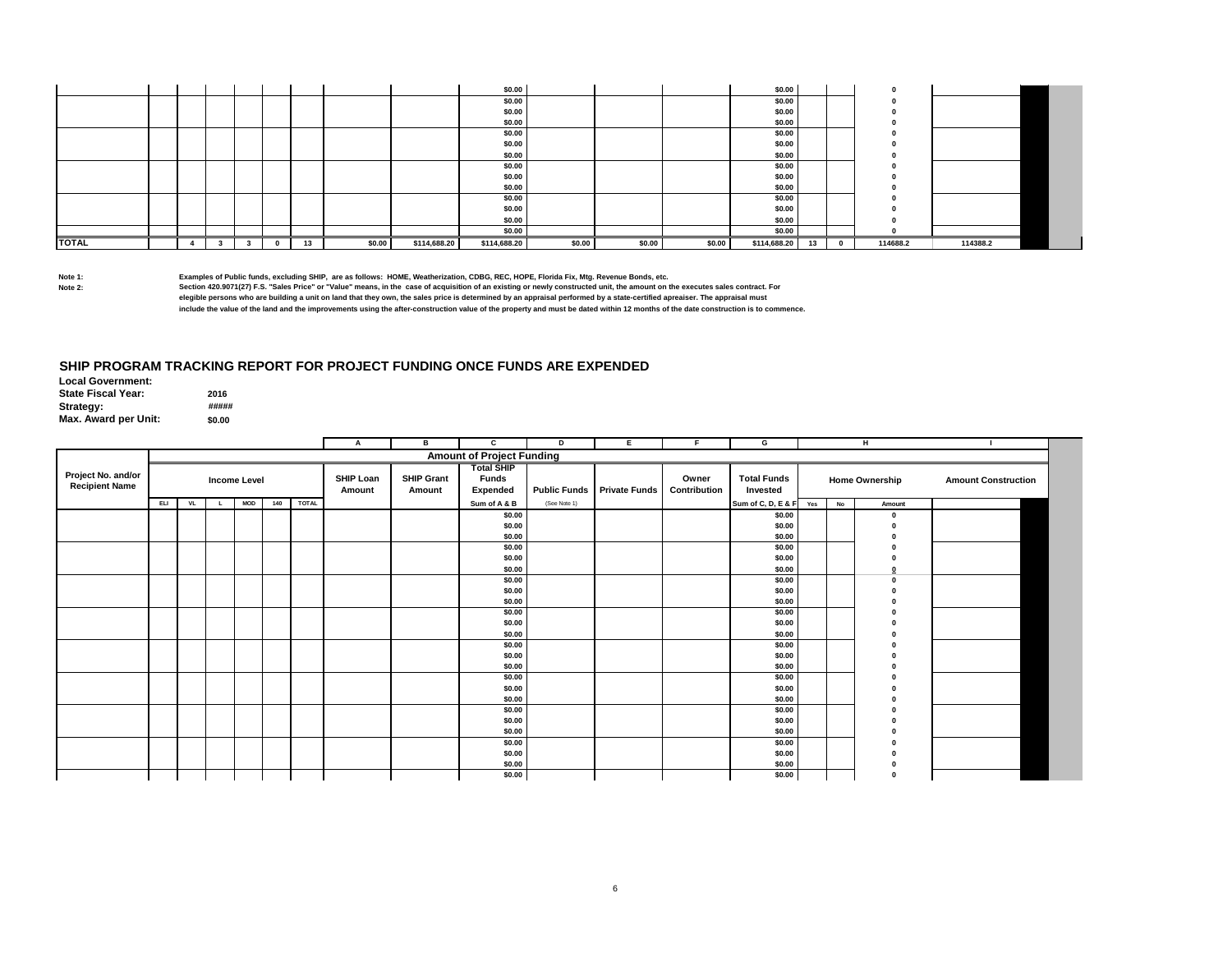|              |  |  |          |    |        |              | \$0.00       |        |        |        | \$0.00       |    |          |          |
|--------------|--|--|----------|----|--------|--------------|--------------|--------|--------|--------|--------------|----|----------|----------|
|              |  |  |          |    |        |              | \$0.00       |        |        |        | \$0.00       |    |          |          |
|              |  |  |          |    |        |              | \$0.00       |        |        |        | \$0.00       |    |          |          |
|              |  |  |          |    |        |              | \$0.00       |        |        |        | \$0.00       |    |          |          |
|              |  |  |          |    |        |              | \$0.00       |        |        |        | \$0.00       |    |          |          |
|              |  |  |          |    |        |              | \$0.00       |        |        |        | \$0.00       |    |          |          |
|              |  |  |          |    |        |              | \$0.00       |        |        |        | \$0.00       |    |          |          |
|              |  |  |          |    |        |              | \$0.00       |        |        |        | \$0.00       |    |          |          |
|              |  |  |          |    |        |              | \$0.00       |        |        |        | \$0.00       |    |          |          |
|              |  |  |          |    |        |              | \$0.00       |        |        |        | \$0.00       |    |          |          |
|              |  |  |          |    |        |              | \$0.00       |        |        |        | \$0.00       |    |          |          |
|              |  |  |          |    |        |              | \$0.00       |        |        |        | \$0.00       |    |          |          |
|              |  |  |          |    |        |              | \$0.00       |        |        |        | \$0.00       |    |          |          |
|              |  |  |          |    |        |              | \$0.00       |        |        |        | \$0.00       |    |          |          |
| <b>TOTAL</b> |  |  | $\Omega$ | 13 | \$0.00 | \$114,688.20 | \$114,688.20 | \$0.00 | \$0.00 | \$0.00 | \$114,688.20 | 13 | 114688.2 | 114388.2 |

### **SHIP PROGRAM TRACKING REPORT FOR PROJECT FUNDING ONCE FUNDS ARE EXPENDED**

| <b>Local Government:</b>  |        |
|---------------------------|--------|
| <b>State Fiscal Year:</b> | 2016   |
| Strategy:                 | #####  |
| Max. Award per Unit:      | \$0.00 |

|                                             |            |           |    |                     |     |              | A                          | в                           | С                                                    | D            | Е.                         | F.                    | G                              |           | H                     |                            |
|---------------------------------------------|------------|-----------|----|---------------------|-----|--------------|----------------------------|-----------------------------|------------------------------------------------------|--------------|----------------------------|-----------------------|--------------------------------|-----------|-----------------------|----------------------------|
|                                             |            |           |    |                     |     |              |                            |                             | <b>Amount of Project Funding</b>                     |              |                            |                       |                                |           |                       |                            |
| Project No. and/or<br><b>Recipient Name</b> |            |           |    | <b>Income Level</b> |     |              | <b>SHIP Loan</b><br>Amount | <b>SHIP Grant</b><br>Amount | <b>Total SHIP</b><br><b>Funds</b><br><b>Expended</b> |              | Public Funds Private Funds | Owner<br>Contribution | <b>Total Funds</b><br>Invested |           | <b>Home Ownership</b> | <b>Amount Construction</b> |
|                                             | <b>ELI</b> | <b>VL</b> | L. | <b>MOD</b>          | 140 | <b>TOTAL</b> |                            |                             | Sum of A & B                                         | (See Note 1) |                            |                       | Sum of C, D, E & F Yes         | <b>No</b> | Amount                |                            |
|                                             |            |           |    |                     |     |              |                            |                             | \$0.00<br>\$0.00                                     |              |                            |                       | \$0.00<br>\$0.00               |           | $\Omega$              |                            |
|                                             |            |           |    |                     |     |              |                            |                             | \$0.00                                               |              |                            |                       | \$0.00                         |           |                       |                            |
|                                             |            |           |    |                     |     |              |                            |                             | \$0.00<br>\$0.00                                     |              |                            |                       | \$0.00<br>\$0.00               |           |                       |                            |
|                                             |            |           |    |                     |     |              |                            |                             | \$0.00                                               |              |                            |                       | \$0.00                         |           |                       |                            |
|                                             |            |           |    |                     |     |              |                            |                             | \$0.00                                               |              |                            |                       | \$0.00                         |           |                       |                            |
|                                             |            |           |    |                     |     |              |                            |                             | \$0.00                                               |              |                            |                       | \$0.00                         |           |                       |                            |
|                                             |            |           |    |                     |     |              |                            |                             | \$0.00                                               |              |                            |                       | \$0.00                         |           |                       |                            |
|                                             |            |           |    |                     |     |              |                            |                             | \$0.00                                               |              |                            |                       | \$0.00                         |           |                       |                            |
|                                             |            |           |    |                     |     |              |                            |                             | \$0.00                                               |              |                            |                       | \$0.00                         |           |                       |                            |
|                                             |            |           |    |                     |     |              |                            |                             | \$0.00                                               |              |                            |                       | \$0.00                         |           |                       |                            |
|                                             |            |           |    |                     |     |              |                            |                             | \$0.00                                               |              |                            |                       | \$0.00                         |           |                       |                            |
|                                             |            |           |    |                     |     |              |                            |                             | \$0.00<br>\$0.00                                     |              |                            |                       | \$0.00<br>\$0.00               |           |                       |                            |
|                                             |            |           |    |                     |     |              |                            |                             | \$0.00                                               |              |                            |                       | \$0.00                         |           |                       |                            |
|                                             |            |           |    |                     |     |              |                            |                             | \$0.00                                               |              |                            |                       | \$0.00                         |           |                       |                            |
|                                             |            |           |    |                     |     |              |                            |                             | \$0.00                                               |              |                            |                       | \$0.00                         |           |                       |                            |
|                                             |            |           |    |                     |     |              |                            |                             | \$0.00                                               |              |                            |                       | \$0.00                         |           |                       |                            |
|                                             |            |           |    |                     |     |              |                            |                             | \$0.00                                               |              |                            |                       | \$0.00                         |           |                       |                            |
|                                             |            |           |    |                     |     |              |                            |                             | \$0.00                                               |              |                            |                       | \$0.00                         |           |                       |                            |
|                                             |            |           |    |                     |     |              |                            |                             | \$0.00                                               |              |                            |                       | \$0.00                         |           |                       |                            |
|                                             |            |           |    |                     |     |              |                            |                             | \$0.00                                               |              |                            |                       | \$0.00                         |           |                       |                            |
|                                             |            |           |    |                     |     |              |                            |                             | \$0.00                                               |              |                            |                       | \$0.00                         |           |                       |                            |
|                                             |            |           |    |                     |     |              |                            |                             | \$0.00                                               |              |                            |                       | \$0.00                         |           |                       |                            |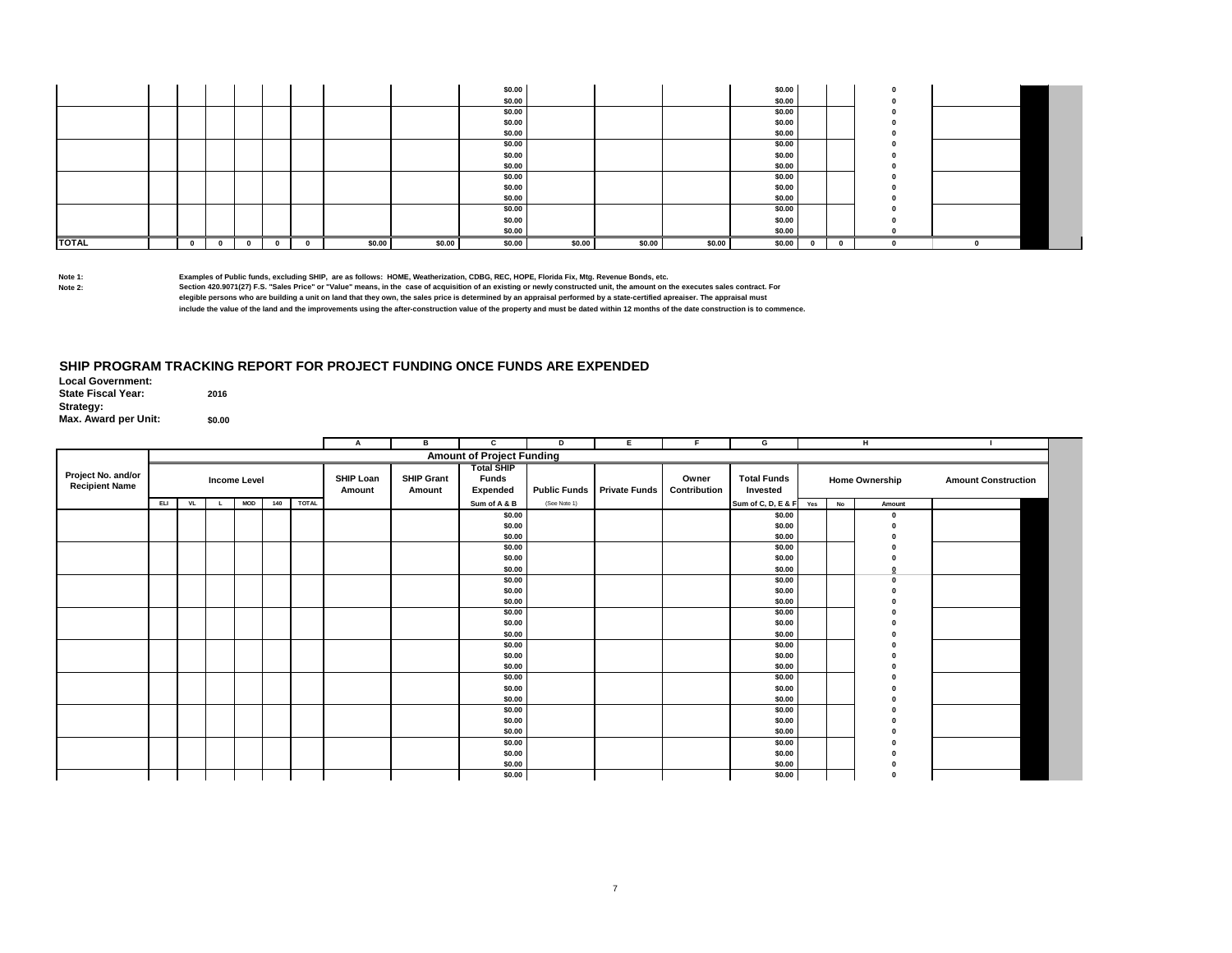|              |  |   |              |        |        | \$0.00 |        |        |        | \$0.00 |   |          |  |  |
|--------------|--|---|--------------|--------|--------|--------|--------|--------|--------|--------|---|----------|--|--|
|              |  |   |              |        |        | \$0.00 |        |        |        | \$0.00 |   |          |  |  |
|              |  |   |              |        |        | \$0.00 |        |        |        | \$0.00 |   |          |  |  |
|              |  |   |              |        |        | \$0.00 |        |        |        | \$0.00 |   |          |  |  |
|              |  |   |              |        |        | \$0.00 |        |        |        | \$0.00 |   |          |  |  |
|              |  |   |              |        |        | \$0.00 |        |        |        | \$0.00 |   |          |  |  |
|              |  |   |              |        |        | \$0.00 |        |        |        | \$0.00 |   |          |  |  |
|              |  |   |              |        |        | \$0.00 |        |        |        | \$0.00 |   |          |  |  |
|              |  |   |              |        |        | \$0.00 |        |        |        | \$0.00 |   |          |  |  |
|              |  |   |              |        |        | \$0.00 |        |        |        | \$0.00 |   |          |  |  |
|              |  |   |              |        |        | \$0.00 |        |        |        | \$0.00 |   |          |  |  |
|              |  |   |              |        |        | \$0.00 |        |        |        | \$0.00 |   |          |  |  |
|              |  |   |              |        |        | \$0.00 |        |        |        | \$0.00 |   |          |  |  |
|              |  |   |              |        |        | \$0.00 |        |        |        | \$0.00 |   |          |  |  |
| <b>TOTAL</b> |  | 0 | $\mathbf{0}$ | \$0.00 | \$0.00 | \$0.00 | \$0.00 | \$0.00 | \$0.00 | \$0.00 | 0 | $\Omega$ |  |  |

### **SHIP PROGRAM TRACKING REPORT FOR PROJECT FUNDING ONCE FUNDS ARE EXPENDED**

|                                             |            |     |                     |            |     |              | $\mathbf{A}$        | в                           | c                                             | D            | Е.                         | F.                    | G                              |     |           | н                     | - 1                        |
|---------------------------------------------|------------|-----|---------------------|------------|-----|--------------|---------------------|-----------------------------|-----------------------------------------------|--------------|----------------------------|-----------------------|--------------------------------|-----|-----------|-----------------------|----------------------------|
|                                             |            |     |                     |            |     |              |                     |                             | <b>Amount of Project Funding</b>              |              |                            |                       |                                |     |           |                       |                            |
| Project No. and/or<br><b>Recipient Name</b> |            |     | <b>Income Level</b> |            |     |              | SHIP Loan<br>Amount | <b>SHIP Grant</b><br>Amount | <b>Total SHIP</b><br><b>Funds</b><br>Expended |              | Public Funds Private Funds | Owner<br>Contribution | <b>Total Funds</b><br>Invested |     |           | <b>Home Ownership</b> | <b>Amount Construction</b> |
|                                             | <b>ELI</b> | VL. | L.                  | <b>MOD</b> | 140 | <b>TOTAL</b> |                     |                             | Sum of A & B                                  | (See Note 1) |                            |                       | Sum of C, D, E & F             | Yes | <b>No</b> | Amount                |                            |
|                                             |            |     |                     |            |     |              |                     |                             | \$0.00<br>\$0.00                              |              |                            |                       | \$0.00<br>\$0.00               |     |           | $\mathbf{r}$          |                            |
|                                             |            |     |                     |            |     |              |                     |                             | \$0.00                                        |              |                            |                       | \$0.00                         |     |           |                       |                            |
|                                             |            |     |                     |            |     |              |                     |                             | \$0.00                                        |              |                            |                       | \$0.00                         |     |           |                       |                            |
|                                             |            |     |                     |            |     |              |                     |                             | \$0.00<br>\$0.00                              |              |                            |                       | \$0.00<br>\$0.00               |     |           |                       |                            |
|                                             |            |     |                     |            |     |              |                     |                             | \$0.00                                        |              |                            |                       | \$0.00                         |     |           |                       |                            |
|                                             |            |     |                     |            |     |              |                     |                             | \$0.00                                        |              |                            |                       | \$0.00                         |     |           |                       |                            |
|                                             |            |     |                     |            |     |              |                     |                             | \$0.00                                        |              |                            |                       | \$0.00                         |     |           |                       |                            |
|                                             |            |     |                     |            |     |              |                     |                             | \$0.00                                        |              |                            |                       | \$0.00                         |     |           |                       |                            |
|                                             |            |     |                     |            |     |              |                     |                             | \$0.00                                        |              |                            |                       | \$0.00                         |     |           |                       |                            |
|                                             |            |     |                     |            |     |              |                     |                             | \$0.00                                        |              |                            |                       | \$0.00                         |     |           |                       |                            |
|                                             |            |     |                     |            |     |              |                     |                             | \$0.00                                        |              |                            |                       | \$0.00                         |     |           |                       |                            |
|                                             |            |     |                     |            |     |              |                     |                             | \$0.00                                        |              |                            |                       | \$0.00                         |     |           |                       |                            |
|                                             |            |     |                     |            |     |              |                     |                             | \$0.00                                        |              |                            |                       | \$0.00                         |     |           |                       |                            |
|                                             |            |     |                     |            |     |              |                     |                             | \$0.00                                        |              |                            |                       | \$0.00                         |     |           |                       |                            |
|                                             |            |     |                     |            |     |              |                     |                             | \$0.00                                        |              |                            |                       | \$0.00                         |     |           |                       |                            |
|                                             |            |     |                     |            |     |              |                     |                             | \$0.00<br>\$0.00                              |              |                            |                       | \$0.00                         |     |           |                       |                            |
|                                             |            |     |                     |            |     |              |                     |                             | \$0.00                                        |              |                            |                       | \$0.00<br>\$0.00               |     |           |                       |                            |
|                                             |            |     |                     |            |     |              |                     |                             | \$0.00                                        |              |                            |                       | \$0.00                         |     |           |                       |                            |
|                                             |            |     |                     |            |     |              |                     |                             | \$0.00                                        |              |                            |                       | \$0.00                         |     |           |                       |                            |
|                                             |            |     |                     |            |     |              |                     |                             | \$0.00                                        |              |                            |                       | \$0.00                         |     |           |                       |                            |
|                                             |            |     |                     |            |     |              |                     |                             | \$0.00                                        |              |                            |                       | \$0.00                         |     |           |                       |                            |
|                                             |            |     |                     |            |     |              |                     |                             | \$0.00                                        |              |                            |                       | \$0.00                         |     |           |                       |                            |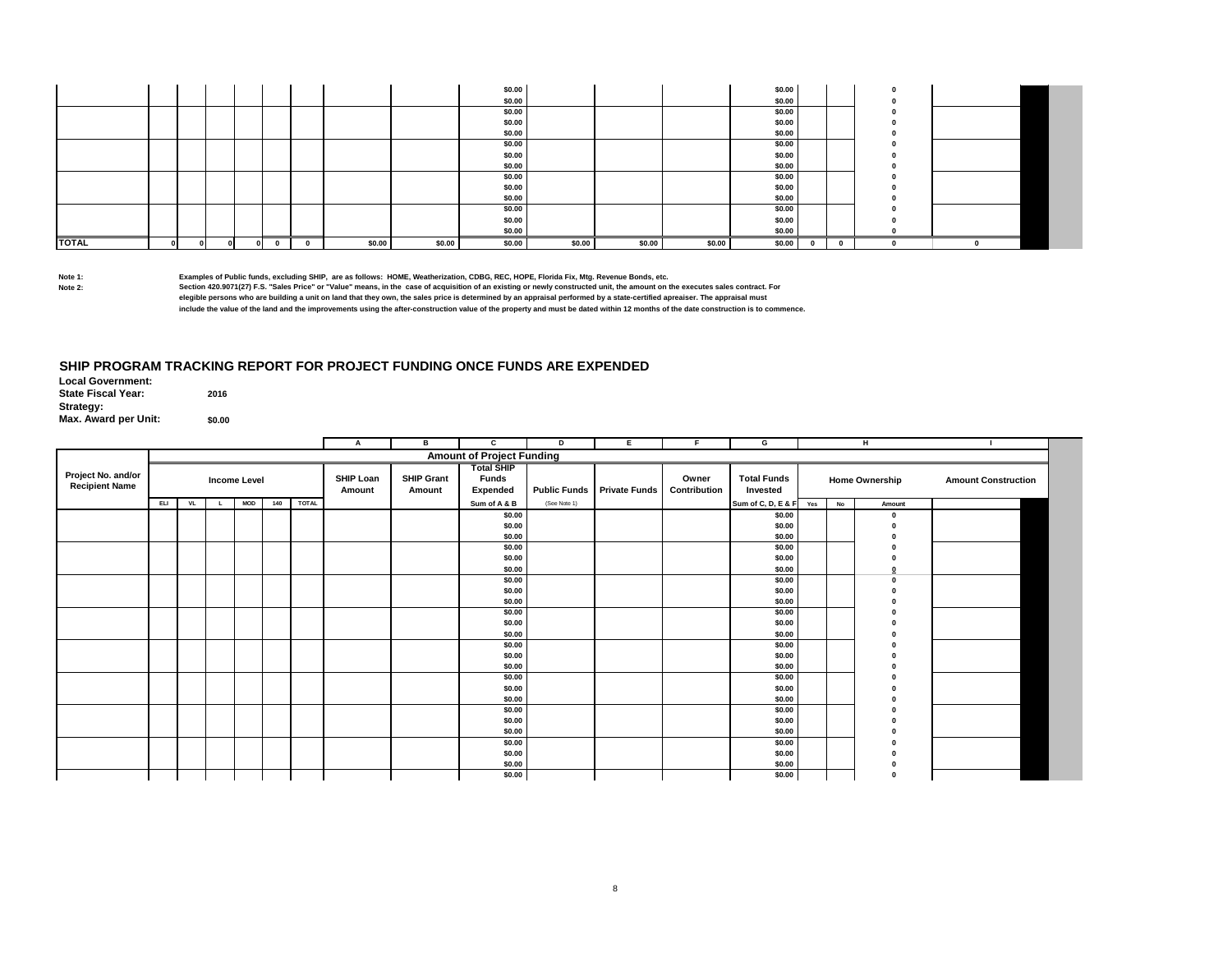|              |    |        |            |          |        |        | \$0.00 |        |        |        | \$0.00 |              |     |  |  |
|--------------|----|--------|------------|----------|--------|--------|--------|--------|--------|--------|--------|--------------|-----|--|--|
|              |    |        |            |          |        |        | \$0.00 |        |        |        | \$0.00 |              |     |  |  |
|              |    |        |            |          |        |        | \$0.00 |        |        |        | \$0.00 |              |     |  |  |
|              |    |        |            |          |        |        | \$0.00 |        |        |        | \$0.00 |              |     |  |  |
|              |    |        |            |          |        |        | \$0.00 |        |        |        | \$0.00 |              |     |  |  |
|              |    |        |            |          |        |        | \$0.00 |        |        |        | \$0.00 |              |     |  |  |
|              |    |        |            |          |        |        | \$0.00 |        |        |        | \$0.00 |              |     |  |  |
|              |    |        |            |          |        |        | \$0.00 |        |        |        | \$0.00 |              |     |  |  |
|              |    |        |            |          |        |        | \$0.00 |        |        |        | \$0.00 |              |     |  |  |
|              |    |        |            |          |        |        | \$0.00 |        |        |        | \$0.00 |              |     |  |  |
|              |    |        |            |          |        |        | \$0.00 |        |        |        | \$0.00 |              |     |  |  |
|              |    |        |            |          |        |        | \$0.00 |        |        |        | \$0.00 |              |     |  |  |
|              |    |        |            |          |        |        | \$0.00 |        |        |        | \$0.00 |              |     |  |  |
|              |    |        |            |          |        |        | \$0.00 |        |        |        | \$0.00 |              |     |  |  |
| <b>TOTAL</b> | ΩL | $\sim$ | $\sqrt{2}$ | $\Omega$ | \$0.00 | \$0.00 | \$0.00 | \$0.00 | \$0.00 | \$0.00 | \$0.00 | $\mathbf{0}$ | - 0 |  |  |

### **SHIP PROGRAM TRACKING REPORT FOR PROJECT FUNDING ONCE FUNDS ARE EXPENDED**

|                                             |            |    |                     |            |     |              | Α                          | в                           | c                                             | D            | Е                                 |                       | G                              |    | н                     |                            |
|---------------------------------------------|------------|----|---------------------|------------|-----|--------------|----------------------------|-----------------------------|-----------------------------------------------|--------------|-----------------------------------|-----------------------|--------------------------------|----|-----------------------|----------------------------|
|                                             |            |    |                     |            |     |              |                            |                             | <b>Amount of Project Funding</b>              |              |                                   |                       |                                |    |                       |                            |
| Project No. and/or<br><b>Recipient Name</b> |            |    | <b>Income Level</b> |            |     |              | <b>SHIP Loan</b><br>Amount | <b>SHIP Grant</b><br>Amount | <b>Total SHIP</b><br><b>Funds</b><br>Expended |              | <b>Public Funds</b> Private Funds | Owner<br>Contribution | <b>Total Funds</b><br>Invested |    | <b>Home Ownership</b> | <b>Amount Construction</b> |
|                                             | <b>ELI</b> | VL |                     | <b>MOD</b> | 140 | <b>TOTAL</b> |                            |                             | Sum of A & B                                  | (See Note 1) |                                   |                       | Sum of C, D, E & F Yes         | No | Amount                |                            |
|                                             |            |    |                     |            |     |              |                            |                             | \$0.00<br>\$0.00<br>\$0.00                    |              |                                   |                       | \$0.00<br>\$0.00<br>\$0.00     |    |                       |                            |
|                                             |            |    |                     |            |     |              |                            |                             | \$0.00                                        |              |                                   |                       | \$0.00                         |    |                       |                            |
|                                             |            |    |                     |            |     |              |                            |                             | \$0.00                                        |              |                                   |                       | \$0.00                         |    |                       |                            |
|                                             |            |    |                     |            |     |              |                            |                             | \$0.00                                        |              |                                   |                       | \$0.00                         |    |                       |                            |
|                                             |            |    |                     |            |     |              |                            |                             | \$0.00                                        |              |                                   |                       | \$0.00                         |    |                       |                            |
|                                             |            |    |                     |            |     |              |                            |                             | \$0.00                                        |              |                                   |                       | \$0.00                         |    |                       |                            |
|                                             |            |    |                     |            |     |              |                            |                             | \$0.00                                        |              |                                   |                       | \$0.00                         |    |                       |                            |
|                                             |            |    |                     |            |     |              |                            |                             | \$0.00                                        |              |                                   |                       | \$0.00                         |    |                       |                            |
|                                             |            |    |                     |            |     |              |                            |                             | \$0.00                                        |              |                                   |                       | \$0.00                         |    |                       |                            |
|                                             |            |    |                     |            |     |              |                            |                             | \$0.00                                        |              |                                   |                       | \$0.00                         |    |                       |                            |
|                                             |            |    |                     |            |     |              |                            |                             | \$0.00                                        |              |                                   |                       | \$0.00                         |    |                       |                            |
|                                             |            |    |                     |            |     |              |                            |                             | \$0.00                                        |              |                                   |                       | \$0.00                         |    |                       |                            |
|                                             |            |    |                     |            |     |              |                            |                             | \$0.00                                        |              |                                   |                       | \$0.00                         |    |                       |                            |
|                                             |            |    |                     |            |     |              |                            |                             | \$0.00                                        |              |                                   |                       | \$0.00                         |    |                       |                            |
|                                             |            |    |                     |            |     |              |                            |                             | \$0.00                                        |              |                                   |                       | \$0.00                         |    |                       |                            |
|                                             |            |    |                     |            |     |              |                            |                             | \$0.00                                        |              |                                   |                       | \$0.00                         |    |                       |                            |
|                                             |            |    |                     |            |     |              |                            |                             | \$0.00                                        |              |                                   |                       | \$0.00                         |    |                       |                            |
|                                             |            |    |                     |            |     |              |                            |                             | \$0.00                                        |              |                                   |                       | \$0.00                         |    |                       |                            |
|                                             |            |    |                     |            |     |              |                            |                             | \$0.00<br>\$0.00                              |              |                                   |                       | \$0.00<br>\$0.00               |    |                       |                            |
|                                             |            |    |                     |            |     |              |                            |                             | \$0.00                                        |              |                                   |                       | \$0.00                         |    |                       |                            |
|                                             |            |    |                     |            |     |              |                            |                             | \$0.00                                        |              |                                   |                       | \$0.00                         |    |                       |                            |
|                                             |            |    |                     |            |     |              |                            |                             | \$0.00                                        |              |                                   |                       | \$0.00                         |    |                       |                            |
|                                             |            |    |                     |            |     |              |                            |                             |                                               |              |                                   |                       |                                |    |                       |                            |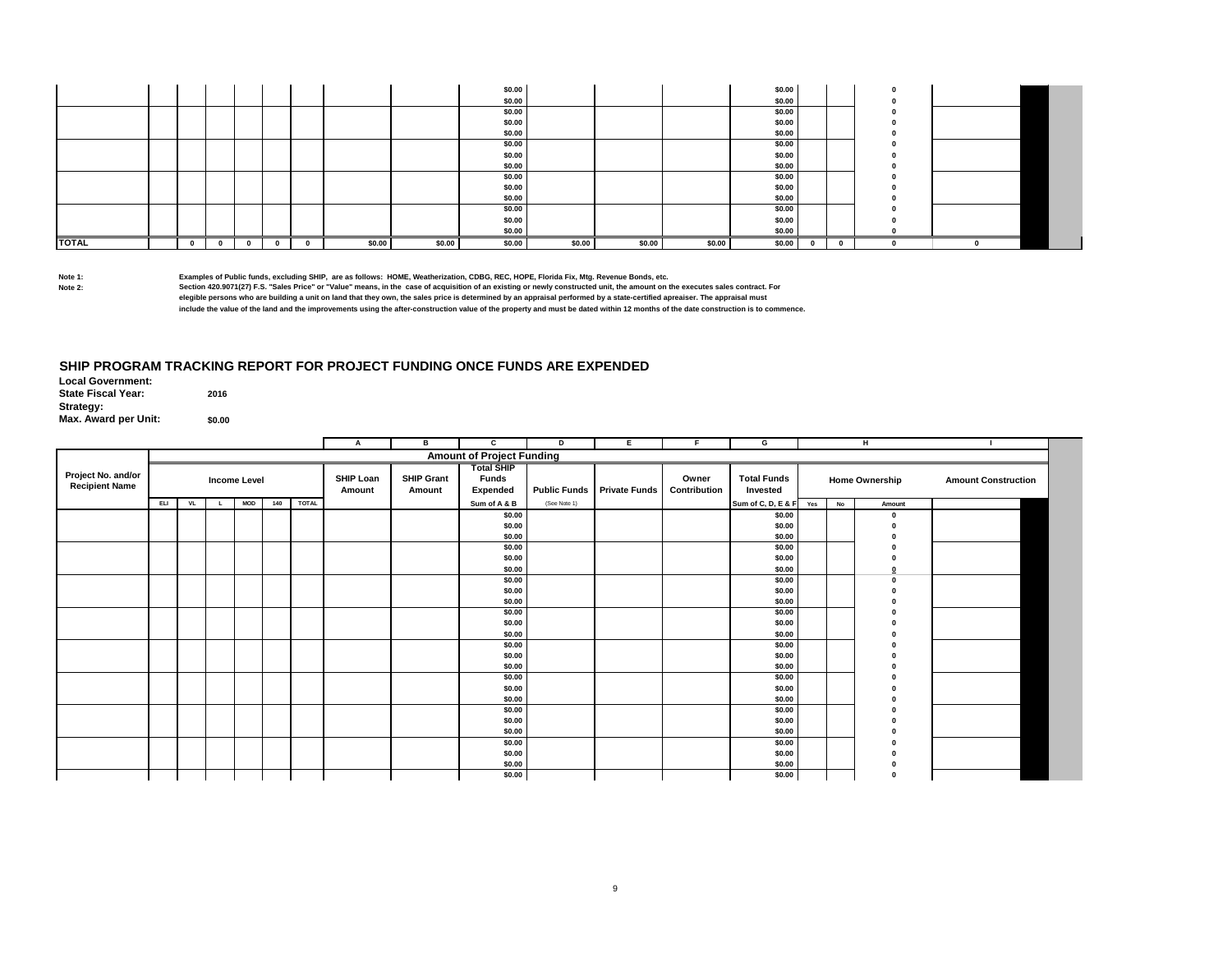|              |  |   |              |        |        | \$0.00 |        |        |        | \$0.00 |   |          |  |  |
|--------------|--|---|--------------|--------|--------|--------|--------|--------|--------|--------|---|----------|--|--|
|              |  |   |              |        |        | \$0.00 |        |        |        | \$0.00 |   |          |  |  |
|              |  |   |              |        |        | \$0.00 |        |        |        | \$0.00 |   |          |  |  |
|              |  |   |              |        |        | \$0.00 |        |        |        | \$0.00 |   |          |  |  |
|              |  |   |              |        |        | \$0.00 |        |        |        | \$0.00 |   |          |  |  |
|              |  |   |              |        |        | \$0.00 |        |        |        | \$0.00 |   |          |  |  |
|              |  |   |              |        |        | \$0.00 |        |        |        | \$0.00 |   |          |  |  |
|              |  |   |              |        |        | \$0.00 |        |        |        | \$0.00 |   |          |  |  |
|              |  |   |              |        |        | \$0.00 |        |        |        | \$0.00 |   |          |  |  |
|              |  |   |              |        |        | \$0.00 |        |        |        | \$0.00 |   |          |  |  |
|              |  |   |              |        |        | \$0.00 |        |        |        | \$0.00 |   |          |  |  |
|              |  |   |              |        |        | \$0.00 |        |        |        | \$0.00 |   |          |  |  |
|              |  |   |              |        |        | \$0.00 |        |        |        | \$0.00 |   |          |  |  |
|              |  |   |              |        |        | \$0.00 |        |        |        | \$0.00 |   |          |  |  |
| <b>TOTAL</b> |  | 0 | $\mathbf{0}$ | \$0.00 | \$0.00 | \$0.00 | \$0.00 | \$0.00 | \$0.00 | \$0.00 | 0 | $\Omega$ |  |  |

### **SHIP PROGRAM TRACKING REPORT FOR PROJECT FUNDING ONCE FUNDS ARE EXPENDED**

|                                             |            |     |                     |            |     |              | $\mathbf{A}$        | в                           | c                                             | D            | Е.                         | F.                    | G                              |     |           | н                     | - 1                        |
|---------------------------------------------|------------|-----|---------------------|------------|-----|--------------|---------------------|-----------------------------|-----------------------------------------------|--------------|----------------------------|-----------------------|--------------------------------|-----|-----------|-----------------------|----------------------------|
|                                             |            |     |                     |            |     |              |                     |                             | <b>Amount of Project Funding</b>              |              |                            |                       |                                |     |           |                       |                            |
| Project No. and/or<br><b>Recipient Name</b> |            |     | <b>Income Level</b> |            |     |              | SHIP Loan<br>Amount | <b>SHIP Grant</b><br>Amount | <b>Total SHIP</b><br><b>Funds</b><br>Expended |              | Public Funds Private Funds | Owner<br>Contribution | <b>Total Funds</b><br>Invested |     |           | <b>Home Ownership</b> | <b>Amount Construction</b> |
|                                             | <b>ELI</b> | VL. | L.                  | <b>MOD</b> | 140 | <b>TOTAL</b> |                     |                             | Sum of A & B                                  | (See Note 1) |                            |                       | Sum of C, D, E & F             | Yes | <b>No</b> | Amount                |                            |
|                                             |            |     |                     |            |     |              |                     |                             | \$0.00<br>\$0.00                              |              |                            |                       | \$0.00<br>\$0.00               |     |           | $\mathbf{r}$          |                            |
|                                             |            |     |                     |            |     |              |                     |                             | \$0.00                                        |              |                            |                       | \$0.00                         |     |           |                       |                            |
|                                             |            |     |                     |            |     |              |                     |                             | \$0.00                                        |              |                            |                       | \$0.00                         |     |           |                       |                            |
|                                             |            |     |                     |            |     |              |                     |                             | \$0.00<br>\$0.00                              |              |                            |                       | \$0.00<br>\$0.00               |     |           |                       |                            |
|                                             |            |     |                     |            |     |              |                     |                             | \$0.00                                        |              |                            |                       | \$0.00                         |     |           |                       |                            |
|                                             |            |     |                     |            |     |              |                     |                             | \$0.00                                        |              |                            |                       | \$0.00                         |     |           |                       |                            |
|                                             |            |     |                     |            |     |              |                     |                             | \$0.00                                        |              |                            |                       | \$0.00                         |     |           |                       |                            |
|                                             |            |     |                     |            |     |              |                     |                             | \$0.00                                        |              |                            |                       | \$0.00                         |     |           |                       |                            |
|                                             |            |     |                     |            |     |              |                     |                             | \$0.00                                        |              |                            |                       | \$0.00                         |     |           |                       |                            |
|                                             |            |     |                     |            |     |              |                     |                             | \$0.00                                        |              |                            |                       | \$0.00                         |     |           |                       |                            |
|                                             |            |     |                     |            |     |              |                     |                             | \$0.00                                        |              |                            |                       | \$0.00                         |     |           |                       |                            |
|                                             |            |     |                     |            |     |              |                     |                             | \$0.00                                        |              |                            |                       | \$0.00                         |     |           |                       |                            |
|                                             |            |     |                     |            |     |              |                     |                             | \$0.00                                        |              |                            |                       | \$0.00                         |     |           |                       |                            |
|                                             |            |     |                     |            |     |              |                     |                             | \$0.00                                        |              |                            |                       | \$0.00                         |     |           |                       |                            |
|                                             |            |     |                     |            |     |              |                     |                             | \$0.00                                        |              |                            |                       | \$0.00                         |     |           |                       |                            |
|                                             |            |     |                     |            |     |              |                     |                             | \$0.00<br>\$0.00                              |              |                            |                       | \$0.00                         |     |           |                       |                            |
|                                             |            |     |                     |            |     |              |                     |                             | \$0.00                                        |              |                            |                       | \$0.00<br>\$0.00               |     |           |                       |                            |
|                                             |            |     |                     |            |     |              |                     |                             | \$0.00                                        |              |                            |                       | \$0.00                         |     |           |                       |                            |
|                                             |            |     |                     |            |     |              |                     |                             | \$0.00                                        |              |                            |                       | \$0.00                         |     |           |                       |                            |
|                                             |            |     |                     |            |     |              |                     |                             | \$0.00                                        |              |                            |                       | \$0.00                         |     |           |                       |                            |
|                                             |            |     |                     |            |     |              |                     |                             | \$0.00                                        |              |                            |                       | \$0.00                         |     |           |                       |                            |
|                                             |            |     |                     |            |     |              |                     |                             | \$0.00                                        |              |                            |                       | \$0.00                         |     |           |                       |                            |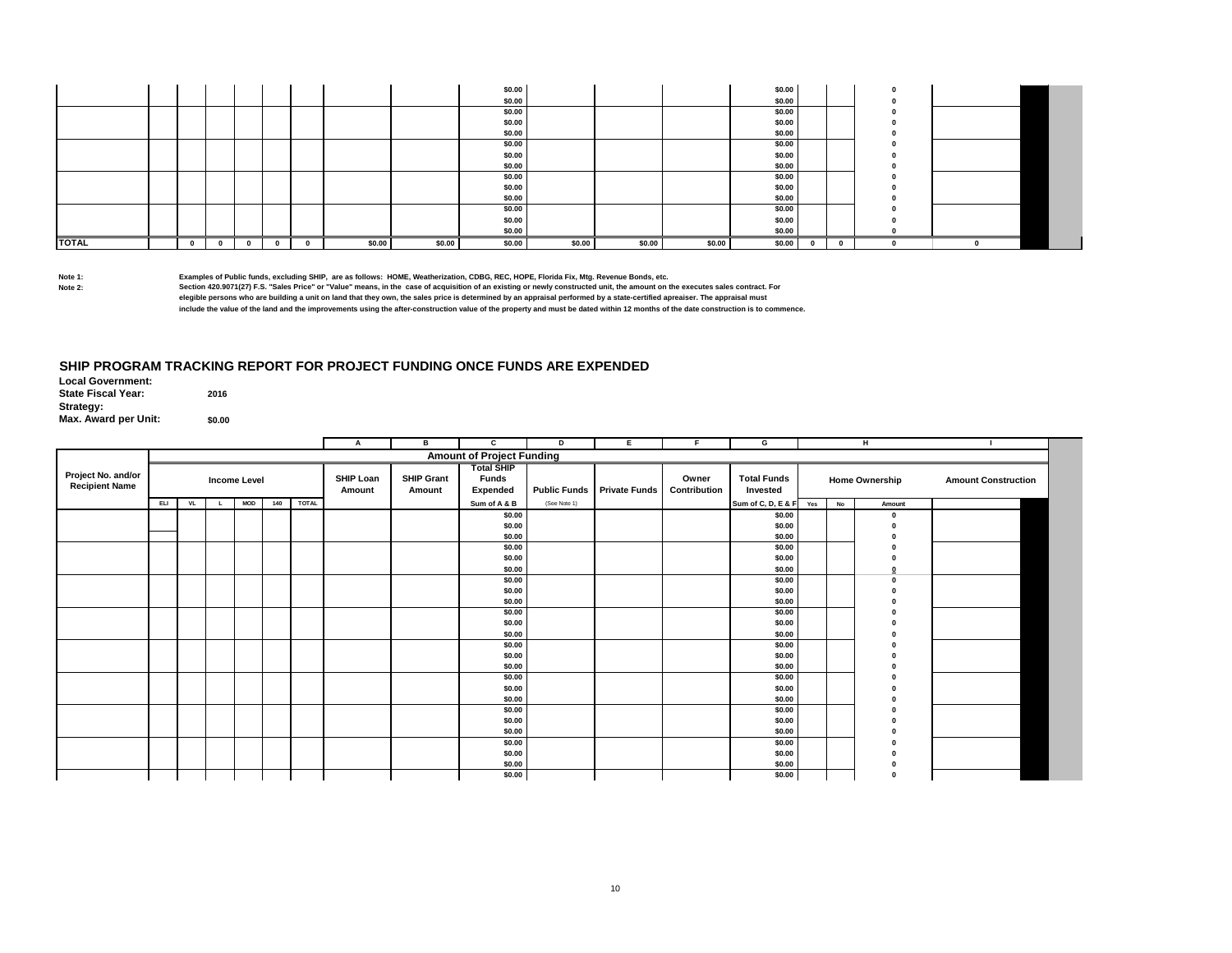|              |  |   |              |        |        | \$0.00 |        |        |        | \$0.00 |   |          |  |  |
|--------------|--|---|--------------|--------|--------|--------|--------|--------|--------|--------|---|----------|--|--|
|              |  |   |              |        |        | \$0.00 |        |        |        | \$0.00 |   |          |  |  |
|              |  |   |              |        |        | \$0.00 |        |        |        | \$0.00 |   |          |  |  |
|              |  |   |              |        |        | \$0.00 |        |        |        | \$0.00 |   |          |  |  |
|              |  |   |              |        |        | \$0.00 |        |        |        | \$0.00 |   |          |  |  |
|              |  |   |              |        |        | \$0.00 |        |        |        | \$0.00 |   |          |  |  |
|              |  |   |              |        |        | \$0.00 |        |        |        | \$0.00 |   |          |  |  |
|              |  |   |              |        |        | \$0.00 |        |        |        | \$0.00 |   |          |  |  |
|              |  |   |              |        |        | \$0.00 |        |        |        | \$0.00 |   |          |  |  |
|              |  |   |              |        |        | \$0.00 |        |        |        | \$0.00 |   |          |  |  |
|              |  |   |              |        |        | \$0.00 |        |        |        | \$0.00 |   |          |  |  |
|              |  |   |              |        |        | \$0.00 |        |        |        | \$0.00 |   |          |  |  |
|              |  |   |              |        |        | \$0.00 |        |        |        | \$0.00 |   |          |  |  |
|              |  |   |              |        |        | \$0.00 |        |        |        | \$0.00 |   |          |  |  |
| <b>TOTAL</b> |  | 0 | $\mathbf{0}$ | \$0.00 | \$0.00 | \$0.00 | \$0.00 | \$0.00 | \$0.00 | \$0.00 | 0 | $\Omega$ |  |  |

### **SHIP PROGRAM TRACKING REPORT FOR PROJECT FUNDING ONCE FUNDS ARE EXPENDED**

|                                             |            |    |                     |            |     |              | А                          | в                           | c                                                    | D            | E.                         |                       | G                              |     |           | н                     |                            |
|---------------------------------------------|------------|----|---------------------|------------|-----|--------------|----------------------------|-----------------------------|------------------------------------------------------|--------------|----------------------------|-----------------------|--------------------------------|-----|-----------|-----------------------|----------------------------|
|                                             |            |    |                     |            |     |              |                            |                             | <b>Amount of Project Funding</b>                     |              |                            |                       |                                |     |           |                       |                            |
| Project No. and/or<br><b>Recipient Name</b> |            |    | <b>Income Level</b> |            |     |              | <b>SHIP Loan</b><br>Amount | <b>SHIP Grant</b><br>Amount | <b>Total SHIP</b><br><b>Funds</b><br><b>Expended</b> |              | Public Funds Private Funds | Owner<br>Contribution | <b>Total Funds</b><br>Invested |     |           | <b>Home Ownership</b> | <b>Amount Construction</b> |
|                                             | <b>ELI</b> | VL |                     | <b>MOD</b> | 140 | <b>TOTAL</b> |                            |                             | Sum of A & B                                         | (See Note 1) |                            |                       | Sum of C, D, E & F             | Yes | <b>No</b> | Amount                |                            |
|                                             |            |    |                     |            |     |              |                            |                             | \$0.00<br>\$0.00<br>\$0.00                           |              |                            |                       | \$0.00<br>\$0.00<br>\$0.00     |     |           | $\mathbf{r}$          |                            |
|                                             |            |    |                     |            |     |              |                            |                             | \$0.00                                               |              |                            |                       | \$0.00                         |     |           |                       |                            |
|                                             |            |    |                     |            |     |              |                            |                             | \$0.00                                               |              |                            |                       | \$0.00                         |     |           |                       |                            |
|                                             |            |    |                     |            |     |              |                            |                             | \$0.00                                               |              |                            |                       | \$0.00                         |     |           |                       |                            |
|                                             |            |    |                     |            |     |              |                            |                             | \$0.00                                               |              |                            |                       | \$0.00                         |     |           |                       |                            |
|                                             |            |    |                     |            |     |              |                            |                             | \$0.00                                               |              |                            |                       | \$0.00                         |     |           |                       |                            |
|                                             |            |    |                     |            |     |              |                            |                             | \$0.00                                               |              |                            |                       | \$0.00                         |     |           |                       |                            |
|                                             |            |    |                     |            |     |              |                            |                             | \$0.00                                               |              |                            |                       | \$0.00                         |     |           |                       |                            |
|                                             |            |    |                     |            |     |              |                            |                             | \$0.00                                               |              |                            |                       | \$0.00                         |     |           |                       |                            |
|                                             |            |    |                     |            |     |              |                            |                             | \$0.00                                               |              |                            |                       | \$0.00                         |     |           |                       |                            |
|                                             |            |    |                     |            |     |              |                            |                             | \$0.00                                               |              |                            |                       | \$0.00                         |     |           |                       |                            |
|                                             |            |    |                     |            |     |              |                            |                             | \$0.00<br>\$0.00                                     |              |                            |                       | \$0.00<br>\$0.00               |     |           |                       |                            |
|                                             |            |    |                     |            |     |              |                            |                             | \$0.00                                               |              |                            |                       | \$0.00                         |     |           |                       |                            |
|                                             |            |    |                     |            |     |              |                            |                             | \$0.00                                               |              |                            |                       | \$0.00                         |     |           |                       |                            |
|                                             |            |    |                     |            |     |              |                            |                             | \$0.00                                               |              |                            |                       | \$0.00                         |     |           |                       |                            |
|                                             |            |    |                     |            |     |              |                            |                             | \$0.00                                               |              |                            |                       | \$0.00                         |     |           |                       |                            |
|                                             |            |    |                     |            |     |              |                            |                             | \$0.00                                               |              |                            |                       | \$0.00                         |     |           |                       |                            |
|                                             |            |    |                     |            |     |              |                            |                             | \$0.00                                               |              |                            |                       | \$0.00                         |     |           |                       |                            |
|                                             |            |    |                     |            |     |              |                            |                             | \$0.00                                               |              |                            |                       | \$0.00                         |     |           |                       |                            |
|                                             |            |    |                     |            |     |              |                            |                             | \$0.00                                               |              |                            |                       | \$0.00                         |     |           |                       |                            |
|                                             |            |    |                     |            |     |              |                            |                             | \$0.00                                               |              |                            |                       | \$0.00                         |     |           |                       |                            |
|                                             |            |    |                     |            |     |              |                            |                             | \$0.00                                               |              |                            |                       | \$0.00                         |     |           |                       |                            |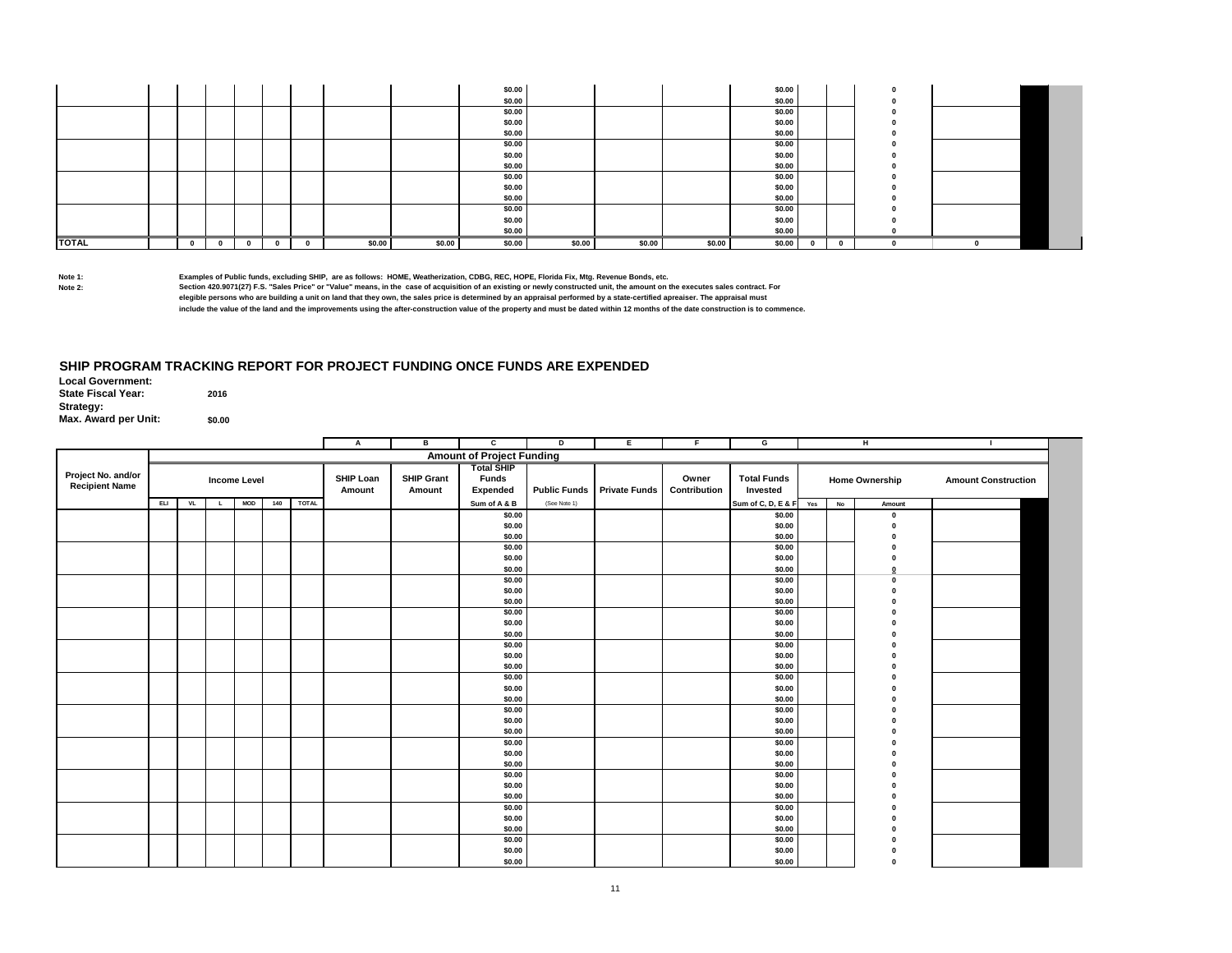|              |  |   |              |        |        | \$0.00 |        |        |        | \$0.00 |   |          |  |  |
|--------------|--|---|--------------|--------|--------|--------|--------|--------|--------|--------|---|----------|--|--|
|              |  |   |              |        |        | \$0.00 |        |        |        | \$0.00 |   |          |  |  |
|              |  |   |              |        |        | \$0.00 |        |        |        | \$0.00 |   |          |  |  |
|              |  |   |              |        |        | \$0.00 |        |        |        | \$0.00 |   |          |  |  |
|              |  |   |              |        |        | \$0.00 |        |        |        | \$0.00 |   |          |  |  |
|              |  |   |              |        |        | \$0.00 |        |        |        | \$0.00 |   |          |  |  |
|              |  |   |              |        |        | \$0.00 |        |        |        | \$0.00 |   |          |  |  |
|              |  |   |              |        |        | \$0.00 |        |        |        | \$0.00 |   |          |  |  |
|              |  |   |              |        |        | \$0.00 |        |        |        | \$0.00 |   |          |  |  |
|              |  |   |              |        |        | \$0.00 |        |        |        | \$0.00 |   |          |  |  |
|              |  |   |              |        |        | \$0.00 |        |        |        | \$0.00 |   |          |  |  |
|              |  |   |              |        |        | \$0.00 |        |        |        | \$0.00 |   |          |  |  |
|              |  |   |              |        |        | \$0.00 |        |        |        | \$0.00 |   |          |  |  |
|              |  |   |              |        |        | \$0.00 |        |        |        | \$0.00 |   |          |  |  |
| <b>TOTAL</b> |  | 0 | $\mathbf{0}$ | \$0.00 | \$0.00 | \$0.00 | \$0.00 | \$0.00 | \$0.00 | \$0.00 | 0 | $\Omega$ |  |  |

Examples of Public funds, excluding SHIP, are as follows: HOME, Weatherization, CDBG, REC, HOPE, Florida Fix, Mtg. Revenue Bonds, etc.<br>Shote 2: Section 420.9071(27) F.S. "Sales Price" or "Value" means, in the case of acq **include the value of the land and the improvements using the after-construction value of the property and must be dated within 12 months of the date construction is to commence.**

### **SHIP PROGRAM TRACKING REPORT FOR PROJECT FUNDING ONCE FUNDS ARE EXPENDED**

|                                             |     |           |                     |            |     |              | A                   | в                           | c                                             | D                   | E.                   | E                     | G                              |     |    | н.             | л.                         |
|---------------------------------------------|-----|-----------|---------------------|------------|-----|--------------|---------------------|-----------------------------|-----------------------------------------------|---------------------|----------------------|-----------------------|--------------------------------|-----|----|----------------|----------------------------|
|                                             |     |           |                     |            |     |              |                     |                             | <b>Amount of Project Funding</b>              |                     |                      |                       |                                |     |    |                |                            |
| Project No. and/or<br><b>Recipient Name</b> |     |           | <b>Income Level</b> |            |     |              | SHIP Loan<br>Amount | <b>SHIP Grant</b><br>Amount | <b>Total SHIP</b><br><b>Funds</b><br>Expended | <b>Public Funds</b> | <b>Private Funds</b> | Owner<br>Contribution | <b>Total Funds</b><br>Invested |     |    | Home Ownership | <b>Amount Construction</b> |
|                                             | ELI | <b>VL</b> | $\mathbf{L}$        | <b>MOD</b> | 140 | <b>TOTAL</b> |                     |                             | Sum of A & B                                  | (See Note 1)        |                      |                       | Sum of C, D, E & F             | Yes | No | Amount         |                            |
|                                             |     |           |                     |            |     |              |                     |                             | \$0.00                                        |                     |                      |                       | \$0.00                         |     |    | $\mathbf 0$    |                            |
|                                             |     |           |                     |            |     |              |                     |                             | \$0.00                                        |                     |                      |                       | \$0.00                         |     |    | $\Omega$       |                            |
|                                             |     |           |                     |            |     |              |                     |                             | \$0.00                                        |                     |                      |                       | \$0.00                         |     |    | $\sqrt{2}$     |                            |
|                                             |     |           |                     |            |     |              |                     |                             | \$0.00                                        |                     |                      |                       | \$0.00                         |     |    |                |                            |
|                                             |     |           |                     |            |     |              |                     |                             | \$0.00                                        |                     |                      |                       | \$0.00                         |     |    |                |                            |
|                                             |     |           |                     |            |     |              |                     |                             | \$0.00                                        |                     |                      |                       | \$0.00                         |     |    | $\mathbf{0}$   |                            |
|                                             |     |           |                     |            |     |              |                     |                             | \$0.00                                        |                     |                      |                       | \$0.00                         |     |    | $\Omega$       |                            |
|                                             |     |           |                     |            |     |              |                     |                             | \$0.00                                        |                     |                      |                       | \$0.00                         |     |    |                |                            |
|                                             |     |           |                     |            |     |              |                     |                             | \$0.00                                        |                     |                      |                       | \$0.00                         |     |    |                |                            |
|                                             |     |           |                     |            |     |              |                     |                             | \$0.00                                        |                     |                      |                       | \$0.00                         |     |    |                |                            |
|                                             |     |           |                     |            |     |              |                     |                             | \$0.00                                        |                     |                      |                       | \$0.00                         |     |    |                |                            |
|                                             |     |           |                     |            |     |              |                     |                             | \$0.00                                        |                     |                      |                       | \$0.00                         |     |    |                |                            |
|                                             |     |           |                     |            |     |              |                     |                             | \$0.00                                        |                     |                      |                       | \$0.00                         |     |    |                |                            |
|                                             |     |           |                     |            |     |              |                     |                             | \$0.00                                        |                     |                      |                       | \$0.00                         |     |    |                |                            |
|                                             |     |           |                     |            |     |              |                     |                             | \$0.00                                        |                     |                      |                       | \$0.00                         |     |    |                |                            |
|                                             |     |           |                     |            |     |              |                     |                             | \$0.00                                        |                     |                      |                       | \$0.00                         |     |    |                |                            |
|                                             |     |           |                     |            |     |              |                     |                             | \$0.00<br>\$0.00                              |                     |                      |                       | \$0.00<br>\$0.00               |     |    |                |                            |
|                                             |     |           |                     |            |     |              |                     |                             | \$0.00                                        |                     |                      |                       | \$0.00                         |     |    |                |                            |
|                                             |     |           |                     |            |     |              |                     |                             | \$0.00                                        |                     |                      |                       | \$0.00                         |     |    |                |                            |
|                                             |     |           |                     |            |     |              |                     |                             | \$0.00                                        |                     |                      |                       | \$0.00                         |     |    |                |                            |
|                                             |     |           |                     |            |     |              |                     |                             | \$0.00                                        |                     |                      |                       | \$0.00                         |     |    |                |                            |
|                                             |     |           |                     |            |     |              |                     |                             | \$0.00                                        |                     |                      |                       | \$0.00                         |     |    |                |                            |
|                                             |     |           |                     |            |     |              |                     |                             | \$0.00                                        |                     |                      |                       | \$0.00                         |     |    |                |                            |
|                                             |     |           |                     |            |     |              |                     |                             | \$0.00                                        |                     |                      |                       | \$0.00                         |     |    |                |                            |
|                                             |     |           |                     |            |     |              |                     |                             | \$0.00                                        |                     |                      |                       | \$0.00                         |     |    |                |                            |
|                                             |     |           |                     |            |     |              |                     |                             | \$0.00                                        |                     |                      |                       | \$0.00                         |     |    |                |                            |
|                                             |     |           |                     |            |     |              |                     |                             | \$0.00                                        |                     |                      |                       | \$0.00                         |     |    |                |                            |
|                                             |     |           |                     |            |     |              |                     |                             | \$0.00                                        |                     |                      |                       | \$0.00                         |     |    |                |                            |
|                                             |     |           |                     |            |     |              |                     |                             | \$0.00                                        |                     |                      |                       | \$0.00                         |     |    |                |                            |
|                                             |     |           |                     |            |     |              |                     |                             | \$0.00                                        |                     |                      |                       | \$0.00                         |     |    |                |                            |
|                                             |     |           |                     |            |     |              |                     |                             | \$0.00                                        |                     |                      |                       | \$0.00                         |     |    |                |                            |
|                                             |     |           |                     |            |     |              |                     |                             | \$0.00                                        |                     |                      |                       | \$0.00                         |     |    | $\mathbf{r}$   |                            |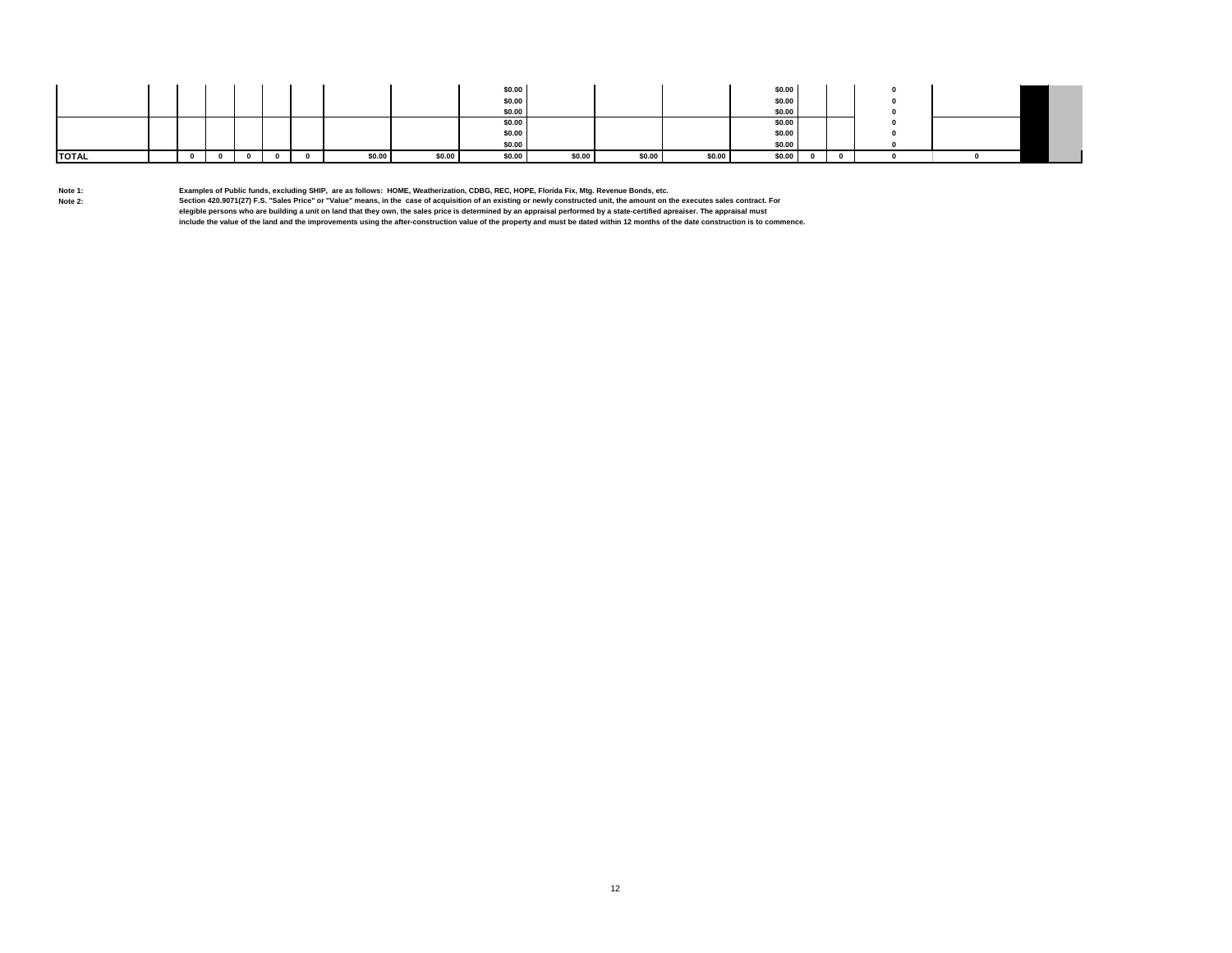|              |  |  |   |        |        | \$0.00 |        |        |        | \$0.00 |  |  |  |
|--------------|--|--|---|--------|--------|--------|--------|--------|--------|--------|--|--|--|
|              |  |  |   |        |        | \$0.00 |        |        |        | \$0.00 |  |  |  |
|              |  |  |   |        |        | \$0.00 |        |        |        | \$0.00 |  |  |  |
|              |  |  |   |        |        | \$0.00 |        |        |        | \$0.00 |  |  |  |
|              |  |  |   |        |        | \$0.00 |        |        |        | \$0.00 |  |  |  |
|              |  |  |   |        |        | \$0.00 |        |        |        | \$0.00 |  |  |  |
| <b>TOTAL</b> |  |  | n | \$0.00 | \$0.00 | \$0.00 | \$0.00 | \$0.00 | \$0.00 | \$0.00 |  |  |  |

**Note 1: Examples of Public funds, excluding SHIP, are as follows: HOME, Weatherization, CDBG, REC, HOPE, Florida Fix, Mtg. Revenue Bonds, etc.**

Section 420.9071(27) F.S. "Sales Price" or "Value" means, in the case of acquisition of an existing or newly constructed unit, the amount on the executes sales contract. For<br>elegible persons who are building a unit on land

**include the value of the land and the improvements using the after-construction value of the property and must be dated within 12 months of the date construction is to commence.**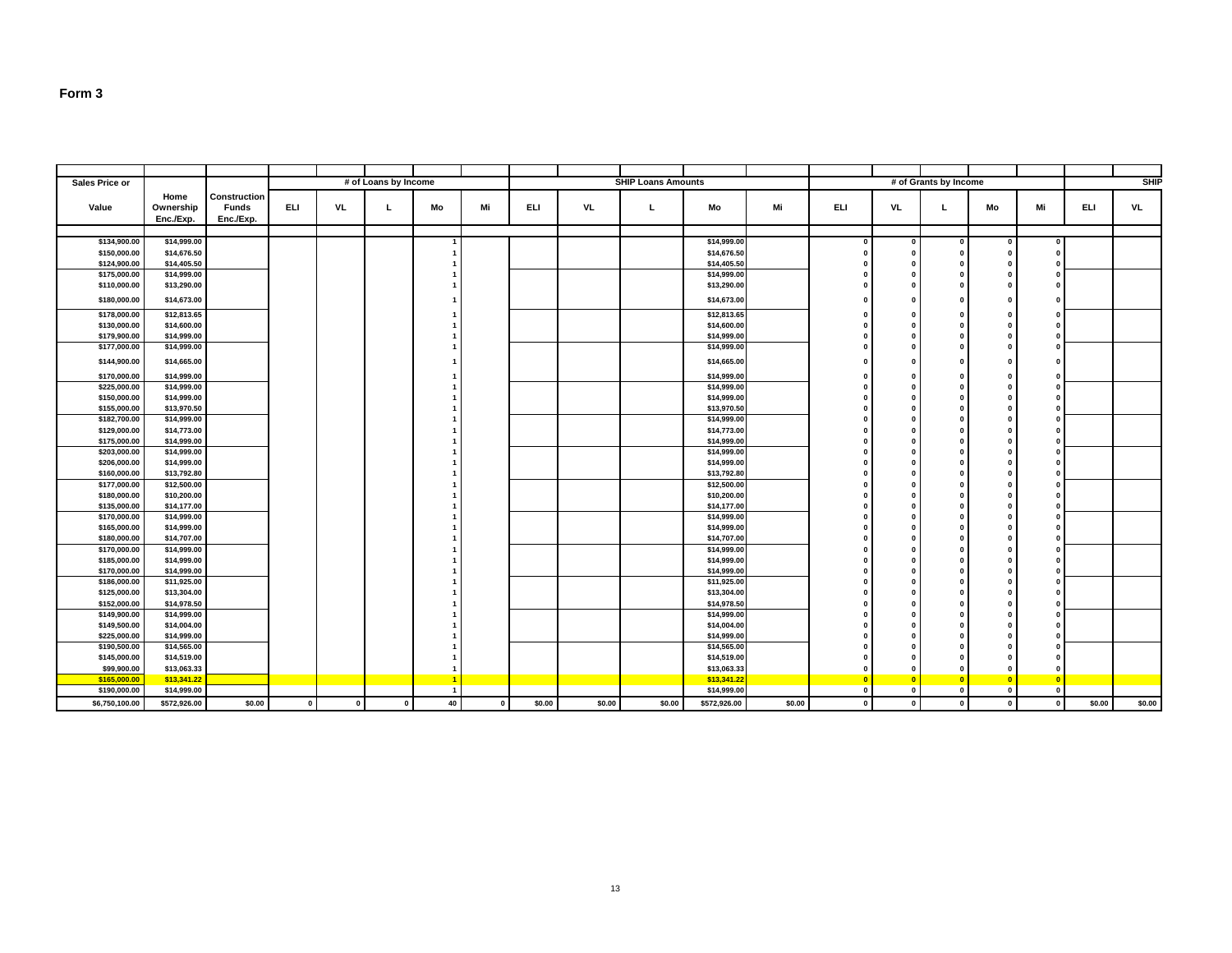| <b>SHIP Loans Amounts</b><br># of Loans by Income<br># of Grants by Income<br>Sales Price or<br>Home<br>Construction<br><b>ELI</b><br>VL<br>Mo<br>Mi<br><b>ELI</b><br>Mi<br><b>ELI</b><br><b>VL</b><br>Mi<br><b>ELI</b><br><b>Funds</b><br>VL<br>Mo<br>VL<br>Value<br>Ownership<br>L.<br>L.<br>Mo<br>L<br>Enc./Exp.<br>Enc./Exp.<br>\$134,900.00<br>\$14,999.00<br>\$14,999.00<br>$^{\circ}$<br>O.<br>$\mathbf{1}$<br>$\Omega$<br>- 0<br>$\Omega$<br>\$14,676.50<br>\$14,676.50<br>\$150,000.00<br>$\Omega$<br><b>n</b><br>$\Omega$<br>\$14,405.50<br>\$124,900.00<br>\$14,405.50<br>O.<br>$\Omega$<br>\$175,000.00<br>\$14,999.00<br>\$14,999.00<br>$\mathbf{0}$<br>O.<br>$\Omega$<br>\$110,000.00<br>\$13,290.00<br>\$13,290.00<br>$\Omega$<br><b>n</b><br>\$14,673.00<br>\$14,673.00<br>\$180,000.00<br>$\Omega$<br><b>n</b><br>$\Omega$<br>\$178,000.00<br>\$12,813.65<br>\$12,813.65<br>$\Omega$<br><b>n</b><br>$\Omega$<br>\$14,600.00<br>\$14,600.00<br>\$130,000.00<br>O.<br>$\mathbf{0}$<br>$\Omega$<br>\$179,900.00<br>\$14,999.00<br>\$14,999.00<br>0<br>$\Omega$<br>0<br>\$177,000.00<br>\$14,999.00<br>\$14,999.00<br>$\Omega$<br><b>n</b><br>$\Omega$<br>\$144,900.00<br>\$14,665.00<br>\$14,665.00<br>$\Omega$<br>n<br>n<br>\$170,000.00<br>\$14,999.00<br>\$14,999.00<br>$\Omega$<br>- 0<br>$\Omega$<br>\$225,000.00<br>\$14,999.00<br>\$14,999.00<br>$\mathbf{0}$<br>O.<br>$\Omega$<br>\$150,000.00<br>\$14,999.00<br>\$14,999.00<br>0<br>$\bf{0}$<br>$\Omega$<br>\$155,000.00<br>\$13,970.50<br>\$13,970.50<br>O.<br>$\Omega$<br>\$182,700.00<br>\$14,999.00<br>\$14,999.00<br>$\mathbf{0}$<br>$\mathbf{0}$<br>O.<br>\$129,000.00<br>\$14,773.00<br>\$14,773.00<br>$\Omega$<br><b>n</b><br>\$14,999.00<br>\$175,000.00<br>\$14,999.00<br>O.<br>$\Omega$<br>$\Omega$<br>\$14,999.00<br>\$203,000.00<br>\$14,999.00<br>O.<br>$\Omega$<br>\$14,999.00<br>\$14,999.00<br>\$206,000.00<br>O.<br>$\Omega$<br>$\Omega$<br>\$160,000.00<br>\$13,792.80<br>\$13,792.80<br>$\Omega$<br>O.<br>\$12,500.00<br>\$12,500.00<br>\$177,000.00<br>$\Omega$<br>O.<br>$\Omega$<br>\$180,000.00<br>\$10,200.00<br>\$10,200.00<br>O.<br>$\Omega$<br>- 0<br>\$14,177.00<br>\$135,000.00<br>\$14,177.00<br>O.<br>$\Omega$<br>$\Omega$<br>\$170,000.00<br>\$14,999.00<br>\$14,999.00<br>O.<br>$\Omega$<br>- 0<br>\$14,999.00<br>\$165,000.00<br>\$14,999.00<br>0<br>$\Omega$<br>$\Omega$<br>\$14,707.00<br>\$14,707.00<br>\$180,000.00<br>O.<br>$\Omega$<br>\$170,000.00<br>\$14,999.00<br>\$14,999.00<br>$\Omega$<br><b>n</b><br>$\Omega$<br>\$185,000.00<br>\$14,999.00<br>\$14,999.00<br>O.<br>$\Omega$<br>\$14,999.00<br>\$14,999.00<br>\$170,000.00<br>0<br>$\Omega$<br>$\Omega$<br>\$186,000.00<br>\$11,925.00<br>\$11,925.00<br>O.<br>$\Omega$<br>$\Omega$<br>\$13,304.00<br>\$13,304.00<br>\$125,000.00<br>O.<br>$\Omega$<br>$\Omega$<br>\$152,000.00<br>\$14,978.50<br>\$14,978.50<br>0<br>$\Omega$<br>\$14,999.00<br>\$149,900.00<br>\$14,999.00<br>0<br>$\bf{0}$<br>$\Omega$<br>\$149,500.00<br>\$14,004.00<br>\$14,004.00<br>O.<br>$\Omega$<br>$\Omega$<br>\$14,999.00<br>\$14,999.00<br>\$225,000.00<br>O.<br>$\Omega$<br>$\Omega$<br>\$190,500.00<br>\$14,565.00<br>\$14,565.00<br><b>n</b><br>$\Omega$<br>$\Omega$<br>\$145,000.00<br>\$14,519.00<br>\$14,519.00<br>O.<br>$\Omega$<br>\$13,063.33<br>\$13,063.33<br>\$99,900.00<br>n<br>\$165,000.00<br>\$13,341.22<br>\$13,341.22<br>$\bullet$<br>$\sqrt{2}$<br>$\overline{\mathbf{0}}$<br>- 1<br>n |              |             |  |  |                |  |  |             |              |          |          |          |          |             |
|---------------------------------------------------------------------------------------------------------------------------------------------------------------------------------------------------------------------------------------------------------------------------------------------------------------------------------------------------------------------------------------------------------------------------------------------------------------------------------------------------------------------------------------------------------------------------------------------------------------------------------------------------------------------------------------------------------------------------------------------------------------------------------------------------------------------------------------------------------------------------------------------------------------------------------------------------------------------------------------------------------------------------------------------------------------------------------------------------------------------------------------------------------------------------------------------------------------------------------------------------------------------------------------------------------------------------------------------------------------------------------------------------------------------------------------------------------------------------------------------------------------------------------------------------------------------------------------------------------------------------------------------------------------------------------------------------------------------------------------------------------------------------------------------------------------------------------------------------------------------------------------------------------------------------------------------------------------------------------------------------------------------------------------------------------------------------------------------------------------------------------------------------------------------------------------------------------------------------------------------------------------------------------------------------------------------------------------------------------------------------------------------------------------------------------------------------------------------------------------------------------------------------------------------------------------------------------------------------------------------------------------------------------------------------------------------------------------------------------------------------------------------------------------------------------------------------------------------------------------------------------------------------------------------------------------------------------------------------------------------------------------------------------------------------------------------------------------------------------------------------------------------------------------------------------------------------------------------------------------------------------------------------------------------------------------------------------------------------------------------------------------------------------------------------------------------------------------|--------------|-------------|--|--|----------------|--|--|-------------|--------------|----------|----------|----------|----------|-------------|
|                                                                                                                                                                                                                                                                                                                                                                                                                                                                                                                                                                                                                                                                                                                                                                                                                                                                                                                                                                                                                                                                                                                                                                                                                                                                                                                                                                                                                                                                                                                                                                                                                                                                                                                                                                                                                                                                                                                                                                                                                                                                                                                                                                                                                                                                                                                                                                                                                                                                                                                                                                                                                                                                                                                                                                                                                                                                                                                                                                                                                                                                                                                                                                                                                                                                                                                                                                                                                                                               |              |             |  |  |                |  |  |             |              |          |          |          |          | <b>SHIP</b> |
|                                                                                                                                                                                                                                                                                                                                                                                                                                                                                                                                                                                                                                                                                                                                                                                                                                                                                                                                                                                                                                                                                                                                                                                                                                                                                                                                                                                                                                                                                                                                                                                                                                                                                                                                                                                                                                                                                                                                                                                                                                                                                                                                                                                                                                                                                                                                                                                                                                                                                                                                                                                                                                                                                                                                                                                                                                                                                                                                                                                                                                                                                                                                                                                                                                                                                                                                                                                                                                                               |              |             |  |  |                |  |  |             |              |          |          |          |          |             |
|                                                                                                                                                                                                                                                                                                                                                                                                                                                                                                                                                                                                                                                                                                                                                                                                                                                                                                                                                                                                                                                                                                                                                                                                                                                                                                                                                                                                                                                                                                                                                                                                                                                                                                                                                                                                                                                                                                                                                                                                                                                                                                                                                                                                                                                                                                                                                                                                                                                                                                                                                                                                                                                                                                                                                                                                                                                                                                                                                                                                                                                                                                                                                                                                                                                                                                                                                                                                                                                               |              |             |  |  |                |  |  |             |              |          |          |          |          |             |
|                                                                                                                                                                                                                                                                                                                                                                                                                                                                                                                                                                                                                                                                                                                                                                                                                                                                                                                                                                                                                                                                                                                                                                                                                                                                                                                                                                                                                                                                                                                                                                                                                                                                                                                                                                                                                                                                                                                                                                                                                                                                                                                                                                                                                                                                                                                                                                                                                                                                                                                                                                                                                                                                                                                                                                                                                                                                                                                                                                                                                                                                                                                                                                                                                                                                                                                                                                                                                                                               |              |             |  |  |                |  |  |             |              |          |          |          |          |             |
|                                                                                                                                                                                                                                                                                                                                                                                                                                                                                                                                                                                                                                                                                                                                                                                                                                                                                                                                                                                                                                                                                                                                                                                                                                                                                                                                                                                                                                                                                                                                                                                                                                                                                                                                                                                                                                                                                                                                                                                                                                                                                                                                                                                                                                                                                                                                                                                                                                                                                                                                                                                                                                                                                                                                                                                                                                                                                                                                                                                                                                                                                                                                                                                                                                                                                                                                                                                                                                                               |              |             |  |  |                |  |  |             |              |          |          |          |          |             |
|                                                                                                                                                                                                                                                                                                                                                                                                                                                                                                                                                                                                                                                                                                                                                                                                                                                                                                                                                                                                                                                                                                                                                                                                                                                                                                                                                                                                                                                                                                                                                                                                                                                                                                                                                                                                                                                                                                                                                                                                                                                                                                                                                                                                                                                                                                                                                                                                                                                                                                                                                                                                                                                                                                                                                                                                                                                                                                                                                                                                                                                                                                                                                                                                                                                                                                                                                                                                                                                               |              |             |  |  |                |  |  |             |              |          |          |          |          |             |
|                                                                                                                                                                                                                                                                                                                                                                                                                                                                                                                                                                                                                                                                                                                                                                                                                                                                                                                                                                                                                                                                                                                                                                                                                                                                                                                                                                                                                                                                                                                                                                                                                                                                                                                                                                                                                                                                                                                                                                                                                                                                                                                                                                                                                                                                                                                                                                                                                                                                                                                                                                                                                                                                                                                                                                                                                                                                                                                                                                                                                                                                                                                                                                                                                                                                                                                                                                                                                                                               |              |             |  |  |                |  |  |             |              |          |          |          |          |             |
|                                                                                                                                                                                                                                                                                                                                                                                                                                                                                                                                                                                                                                                                                                                                                                                                                                                                                                                                                                                                                                                                                                                                                                                                                                                                                                                                                                                                                                                                                                                                                                                                                                                                                                                                                                                                                                                                                                                                                                                                                                                                                                                                                                                                                                                                                                                                                                                                                                                                                                                                                                                                                                                                                                                                                                                                                                                                                                                                                                                                                                                                                                                                                                                                                                                                                                                                                                                                                                                               |              |             |  |  |                |  |  |             |              |          |          |          |          |             |
|                                                                                                                                                                                                                                                                                                                                                                                                                                                                                                                                                                                                                                                                                                                                                                                                                                                                                                                                                                                                                                                                                                                                                                                                                                                                                                                                                                                                                                                                                                                                                                                                                                                                                                                                                                                                                                                                                                                                                                                                                                                                                                                                                                                                                                                                                                                                                                                                                                                                                                                                                                                                                                                                                                                                                                                                                                                                                                                                                                                                                                                                                                                                                                                                                                                                                                                                                                                                                                                               |              |             |  |  |                |  |  |             |              |          |          |          |          |             |
|                                                                                                                                                                                                                                                                                                                                                                                                                                                                                                                                                                                                                                                                                                                                                                                                                                                                                                                                                                                                                                                                                                                                                                                                                                                                                                                                                                                                                                                                                                                                                                                                                                                                                                                                                                                                                                                                                                                                                                                                                                                                                                                                                                                                                                                                                                                                                                                                                                                                                                                                                                                                                                                                                                                                                                                                                                                                                                                                                                                                                                                                                                                                                                                                                                                                                                                                                                                                                                                               |              |             |  |  |                |  |  |             |              |          |          |          |          |             |
|                                                                                                                                                                                                                                                                                                                                                                                                                                                                                                                                                                                                                                                                                                                                                                                                                                                                                                                                                                                                                                                                                                                                                                                                                                                                                                                                                                                                                                                                                                                                                                                                                                                                                                                                                                                                                                                                                                                                                                                                                                                                                                                                                                                                                                                                                                                                                                                                                                                                                                                                                                                                                                                                                                                                                                                                                                                                                                                                                                                                                                                                                                                                                                                                                                                                                                                                                                                                                                                               |              |             |  |  |                |  |  |             |              |          |          |          |          |             |
|                                                                                                                                                                                                                                                                                                                                                                                                                                                                                                                                                                                                                                                                                                                                                                                                                                                                                                                                                                                                                                                                                                                                                                                                                                                                                                                                                                                                                                                                                                                                                                                                                                                                                                                                                                                                                                                                                                                                                                                                                                                                                                                                                                                                                                                                                                                                                                                                                                                                                                                                                                                                                                                                                                                                                                                                                                                                                                                                                                                                                                                                                                                                                                                                                                                                                                                                                                                                                                                               |              |             |  |  |                |  |  |             |              |          |          |          |          |             |
|                                                                                                                                                                                                                                                                                                                                                                                                                                                                                                                                                                                                                                                                                                                                                                                                                                                                                                                                                                                                                                                                                                                                                                                                                                                                                                                                                                                                                                                                                                                                                                                                                                                                                                                                                                                                                                                                                                                                                                                                                                                                                                                                                                                                                                                                                                                                                                                                                                                                                                                                                                                                                                                                                                                                                                                                                                                                                                                                                                                                                                                                                                                                                                                                                                                                                                                                                                                                                                                               |              |             |  |  |                |  |  |             |              |          |          |          |          |             |
|                                                                                                                                                                                                                                                                                                                                                                                                                                                                                                                                                                                                                                                                                                                                                                                                                                                                                                                                                                                                                                                                                                                                                                                                                                                                                                                                                                                                                                                                                                                                                                                                                                                                                                                                                                                                                                                                                                                                                                                                                                                                                                                                                                                                                                                                                                                                                                                                                                                                                                                                                                                                                                                                                                                                                                                                                                                                                                                                                                                                                                                                                                                                                                                                                                                                                                                                                                                                                                                               |              |             |  |  |                |  |  |             |              |          |          |          |          |             |
|                                                                                                                                                                                                                                                                                                                                                                                                                                                                                                                                                                                                                                                                                                                                                                                                                                                                                                                                                                                                                                                                                                                                                                                                                                                                                                                                                                                                                                                                                                                                                                                                                                                                                                                                                                                                                                                                                                                                                                                                                                                                                                                                                                                                                                                                                                                                                                                                                                                                                                                                                                                                                                                                                                                                                                                                                                                                                                                                                                                                                                                                                                                                                                                                                                                                                                                                                                                                                                                               |              |             |  |  |                |  |  |             |              |          |          |          |          |             |
|                                                                                                                                                                                                                                                                                                                                                                                                                                                                                                                                                                                                                                                                                                                                                                                                                                                                                                                                                                                                                                                                                                                                                                                                                                                                                                                                                                                                                                                                                                                                                                                                                                                                                                                                                                                                                                                                                                                                                                                                                                                                                                                                                                                                                                                                                                                                                                                                                                                                                                                                                                                                                                                                                                                                                                                                                                                                                                                                                                                                                                                                                                                                                                                                                                                                                                                                                                                                                                                               |              |             |  |  |                |  |  |             |              |          |          |          |          |             |
|                                                                                                                                                                                                                                                                                                                                                                                                                                                                                                                                                                                                                                                                                                                                                                                                                                                                                                                                                                                                                                                                                                                                                                                                                                                                                                                                                                                                                                                                                                                                                                                                                                                                                                                                                                                                                                                                                                                                                                                                                                                                                                                                                                                                                                                                                                                                                                                                                                                                                                                                                                                                                                                                                                                                                                                                                                                                                                                                                                                                                                                                                                                                                                                                                                                                                                                                                                                                                                                               |              |             |  |  |                |  |  |             |              |          |          |          |          |             |
|                                                                                                                                                                                                                                                                                                                                                                                                                                                                                                                                                                                                                                                                                                                                                                                                                                                                                                                                                                                                                                                                                                                                                                                                                                                                                                                                                                                                                                                                                                                                                                                                                                                                                                                                                                                                                                                                                                                                                                                                                                                                                                                                                                                                                                                                                                                                                                                                                                                                                                                                                                                                                                                                                                                                                                                                                                                                                                                                                                                                                                                                                                                                                                                                                                                                                                                                                                                                                                                               |              |             |  |  |                |  |  |             |              |          |          |          |          |             |
|                                                                                                                                                                                                                                                                                                                                                                                                                                                                                                                                                                                                                                                                                                                                                                                                                                                                                                                                                                                                                                                                                                                                                                                                                                                                                                                                                                                                                                                                                                                                                                                                                                                                                                                                                                                                                                                                                                                                                                                                                                                                                                                                                                                                                                                                                                                                                                                                                                                                                                                                                                                                                                                                                                                                                                                                                                                                                                                                                                                                                                                                                                                                                                                                                                                                                                                                                                                                                                                               |              |             |  |  |                |  |  |             |              |          |          |          |          |             |
|                                                                                                                                                                                                                                                                                                                                                                                                                                                                                                                                                                                                                                                                                                                                                                                                                                                                                                                                                                                                                                                                                                                                                                                                                                                                                                                                                                                                                                                                                                                                                                                                                                                                                                                                                                                                                                                                                                                                                                                                                                                                                                                                                                                                                                                                                                                                                                                                                                                                                                                                                                                                                                                                                                                                                                                                                                                                                                                                                                                                                                                                                                                                                                                                                                                                                                                                                                                                                                                               |              |             |  |  |                |  |  |             |              |          |          |          |          |             |
|                                                                                                                                                                                                                                                                                                                                                                                                                                                                                                                                                                                                                                                                                                                                                                                                                                                                                                                                                                                                                                                                                                                                                                                                                                                                                                                                                                                                                                                                                                                                                                                                                                                                                                                                                                                                                                                                                                                                                                                                                                                                                                                                                                                                                                                                                                                                                                                                                                                                                                                                                                                                                                                                                                                                                                                                                                                                                                                                                                                                                                                                                                                                                                                                                                                                                                                                                                                                                                                               |              |             |  |  |                |  |  |             |              |          |          |          |          |             |
|                                                                                                                                                                                                                                                                                                                                                                                                                                                                                                                                                                                                                                                                                                                                                                                                                                                                                                                                                                                                                                                                                                                                                                                                                                                                                                                                                                                                                                                                                                                                                                                                                                                                                                                                                                                                                                                                                                                                                                                                                                                                                                                                                                                                                                                                                                                                                                                                                                                                                                                                                                                                                                                                                                                                                                                                                                                                                                                                                                                                                                                                                                                                                                                                                                                                                                                                                                                                                                                               |              |             |  |  |                |  |  |             |              |          |          |          |          |             |
|                                                                                                                                                                                                                                                                                                                                                                                                                                                                                                                                                                                                                                                                                                                                                                                                                                                                                                                                                                                                                                                                                                                                                                                                                                                                                                                                                                                                                                                                                                                                                                                                                                                                                                                                                                                                                                                                                                                                                                                                                                                                                                                                                                                                                                                                                                                                                                                                                                                                                                                                                                                                                                                                                                                                                                                                                                                                                                                                                                                                                                                                                                                                                                                                                                                                                                                                                                                                                                                               |              |             |  |  |                |  |  |             |              |          |          |          |          |             |
|                                                                                                                                                                                                                                                                                                                                                                                                                                                                                                                                                                                                                                                                                                                                                                                                                                                                                                                                                                                                                                                                                                                                                                                                                                                                                                                                                                                                                                                                                                                                                                                                                                                                                                                                                                                                                                                                                                                                                                                                                                                                                                                                                                                                                                                                                                                                                                                                                                                                                                                                                                                                                                                                                                                                                                                                                                                                                                                                                                                                                                                                                                                                                                                                                                                                                                                                                                                                                                                               |              |             |  |  |                |  |  |             |              |          |          |          |          |             |
|                                                                                                                                                                                                                                                                                                                                                                                                                                                                                                                                                                                                                                                                                                                                                                                                                                                                                                                                                                                                                                                                                                                                                                                                                                                                                                                                                                                                                                                                                                                                                                                                                                                                                                                                                                                                                                                                                                                                                                                                                                                                                                                                                                                                                                                                                                                                                                                                                                                                                                                                                                                                                                                                                                                                                                                                                                                                                                                                                                                                                                                                                                                                                                                                                                                                                                                                                                                                                                                               |              |             |  |  |                |  |  |             |              |          |          |          |          |             |
|                                                                                                                                                                                                                                                                                                                                                                                                                                                                                                                                                                                                                                                                                                                                                                                                                                                                                                                                                                                                                                                                                                                                                                                                                                                                                                                                                                                                                                                                                                                                                                                                                                                                                                                                                                                                                                                                                                                                                                                                                                                                                                                                                                                                                                                                                                                                                                                                                                                                                                                                                                                                                                                                                                                                                                                                                                                                                                                                                                                                                                                                                                                                                                                                                                                                                                                                                                                                                                                               |              |             |  |  |                |  |  |             |              |          |          |          |          |             |
|                                                                                                                                                                                                                                                                                                                                                                                                                                                                                                                                                                                                                                                                                                                                                                                                                                                                                                                                                                                                                                                                                                                                                                                                                                                                                                                                                                                                                                                                                                                                                                                                                                                                                                                                                                                                                                                                                                                                                                                                                                                                                                                                                                                                                                                                                                                                                                                                                                                                                                                                                                                                                                                                                                                                                                                                                                                                                                                                                                                                                                                                                                                                                                                                                                                                                                                                                                                                                                                               |              |             |  |  |                |  |  |             |              |          |          |          |          |             |
|                                                                                                                                                                                                                                                                                                                                                                                                                                                                                                                                                                                                                                                                                                                                                                                                                                                                                                                                                                                                                                                                                                                                                                                                                                                                                                                                                                                                                                                                                                                                                                                                                                                                                                                                                                                                                                                                                                                                                                                                                                                                                                                                                                                                                                                                                                                                                                                                                                                                                                                                                                                                                                                                                                                                                                                                                                                                                                                                                                                                                                                                                                                                                                                                                                                                                                                                                                                                                                                               |              |             |  |  |                |  |  |             |              |          |          |          |          |             |
|                                                                                                                                                                                                                                                                                                                                                                                                                                                                                                                                                                                                                                                                                                                                                                                                                                                                                                                                                                                                                                                                                                                                                                                                                                                                                                                                                                                                                                                                                                                                                                                                                                                                                                                                                                                                                                                                                                                                                                                                                                                                                                                                                                                                                                                                                                                                                                                                                                                                                                                                                                                                                                                                                                                                                                                                                                                                                                                                                                                                                                                                                                                                                                                                                                                                                                                                                                                                                                                               |              |             |  |  |                |  |  |             |              |          |          |          |          |             |
|                                                                                                                                                                                                                                                                                                                                                                                                                                                                                                                                                                                                                                                                                                                                                                                                                                                                                                                                                                                                                                                                                                                                                                                                                                                                                                                                                                                                                                                                                                                                                                                                                                                                                                                                                                                                                                                                                                                                                                                                                                                                                                                                                                                                                                                                                                                                                                                                                                                                                                                                                                                                                                                                                                                                                                                                                                                                                                                                                                                                                                                                                                                                                                                                                                                                                                                                                                                                                                                               |              |             |  |  |                |  |  |             |              |          |          |          |          |             |
|                                                                                                                                                                                                                                                                                                                                                                                                                                                                                                                                                                                                                                                                                                                                                                                                                                                                                                                                                                                                                                                                                                                                                                                                                                                                                                                                                                                                                                                                                                                                                                                                                                                                                                                                                                                                                                                                                                                                                                                                                                                                                                                                                                                                                                                                                                                                                                                                                                                                                                                                                                                                                                                                                                                                                                                                                                                                                                                                                                                                                                                                                                                                                                                                                                                                                                                                                                                                                                                               |              |             |  |  |                |  |  |             |              |          |          |          |          |             |
|                                                                                                                                                                                                                                                                                                                                                                                                                                                                                                                                                                                                                                                                                                                                                                                                                                                                                                                                                                                                                                                                                                                                                                                                                                                                                                                                                                                                                                                                                                                                                                                                                                                                                                                                                                                                                                                                                                                                                                                                                                                                                                                                                                                                                                                                                                                                                                                                                                                                                                                                                                                                                                                                                                                                                                                                                                                                                                                                                                                                                                                                                                                                                                                                                                                                                                                                                                                                                                                               |              |             |  |  |                |  |  |             |              |          |          |          |          |             |
|                                                                                                                                                                                                                                                                                                                                                                                                                                                                                                                                                                                                                                                                                                                                                                                                                                                                                                                                                                                                                                                                                                                                                                                                                                                                                                                                                                                                                                                                                                                                                                                                                                                                                                                                                                                                                                                                                                                                                                                                                                                                                                                                                                                                                                                                                                                                                                                                                                                                                                                                                                                                                                                                                                                                                                                                                                                                                                                                                                                                                                                                                                                                                                                                                                                                                                                                                                                                                                                               |              |             |  |  |                |  |  |             |              |          |          |          |          |             |
|                                                                                                                                                                                                                                                                                                                                                                                                                                                                                                                                                                                                                                                                                                                                                                                                                                                                                                                                                                                                                                                                                                                                                                                                                                                                                                                                                                                                                                                                                                                                                                                                                                                                                                                                                                                                                                                                                                                                                                                                                                                                                                                                                                                                                                                                                                                                                                                                                                                                                                                                                                                                                                                                                                                                                                                                                                                                                                                                                                                                                                                                                                                                                                                                                                                                                                                                                                                                                                                               |              |             |  |  |                |  |  |             |              |          |          |          |          |             |
|                                                                                                                                                                                                                                                                                                                                                                                                                                                                                                                                                                                                                                                                                                                                                                                                                                                                                                                                                                                                                                                                                                                                                                                                                                                                                                                                                                                                                                                                                                                                                                                                                                                                                                                                                                                                                                                                                                                                                                                                                                                                                                                                                                                                                                                                                                                                                                                                                                                                                                                                                                                                                                                                                                                                                                                                                                                                                                                                                                                                                                                                                                                                                                                                                                                                                                                                                                                                                                                               |              |             |  |  |                |  |  |             |              |          |          |          |          |             |
|                                                                                                                                                                                                                                                                                                                                                                                                                                                                                                                                                                                                                                                                                                                                                                                                                                                                                                                                                                                                                                                                                                                                                                                                                                                                                                                                                                                                                                                                                                                                                                                                                                                                                                                                                                                                                                                                                                                                                                                                                                                                                                                                                                                                                                                                                                                                                                                                                                                                                                                                                                                                                                                                                                                                                                                                                                                                                                                                                                                                                                                                                                                                                                                                                                                                                                                                                                                                                                                               |              |             |  |  |                |  |  |             |              |          |          |          |          |             |
|                                                                                                                                                                                                                                                                                                                                                                                                                                                                                                                                                                                                                                                                                                                                                                                                                                                                                                                                                                                                                                                                                                                                                                                                                                                                                                                                                                                                                                                                                                                                                                                                                                                                                                                                                                                                                                                                                                                                                                                                                                                                                                                                                                                                                                                                                                                                                                                                                                                                                                                                                                                                                                                                                                                                                                                                                                                                                                                                                                                                                                                                                                                                                                                                                                                                                                                                                                                                                                                               |              |             |  |  |                |  |  |             |              |          |          |          |          |             |
|                                                                                                                                                                                                                                                                                                                                                                                                                                                                                                                                                                                                                                                                                                                                                                                                                                                                                                                                                                                                                                                                                                                                                                                                                                                                                                                                                                                                                                                                                                                                                                                                                                                                                                                                                                                                                                                                                                                                                                                                                                                                                                                                                                                                                                                                                                                                                                                                                                                                                                                                                                                                                                                                                                                                                                                                                                                                                                                                                                                                                                                                                                                                                                                                                                                                                                                                                                                                                                                               |              |             |  |  |                |  |  |             |              |          |          |          |          |             |
|                                                                                                                                                                                                                                                                                                                                                                                                                                                                                                                                                                                                                                                                                                                                                                                                                                                                                                                                                                                                                                                                                                                                                                                                                                                                                                                                                                                                                                                                                                                                                                                                                                                                                                                                                                                                                                                                                                                                                                                                                                                                                                                                                                                                                                                                                                                                                                                                                                                                                                                                                                                                                                                                                                                                                                                                                                                                                                                                                                                                                                                                                                                                                                                                                                                                                                                                                                                                                                                               |              |             |  |  |                |  |  |             |              |          |          |          |          |             |
|                                                                                                                                                                                                                                                                                                                                                                                                                                                                                                                                                                                                                                                                                                                                                                                                                                                                                                                                                                                                                                                                                                                                                                                                                                                                                                                                                                                                                                                                                                                                                                                                                                                                                                                                                                                                                                                                                                                                                                                                                                                                                                                                                                                                                                                                                                                                                                                                                                                                                                                                                                                                                                                                                                                                                                                                                                                                                                                                                                                                                                                                                                                                                                                                                                                                                                                                                                                                                                                               |              |             |  |  |                |  |  |             |              |          |          |          |          |             |
|                                                                                                                                                                                                                                                                                                                                                                                                                                                                                                                                                                                                                                                                                                                                                                                                                                                                                                                                                                                                                                                                                                                                                                                                                                                                                                                                                                                                                                                                                                                                                                                                                                                                                                                                                                                                                                                                                                                                                                                                                                                                                                                                                                                                                                                                                                                                                                                                                                                                                                                                                                                                                                                                                                                                                                                                                                                                                                                                                                                                                                                                                                                                                                                                                                                                                                                                                                                                                                                               |              |             |  |  |                |  |  |             |              |          |          |          |          |             |
|                                                                                                                                                                                                                                                                                                                                                                                                                                                                                                                                                                                                                                                                                                                                                                                                                                                                                                                                                                                                                                                                                                                                                                                                                                                                                                                                                                                                                                                                                                                                                                                                                                                                                                                                                                                                                                                                                                                                                                                                                                                                                                                                                                                                                                                                                                                                                                                                                                                                                                                                                                                                                                                                                                                                                                                                                                                                                                                                                                                                                                                                                                                                                                                                                                                                                                                                                                                                                                                               |              |             |  |  |                |  |  |             |              |          |          |          |          |             |
|                                                                                                                                                                                                                                                                                                                                                                                                                                                                                                                                                                                                                                                                                                                                                                                                                                                                                                                                                                                                                                                                                                                                                                                                                                                                                                                                                                                                                                                                                                                                                                                                                                                                                                                                                                                                                                                                                                                                                                                                                                                                                                                                                                                                                                                                                                                                                                                                                                                                                                                                                                                                                                                                                                                                                                                                                                                                                                                                                                                                                                                                                                                                                                                                                                                                                                                                                                                                                                                               | \$190,000.00 | \$14,999.00 |  |  | $\overline{1}$ |  |  | \$14,999.00 | $\mathbf{0}$ | $\Omega$ | $\Omega$ | $\Omega$ | $\Omega$ |             |
| \$6,750,100.00<br>\$572,926.00<br>\$0.00<br>40<br>\$0.00<br>\$0.00<br>\$0.00<br>\$572,926.00<br>\$0.00<br>$\circ$<br>\$0.00<br>$\mathbf{0}$<br>$\bullet$<br>$\mathbf{0}$<br>$\overline{0}$<br>$\Omega$<br>$\mathbf{0}$<br>$\mathbf 0$<br>$\mathbf{0}$                                                                                                                                                                                                                                                                                                                                                                                                                                                                                                                                                                                                                                                                                                                                                                                                                                                                                                                                                                                                                                                                                                                                                                                                                                                                                                                                                                                                                                                                                                                                                                                                                                                                                                                                                                                                                                                                                                                                                                                                                                                                                                                                                                                                                                                                                                                                                                                                                                                                                                                                                                                                                                                                                                                                                                                                                                                                                                                                                                                                                                                                                                                                                                                                         |              |             |  |  |                |  |  |             |              |          |          |          |          | \$0.00      |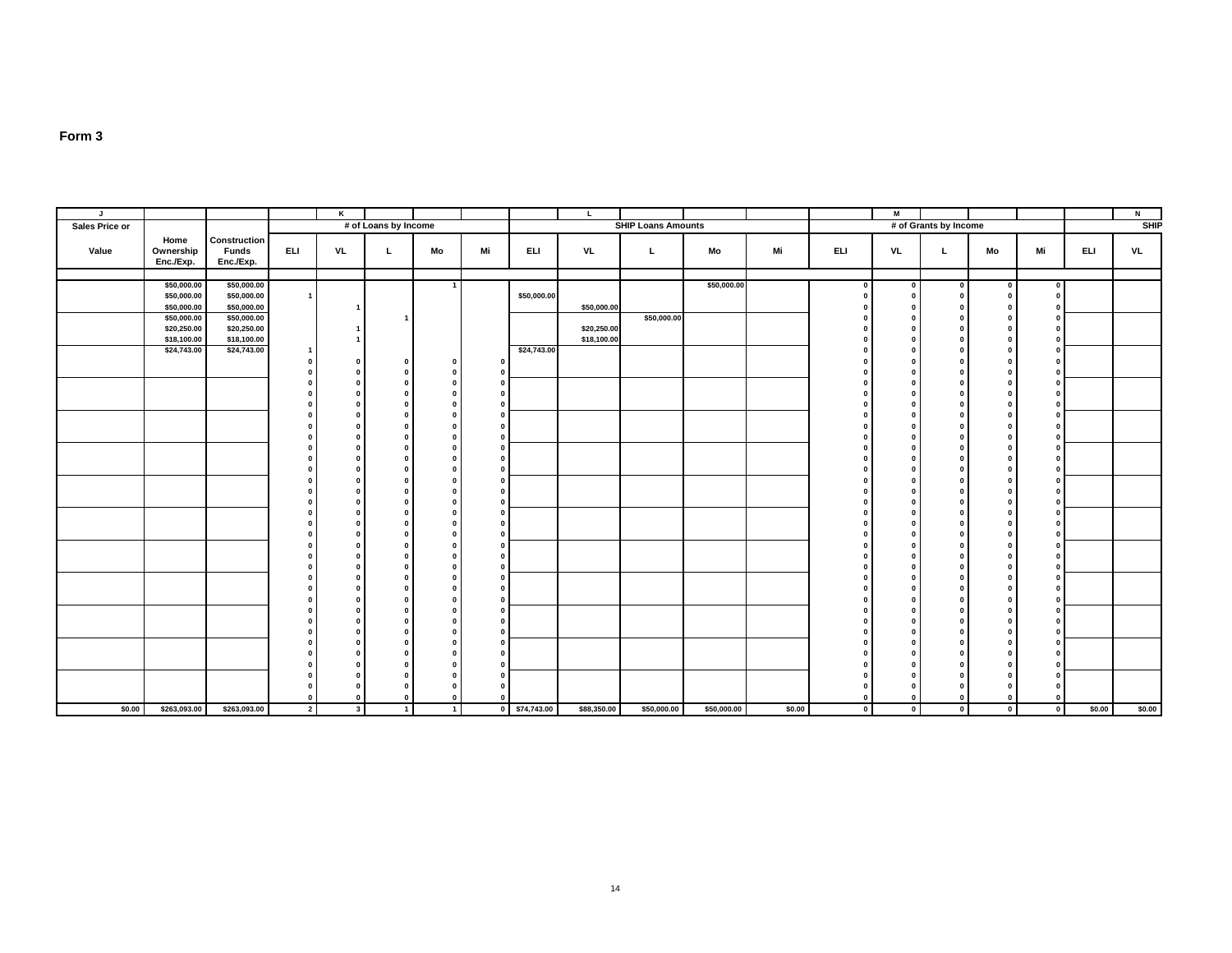| $\mathbf{J}$   |                            |                            |                | K              |                      |                |              |               | L.          |                           |             |        |              | M                       |                         |              |                          |            | N         |
|----------------|----------------------------|----------------------------|----------------|----------------|----------------------|----------------|--------------|---------------|-------------|---------------------------|-------------|--------|--------------|-------------------------|-------------------------|--------------|--------------------------|------------|-----------|
| Sales Price or |                            |                            |                |                | # of Loans by Income |                |              |               |             | <b>SHIP Loans Amounts</b> |             |        |              |                         | # of Grants by Income   |              |                          |            | SHP       |
|                | Home                       | Construction               |                |                |                      |                |              |               |             |                           |             |        |              |                         |                         |              |                          |            |           |
| Value          | Ownership                  | Funds                      | <b>ELI</b>     | <b>VL</b>      | $\mathbf{L}$         | Mo             | Mi           | ELI           | VL          | L.                        | Mo          | Mi     | ELI          | VL                      | L.                      | Mo           | Mi                       | <b>ELI</b> | <b>VL</b> |
|                | Enc./Exp.                  | Enc./Exp.                  |                |                |                      |                |              |               |             |                           |             |        |              |                         |                         |              |                          |            |           |
|                |                            |                            |                |                |                      |                |              |               |             |                           |             |        |              |                         |                         |              |                          |            |           |
|                | \$50,000.00                | \$50,000.00                |                |                |                      | $\overline{1}$ |              |               |             |                           | \$50,000.00 |        |              | $\mathbf{0}$            | $\mathbf 0$             | $\Omega$     | $\mathbf{0}$             |            |           |
|                | \$50,000.00                | \$50,000.00                | $\overline{1}$ |                |                      |                |              | \$50,000.00   |             |                           |             |        |              | $\Omega$                | $\Omega$                | $\Omega$     | $\bf{0}$                 |            |           |
|                | \$50,000.00<br>\$50,000.00 | \$50,000.00<br>\$50,000.00 |                |                |                      |                |              |               | \$50,000.00 | \$50,000.00               |             |        |              | $\Omega$                |                         |              | 0                        |            |           |
|                | \$20,250.00                | \$20,250.00                |                |                |                      |                |              |               | \$20,250.00 |                           |             |        |              | $\Omega$                | -0                      |              | $\Omega$                 |            |           |
|                | \$18,100.00                | \$18,100.00                |                |                |                      |                |              |               | \$18,100.00 |                           |             |        |              | $\Omega$                | $\Omega$                |              | 0                        |            |           |
|                | \$24,743.00                | \$24,743.00                |                |                |                      |                |              | \$24,743.00   |             |                           |             |        |              | $\Omega$                | -0                      |              | 0                        |            |           |
|                |                            |                            |                |                |                      | $\mathbf{0}$   | 0            |               |             |                           |             |        |              | $\Omega$                | $\mathbf{r}$            | - 0          | $\mathbf{0}$             |            |           |
|                |                            |                            |                |                |                      |                |              |               |             |                           |             |        |              | n                       | -0                      |              | $\bf{0}$                 |            |           |
|                |                            |                            |                |                |                      |                | $\Omega$     |               |             |                           |             |        |              | $\Omega$                | $\Omega$                | $\Omega$     | 0                        |            |           |
|                |                            |                            |                |                |                      |                | $\Omega$     |               |             |                           |             |        |              | $\Omega$                | $\mathbf{r}$            |              | 0                        |            |           |
|                |                            |                            |                |                |                      |                |              |               |             |                           |             |        |              | $\Omega$                | $\Omega$                |              | 0                        |            |           |
|                |                            |                            |                |                |                      |                |              |               |             |                           |             |        |              | $\Omega$                | -0                      |              | 0                        |            |           |
|                |                            |                            |                |                |                      |                |              |               |             |                           |             |        |              | $\Omega$                | -0                      |              | 0                        |            |           |
|                |                            |                            |                |                |                      |                |              |               |             |                           |             |        |              | $\Omega$                | -0                      |              | 0                        |            |           |
|                |                            |                            |                |                |                      |                | $\Omega$     |               |             |                           |             |        |              | $\Omega$                | - 0                     |              | 0                        |            |           |
|                |                            |                            |                |                |                      |                |              |               |             |                           |             |        |              | $\sqrt{2}$<br>$\Omega$  | -0                      |              | $\mathbf{0}$<br>$\bf{0}$ |            |           |
|                |                            |                            |                |                |                      |                | $\Omega$     |               |             |                           |             |        |              | n                       | -0                      |              | 0                        |            |           |
|                |                            |                            |                |                |                      |                |              |               |             |                           |             |        |              | $\Omega$                | $\Omega$                | $\Omega$     | $\bf{0}$                 |            |           |
|                |                            |                            |                |                |                      |                | n.           |               |             |                           |             |        |              | $\Omega$                | $\mathbf{r}$            |              | 0                        |            |           |
|                |                            |                            |                |                |                      |                | $\Omega$     |               |             |                           |             |        |              | - 0                     | -0                      |              | $\mathbf{0}$             |            |           |
|                |                            |                            |                |                |                      |                |              |               |             |                           |             |        |              | $\Omega$                |                         |              | $\mathbf{0}$             |            |           |
|                |                            |                            |                |                |                      |                |              |               |             |                           |             |        |              | $\Omega$                | - 0                     |              | 0                        |            |           |
|                |                            |                            |                |                |                      |                | $\Omega$     |               |             |                           |             |        |              | $\mathbf{0}$            | $\Omega$                | $\mathbf{r}$ | $\mathbf{0}$             |            |           |
|                |                            |                            |                |                |                      |                | n.           |               |             |                           |             |        |              | $\Omega$                | - 0                     | n            | 0                        |            |           |
|                |                            |                            |                |                |                      |                |              |               |             |                           |             |        |              | - 0                     | $\mathbf{r}$            |              | $\mathbf{0}$             |            |           |
|                |                            |                            |                |                |                      |                |              |               |             |                           |             |        |              | $\Omega$                | $\Omega$                |              | 0                        |            |           |
|                |                            |                            |                |                |                      |                |              |               |             |                           |             |        |              | $\Omega$                | $\mathbf{r}$            |              | $\bf{0}$                 |            |           |
|                |                            |                            |                |                |                      |                |              |               |             |                           |             |        |              | $\Omega$                | $\Omega$                | $\mathbf{r}$ | $\mathbf{0}$             |            |           |
|                |                            |                            |                |                |                      |                | $\Omega$     |               |             |                           |             |        |              | $\Omega$<br>$\sqrt{2}$  | $\mathbf{r}$<br>-0      |              | 0<br>$\mathbf{0}$        |            |           |
|                |                            |                            |                |                |                      |                |              |               |             |                           |             |        |              |                         |                         |              | 0                        |            |           |
|                |                            |                            |                |                |                      |                | $\Omega$     |               |             |                           |             |        |              | n                       | $\mathbf{r}$            |              | $\mathbf{0}$             |            |           |
|                |                            |                            |                |                |                      |                |              |               |             |                           |             |        |              | n                       | -0                      |              | $\bf{0}$                 |            |           |
|                |                            |                            |                |                |                      |                | 0            |               |             |                           |             |        |              | $\Omega$                | $\mathbf{r}$            |              | $\mathbf{0}$             |            |           |
|                |                            |                            |                |                |                      |                | $\Omega$     |               |             |                           |             |        |              |                         |                         |              | 0                        |            |           |
|                |                            |                            |                |                |                      |                |              |               |             |                           |             |        |              |                         | $\mathbf{0}$            |              | 0                        |            |           |
|                |                            |                            | $\Omega$       | $\Omega$       | $\mathbf 0$          | $\Omega$       | $\mathbf{0}$ |               |             |                           |             |        | $\mathbf{0}$ | $\Omega$                | 0                       |              | $\Omega$                 |            |           |
| \$0.00         | \$263,093.00               | \$263,093.00               | $\overline{2}$ | 3 <sup>1</sup> | $\overline{1}$       | $\overline{1}$ |              | 0 \$74,743.00 | \$88,350.00 | \$50,000.00               | \$50,000.00 | \$0.00 | $\mathbf{0}$ | $\overline{\mathbf{0}}$ | $\overline{\mathbf{0}}$ | $\circ$ 1    | $\mathbf{o}$             | \$0.00     | \$0.00    |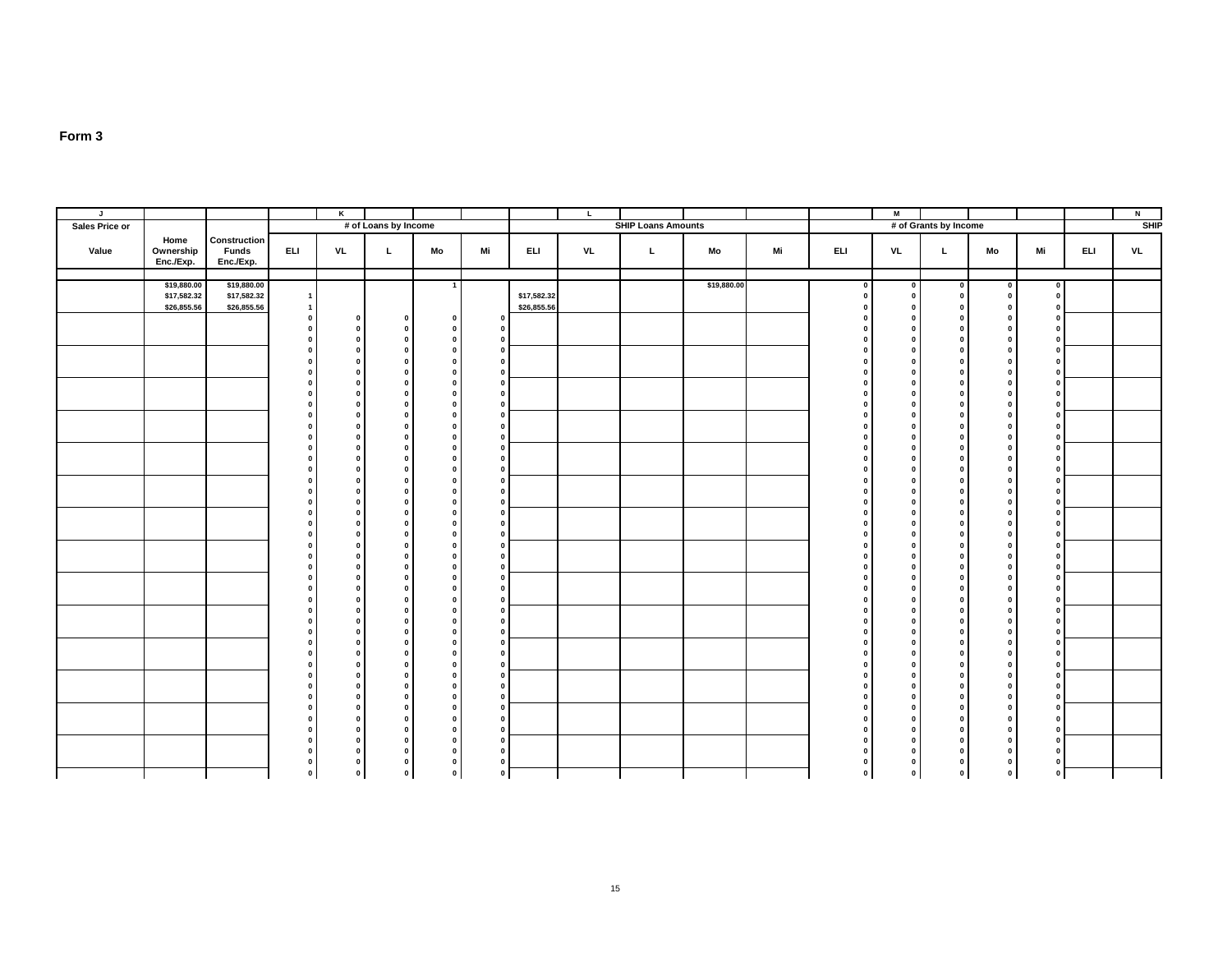| J              |                                |                                           |                              | $\overline{\mathbf{K}}$      |                              |                              |                                     |             | $\mathbf{L}$ |                           |             |    |              | $\blacksquare$                          |                                           |                              |                                |            | $\overline{N}$ |
|----------------|--------------------------------|-------------------------------------------|------------------------------|------------------------------|------------------------------|------------------------------|-------------------------------------|-------------|--------------|---------------------------|-------------|----|--------------|-----------------------------------------|-------------------------------------------|------------------------------|--------------------------------|------------|----------------|
| Sales Price or |                                |                                           |                              |                              | # of Loans by Income         |                              |                                     |             |              | <b>SHIP Loans Amounts</b> |             |    |              |                                         | # of Grants by Income                     |                              |                                |            | SHP            |
| Value          | Home<br>Ownership<br>Enc./Exp. | Construction<br><b>Funds</b><br>Enc./Exp. | <b>ELI</b>                   | <b>VL</b>                    | L                            | Mo                           | Mi                                  | ELI         | <b>VL</b>    | L.                        | Mo          | Mi | <b>ELI</b>   | <b>VL</b>                               | L.                                        | Mo                           | Mi                             | <b>ELI</b> | <b>VL</b>      |
|                |                                |                                           |                              |                              |                              |                              |                                     |             |              |                           |             |    |              |                                         |                                           |                              |                                |            |                |
|                | \$19,880.00<br>\$17,582.32     | \$19,880.00<br>\$17,582.32                | $\overline{1}$               |                              |                              | $\overline{1}$               |                                     | \$17,582.32 |              |                           | \$19,880.00 |    | $\mathbf{0}$ | $\overline{\mathbf{0}}$<br>$\mathbf{0}$ | $\overline{\mathbf{0}}$<br>$\overline{0}$ | $\circ$<br>$\mathbf 0$       | $\bullet$<br>$\mathbf{0}$      |            |                |
|                | \$26,855.56                    | \$26,855.56                               | $\overline{1}$               |                              |                              |                              |                                     | \$26,855.56 |              |                           |             |    |              | $\Omega$                                | $\mathbf{0}$                              | $\mathbf 0$                  | 0                              |            |                |
|                |                                |                                           | $\mathbf 0$                  | $\mathbf 0$                  | $\mathbf{0}$                 | $\mathbf{0}$                 |                                     |             |              |                           |             |    |              | $\Omega$                                | $\mathbf{0}$                              | $\mathbf{0}$                 | $\mathbf 0$                    |            |                |
|                |                                |                                           | $\pmb{0}$                    | $\mathbf 0$                  | $\mathbf{0}$                 | $\mathbf 0$                  | $\Omega$                            |             |              |                           |             |    |              | $\mathbf 0$                             | $\mathbf{0}$                              | $\mathbf 0$                  | $\mathbf 0$                    |            |                |
|                |                                |                                           | $\mathbf{0}$<br>$\Omega$     | $\pmb{0}$<br>$\mathbf{0}$    | $\mathbf{0}$<br>$\mathbf 0$  | $\mathbf 0$<br>$\mathbf{0}$  | 0<br>$\mathbf{0}$                   |             |              |                           |             |    |              | $\Omega$<br>$\mathbf{a}$                | $\mathbf{0}$<br>$\mathbf{0}$              | $\mathbf 0$<br>$\bf{0}$      | $\mathbf 0$<br>$\overline{0}$  |            |                |
|                |                                |                                           | $\Omega$                     | $\pmb{0}$                    | $\mathbf{0}$                 | $\mathbf{0}$                 | $\Omega$                            |             |              |                           |             |    |              | $\Omega$                                | $\mathbf{0}$                              | $\mathbf{0}$                 | $\mathbf{0}$                   |            |                |
|                |                                |                                           | $\mathbf{0}$                 | $\mathbf 0$                  | $\mathbf{0}$                 | $\mathbf{0}$                 | $\mathbf{0}$                        |             |              |                           |             |    |              | $\mathbf{0}$                            | $\mathbf{0}$                              | $\mathbf{0}$                 | $\overline{\mathbf{0}}$        |            |                |
|                |                                |                                           | $\mathbf{0}$                 | $\mathbf 0$                  | $\mathbf{0}$                 | $\mathbf{0}$                 | $\overline{0}$                      |             |              |                           |             |    |              | $\mathbf{0}$                            | $\mathbf{0}$                              | $\bf{0}$                     | $\mathbf{0}$                   |            |                |
|                |                                |                                           | $\Omega$<br>$\mathbf{0}$     | $\mathbf 0$<br>$\mathbf{0}$  | $\mathbf{0}$<br>$\mathbf{0}$ | $\mathbf{0}$                 | $\mathbf{0}$<br>$\mathbf{0}$        |             |              |                           |             |    |              | $\Omega$<br>$\mathbf{0}$                | $\mathbf{0}$<br>$\mathbf 0$               | $\bf{0}$                     | $\mathbf{0}$                   |            |                |
|                |                                |                                           | $\mathbf{0}$                 | $\pmb{0}$                    | $\mathbf{0}$                 | $\mathbf{0}$<br>$\mathbf 0$  | $\mathbf{0}$                        |             |              |                           |             |    |              | $\Omega$                                | $\mathbf{0}$                              | $\mathbf 0$<br>$\mathbf{0}$  | $\mathbf 0$<br>$\mathbf{0}$    |            |                |
|                |                                |                                           | $\Omega$                     | $\mathbf 0$                  | $\mathbf{0}$                 | $\mathbf{0}$                 | $\overline{\mathbf{0}}$             |             |              |                           |             |    |              | $\Omega$                                | $\mathbf{0}$                              | $\bf{0}$                     | $\overline{\mathbf{0}}$        |            |                |
|                |                                |                                           | $\mathbf{0}$                 | $\pmb{0}$                    | $\mathbf{0}$                 | $\mathbf{0}$                 | $\mathbf{0}$                        |             |              |                           |             |    |              | $\mathbf{0}$                            | $\mathbf{0}$                              | $\bf{0}$                     | $\overline{0}$                 |            |                |
|                |                                |                                           | $\mathbf{0}$<br>$\mathbf{0}$ | $\mathbf{0}$                 | $\mathbf{0}$<br>$\mathbf{0}$ | $\mathbf{0}$                 | $\mathbf{0}$                        |             |              |                           |             |    |              | $\mathbf{0}$<br>$\mathbf{0}$            | $\mathbf{0}$<br>$\mathbf{0}$              | $\mathbf{0}$<br>$\mathbf{0}$ | $\mathbf{0}$                   |            |                |
|                |                                |                                           | $\mathbf{0}$                 | $\mathbf{0}$<br>$\mathbf{0}$ | $\mathbf{0}$                 | $\mathbf{0}$<br>$\mathbf 0$  | $\overline{\mathbf{0}}$<br>$\Omega$ |             |              |                           |             |    |              | $\mathbf 0$                             | $\mathbf 0$                               | $\mathbf 0$                  | $\bullet$<br>$\mathbf{0}$      |            |                |
|                |                                |                                           | $\Omega$                     | $\mathbf{0}$                 | $\mathbf{0}$                 | $\mathbf 0$                  | $\mathbf{0}$                        |             |              |                           |             |    |              | $\Omega$                                | $\mathbf{0}$                              | $\mathbf 0$                  | $\overline{0}$                 |            |                |
|                |                                |                                           | $\mathbf{0}$                 | $\mathbf{0}$                 | $\mathbf{0}$                 | $\mathbf{0}$                 | $\overline{\mathbf{0}}$             |             |              |                           |             |    | $\Omega$     | $\Omega$                                | $\mathbf{0}$                              | $\mathbf 0$                  | $\overline{0}$                 |            |                |
|                |                                |                                           | $\Omega$                     | $\pmb{0}$                    | $\mathbf{0}$                 | $\mathbf{0}$                 | 0                                   |             |              |                           |             |    |              | $\Omega$                                | $\mathbf{0}$                              | $\mathbf{0}$                 | $\mathbf{0}$                   |            |                |
|                |                                |                                           | $\mathbf{0}$<br>$\mathbf{0}$ | $\mathbf 0$<br>$\mathbf 0$   | $\mathbf{0}$<br>$\mathbf{0}$ | $\mathbf{0}$<br>$\mathbf{0}$ | $\mathbf{0}$<br>$\mathbf{0}$        |             |              |                           |             |    |              | $\mathbf{0}$<br>$\mathbf{0}$            | $\mathbf{0}$<br>$\mathbf{0}$              | $\mathbf{0}$<br>$\mathbf{0}$ | $\mathbf{0}$<br>$\overline{0}$ |            |                |
|                |                                |                                           | $\Omega$                     | $\mathbf 0$                  | $\mathbf{0}$                 | $\mathbf{0}$                 | $\mathbf{0}$                        |             |              |                           |             |    |              | $\Omega$                                | $\mathbf{0}$                              | $\bf{0}$                     | $\mathbf 0$                    |            |                |
|                |                                |                                           | $\mathbf{0}$                 | $\mathbf 0$                  | $\mathbf{0}$                 | $\mathbf 0$                  | $\overline{\mathbf{0}}$             |             |              |                           |             |    |              | $\mathbf 0$                             | $\mathbf 0$                               | $\mathbf 0$                  | $\overline{0}$                 |            |                |
|                |                                |                                           | $\mathbf 0$                  | $\mathbf{0}$                 | $\mathbf{0}$                 | $\mathbf 0$                  | $\mathbf{0}$                        |             |              |                           |             |    |              | $\mathbf 0$                             | $\mathbf{0}$                              | $\mathbf 0$                  | $\circ$                        |            |                |
|                |                                |                                           | $\mathbf{0}$<br>$\mathbf{0}$ | $\mathbf 0$<br>$\pmb{0}$     | $\mathbf{0}$<br>$\mathbf{0}$ | $\mathbf 0$<br>$\mathbf{0}$  | $\mathbf 0$<br>$\mathbf{0}$         |             |              |                           |             |    |              | $\mathbf 0$<br>$\mathbf 0$              | $\mathbf{0}$<br>$\mathbf{0}$              | $\mathbf 0$<br>$\mathbf{0}$  | $\mathbf 0$<br>$\mathbf{0}$    |            |                |
|                |                                |                                           | $\Omega$                     | $\pmb{0}$                    | $\mathbf{0}$                 | $\mathbf{0}$                 | $\mathbf 0$                         |             |              |                           |             |    |              | $\Omega$                                | $\mathbf{0}$                              | $\mathbf 0$                  | $\overline{0}$                 |            |                |
|                |                                |                                           | $\mathbf{0}$                 | $\pmb{0}$                    | $\mathbf{0}$                 | $\mathbf{0}$                 | $\mathbf{0}$                        |             |              |                           |             |    |              | $\Omega$                                | $\mathbf{0}$                              | $\bf{0}$                     | $\overline{0}$                 |            |                |
|                |                                |                                           | $\mathbf{0}$                 | $\pmb{0}$                    | $\mathbf{0}$                 | $\mathbf{0}$                 | $\mathbf{0}$                        |             |              |                           |             |    |              | $\Omega$                                | $\mathbf{0}$                              | $\mathbf{0}$                 | $\pmb{0}$                      |            |                |
|                |                                |                                           | $\mathbf{0}$<br>$\Omega$     | $\mathbf{0}$<br>$\mathbf{0}$ | $\mathbf{0}$<br>$\mathbf{0}$ | $\mathbf{0}$<br>$\mathbf{0}$ | $\Omega$<br>$\Omega$                |             |              |                           |             |    |              | $\mathbf{0}$<br>$\mathbf{0}$            | $\mathbf{0}$<br>$\mathbf{0}$              | $\mathbf{0}$<br>$\mathbf{0}$ | $\mathbf{0}$<br>$\mathbf{0}$   |            |                |
|                |                                |                                           | $\Omega$                     | $\mathbf{0}$                 | $\mathbf{0}$                 | $\mathbf{0}$                 | $\mathbf{0}$                        |             |              |                           |             |    |              | $\Omega$                                | $\mathbf{0}$                              | $\mathbf{0}$                 | $\overline{0}$                 |            |                |
|                |                                |                                           | $\mathbf{0}$                 | $\mathbf 0$                  | $\mathbf{0}$                 | $\mathbf{0}$                 | $\Omega$                            |             |              |                           |             |    |              | $\Omega$                                | $\mathbf{0}$                              | $\bf{0}$                     | $\mathbf 0$                    |            |                |
|                |                                |                                           | $\mathbf{0}$                 | $\mathbf 0$                  | $\mathbf{0}$                 | $\mathbf 0$                  | $\mathbf 0$                         |             |              |                           |             |    |              | $\mathbf{0}$                            | $\mathbf{0}$                              | $\mathbf 0$                  | $\circ$                        |            |                |
|                |                                |                                           | $\Omega$<br>$\Omega$         | $\mathbf 0$<br>$\pmb{0}$     | $\mathbf{0}$<br>$\mathbf 0$  | $\mathbf{0}$<br>$\mathbf{0}$ | $\mathbf{0}$<br>$\Omega$            |             |              |                           |             |    |              | $\Omega$<br>$\Omega$                    | $\mathbf{0}$<br>$\mathbf{0}$              | $\mathbf{0}$<br>$\mathbf{0}$ | $\pmb{0}$<br>$\mathbf{0}$      |            |                |
|                |                                |                                           | $\Omega$                     | $\mathbf 0$                  | $\mathbf{0}$                 | $\mathbf{0}$                 | $\mathbf 0$                         |             |              |                           |             |    |              | $\Omega$                                | $\mathbf{0}$                              | $\mathbf{0}$                 | $\bullet$                      |            |                |
|                |                                |                                           | $\mathbf{0}$                 | $\mathbf 0$                  | $\mathbf{0}$                 | $\mathbf{0}$                 | $\Omega$                            |             |              |                           |             |    |              | $\Omega$                                | $\mathbf{0}$                              | $\mathbf{0}$                 | $\mathbf{0}$                   |            |                |
|                |                                |                                           | $\mathbf 0$                  | $\pmb{0}$                    | $\mathbf{0}$                 | $\mathbf 0$                  | $\mathbf 0$                         |             |              |                           |             |    |              | $\Omega$                                | $\mathbf{0}$                              | $\mathbf 0$                  | $\mathbf 0$                    |            |                |
|                |                                |                                           | $\mathbf 0$<br>$\mathbf{0}$  | $\mathbf 0$<br>$\mathbf{0}$  | $\mathbf{0}$<br>$\mathbf 0$  | $\mathbf 0$<br>$\mathbf{0}$  | $\Omega$                            |             |              |                           |             |    | $\Omega$     | $\mathbf{0}$<br>$\Omega$                | $\overline{0}$<br>$\mathbf{0}$            | $\mathbf 0$<br>$\mathbf 0$   | $\mathbf 0$<br>$\mathbf{0}$    |            |                |
|                |                                |                                           | $\pmb{0}$                    | $\mathbf 0$                  | $\mathbf 0$                  | $\mathbf 0$                  | $\Omega$                            |             |              |                           |             |    |              | $\Omega$                                | $\mathbf 0$                               | $\mathbf 0$                  | $\mathbf 0$                    |            |                |
|                |                                |                                           | $\pmb{0}$                    | $\mathbf{o}$                 | $\pmb{0}$                    | $\mathbf 0$                  |                                     |             |              |                           |             |    |              | $\Omega$                                | $\bullet$                                 | $\mathbf 0$                  | $\pmb{0}$                      |            |                |
|                |                                |                                           | $\mathbf 0$                  | $\bullet$                    | $\mathbf 0$                  | $\mathbf{0}$                 | $\overline{\mathbf{0}}$             |             |              |                           |             |    | $\circ$      | $\bullet$                               | $\circ$                                   | $\mathbf{0}$                 |                                | $\circ$    |                |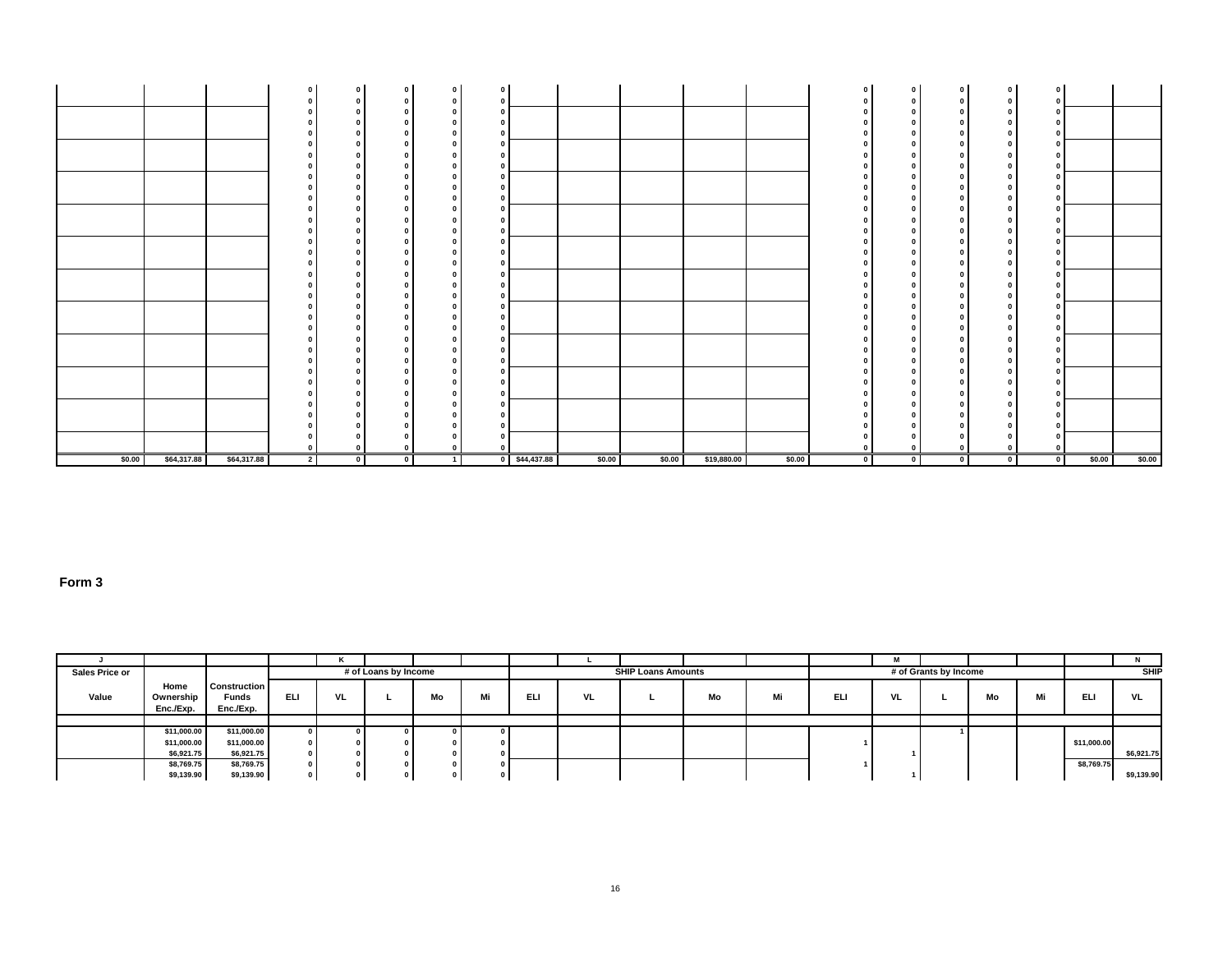|        |             |             |                | $\Omega$ |           | $\Omega$<br>0 |                 |        |        |             |        | $\Omega$                 | $\mathbf 0$<br>0           | $\mathbf{0}$<br>$\Omega$ | $\Omega$<br>0 | $\mathbf 0$<br>0             |        |        |
|--------|-------------|-------------|----------------|----------|-----------|---------------|-----------------|--------|--------|-------------|--------|--------------------------|----------------------------|--------------------------|---------------|------------------------------|--------|--------|
|        |             |             |                |          |           | $\Omega$      |                 |        |        |             |        |                          | $\mathbf 0$<br>$\mathbf 0$ | $\Omega$<br>n            |               | $\mathbf{0}$                 |        |        |
|        |             |             |                |          |           |               |                 |        |        |             |        |                          | $\Omega$                   |                          |               | $\Omega$                     |        |        |
|        |             |             |                |          |           |               |                 |        |        |             |        |                          | $\mathbf 0$<br>$\Omega$    |                          |               | $\mathbf{0}$                 |        |        |
|        |             |             |                |          |           |               |                 |        |        |             |        |                          | 0<br>0<br>$\Omega$         |                          |               | $\mathbf{0}$                 |        |        |
|        |             |             |                |          |           |               |                 |        |        |             |        |                          | 0                          |                          |               | $\Omega$                     |        |        |
|        |             |             |                |          |           |               |                 |        |        |             |        |                          | 0<br>$\Omega$<br>$\Omega$  |                          |               | $\mathbf{0}$<br>- 0          |        |        |
|        |             |             |                |          |           |               |                 |        |        |             |        |                          | $\Omega$<br>$\Omega$       |                          |               | $\Omega$                     |        |        |
|        |             |             |                |          |           |               |                 |        |        |             |        |                          | $\Omega$<br>$\Omega$       |                          |               | $\Omega$                     |        |        |
|        |             |             |                |          |           | o             |                 |        |        |             |        |                          | 0<br>0                     |                          |               | $\mathbf{0}$                 |        |        |
|        |             |             |                |          |           | o             |                 |        |        |             |        |                          | $\Omega$<br>$\Omega$       |                          |               | $\mathbf{0}$                 |        |        |
|        |             |             |                |          |           |               |                 |        |        |             |        |                          | $\Omega$<br>$\Omega$       |                          |               | $\Omega$<br>$\Omega$         |        |        |
|        |             |             |                |          |           |               |                 |        |        |             |        |                          | $\Omega$<br>0              |                          |               |                              |        |        |
|        |             |             |                |          |           |               |                 |        |        |             |        |                          | 0<br>0                     |                          |               | $\mathbf{0}$                 |        |        |
|        |             |             |                |          |           | o<br>o        |                 |        |        |             |        |                          | 0<br>$\Omega$              |                          |               | $\mathbf{0}$<br>$\mathbf{0}$ |        |        |
|        |             |             |                |          |           |               |                 |        |        |             |        |                          | $\Omega$<br>$\Omega$       |                          |               | n<br>0                       |        |        |
|        |             |             | 0              | 0        |           | 0             |                 |        |        |             |        | 0                        | $\Omega$<br>$\mathbf{0}$   | $\mathbf{0}$             | 0             | $\Omega$<br>$\mathbf 0$      |        |        |
| \$0.00 | \$64,317.88 | \$64,317.88 | $\overline{2}$ | <b>o</b> | $\bullet$ | 1             | $0$ \$44,437.88 | \$0.00 | \$0.00 | \$19,880.00 | \$0.00 | $\overline{\phantom{a}}$ | $\overline{\mathbf{0}}$    | $\overline{\phantom{a}}$ | $\bullet$     | $\overline{\phantom{a}}$     | \$0.00 | \$0.00 |

| Sales Price or |                                |                                                  |              |    | # of Loans by Income |    |     |     |    | <b>SHIP Loans Amounts</b> |    |    |            | # of Grants by Income |    |    |             | <b>SHIP</b> |
|----------------|--------------------------------|--------------------------------------------------|--------------|----|----------------------|----|-----|-----|----|---------------------------|----|----|------------|-----------------------|----|----|-------------|-------------|
| Value          | Home<br>Ownership<br>Enc./Exp. | <b>Construction</b><br><b>Funds</b><br>Enc./Exp. | ELI          | VL |                      | Mo | Mi  | ELI | VL |                           | Mo | Mi | <b>ELI</b> |                       | Mo | Mi | ELI         | VL          |
|                |                                |                                                  |              |    |                      |    |     |     |    |                           |    |    |            |                       |    |    |             |             |
|                | \$11.000.00                    | \$11,000.00                                      |              |    |                      |    |     |     |    |                           |    |    |            |                       |    |    |             |             |
|                | \$11,000.00                    | \$11,000.00                                      |              |    |                      |    |     |     |    |                           |    |    |            |                       |    |    | \$11,000.00 |             |
|                | \$6,921.75                     | \$6,921.75                                       |              |    |                      |    |     |     |    |                           |    |    |            |                       |    |    |             | \$6,921.75  |
|                | \$8,769.75                     | \$8,769.75                                       | <sub>n</sub> |    |                      |    |     |     |    |                           |    |    |            |                       |    |    | \$8,769.75  |             |
|                | \$9,139.90                     | \$9,139.90                                       | <sub>n</sub> |    |                      |    | - 0 |     |    |                           |    |    |            |                       |    |    |             | \$9,139.90  |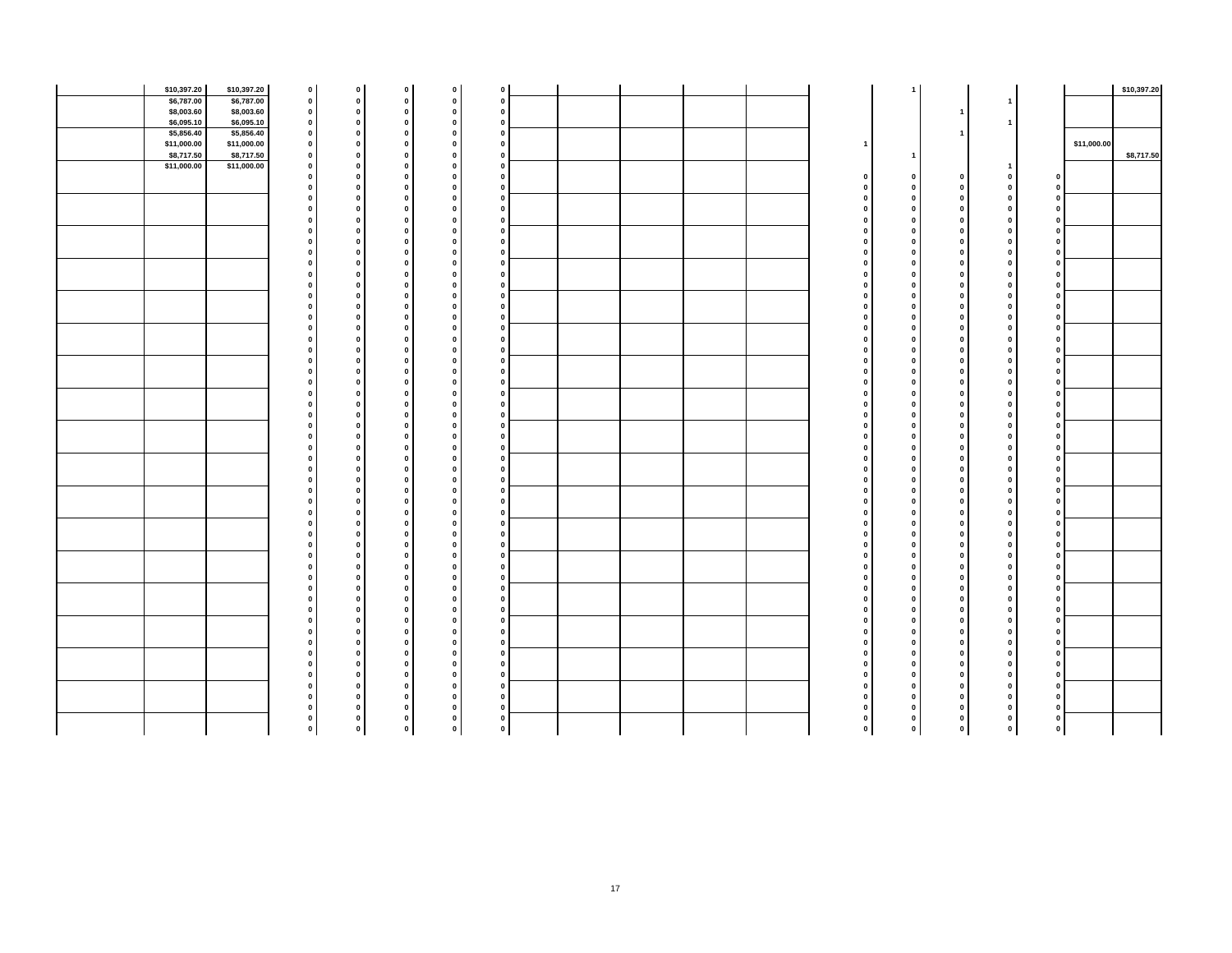|             | \$10,397.20<br>\$10,397.20 | $\mathbf 0$  |              | $\mathbf 0$  | $\mathbf 0$  | $\pmb{0}$                    |   |  |  |          |              |              |                |                         |             | \$10,397.20 |
|-------------|----------------------------|--------------|--------------|--------------|--------------|------------------------------|---|--|--|----------|--------------|--------------|----------------|-------------------------|-------------|-------------|
|             | \$6,787.00<br>\$6,787.00   | $\mathbf{0}$ |              | $\mathbf 0$  | $\mathbf{0}$ | $\mathbf 0$                  |   |  |  |          |              |              |                |                         |             |             |
|             | \$8,003.60<br>\$8,003.60   | $\mathbf{0}$ |              | $\mathbf 0$  | $\mathbf{0}$ | $\mathbf 0$<br>$\mathbf{0}$  |   |  |  |          |              |              |                |                         |             |             |
|             | \$6,095.10<br>\$6,095.10   | $\mathbf{0}$ |              | $\mathbf 0$  | 0            | $\mathbf{0}$<br>$\mathbf{0}$ |   |  |  |          |              |              |                |                         |             |             |
|             | \$5,856.40<br>\$5,856.40   | $\Omega$     |              | $\mathbf 0$  | 0            | 0<br>$\mathbf{0}$            |   |  |  |          |              |              |                |                         |             |             |
|             | \$11,000.00<br>\$11,000.00 | $\mathbf{0}$ |              | $\mathbf 0$  | $\mathbf{0}$ | 0<br>$\mathbf 0$             |   |  |  |          |              |              |                |                         | \$11,000.00 |             |
|             | \$8,717.50<br>\$8,717.50   | $\mathbf 0$  |              | $\mathbf 0$  | 0            | 0<br>$\mathbf 0$             |   |  |  |          |              |              |                |                         |             | \$8,717.50  |
| \$11,000.00 | \$11,000.00                | $\mathbf{0}$ |              | $\mathbf 0$  | $\mathbf{0}$ | $\pmb{0}$<br>$\mathbf 0$     |   |  |  |          |              |              | $\overline{1}$ |                         |             |             |
|             |                            | $\Omega$     |              | $\pmb{0}$    | 0            | $\mathbf 0$<br>$\mathbf{0}$  |   |  |  |          | $\mathbf{0}$ | $\mathbf 0$  | $\mathbf{0}$   | $\mathbf 0$             |             |             |
|             |                            |              |              | $\pmb{0}$    | 0            | 0<br>$\mathbf{0}$            |   |  |  |          | $\mathbf{0}$ | $\mathbf{0}$ | $\mathbf 0$    | $\mathbf{0}$            |             |             |
|             |                            |              |              | $\pmb{0}$    | 0            | 0<br>$\mathbf{0}$            |   |  |  |          | $\mathbf 0$  | $\mathbf 0$  | $\mathbf 0$    | $\circ$                 |             |             |
|             |                            |              |              | $\mathbf 0$  | 0            | $\bullet$<br>$\mathbf 0$     |   |  |  |          | $\mathbf 0$  | 0            | $\mathbf 0$    | $\mathbf 0$             |             |             |
|             |                            |              | $\mathbf{0}$ |              |              | $\mathbf 0$<br>$\Omega$      |   |  |  |          | $\mathbf{0}$ | $\mathbf{0}$ | $\mathbf{0}$   | $\mathbf{0}$            |             |             |
|             |                            |              |              | $\mathbf 0$  | $\Omega$     | 0<br>$\mathbf 0$             |   |  |  |          | $\mathbf 0$  | $\bf{0}$     | $\mathbf{0}$   | $\circ$                 |             |             |
|             |                            |              | $\mathbf 0$  |              |              | 0<br>$\mathbf{0}$            |   |  |  |          | $\mathbf{0}$ | $\mathbf 0$  | $\mathbf 0$    | $\mathbf{0}$            |             |             |
|             |                            |              |              | $\mathbf 0$  | 0            | $\bullet$<br>$\mathbf{0}$    |   |  |  |          | $\mathbf{0}$ | $\Omega$     | $\mathbf{0}$   | $\mathbf 0$             |             |             |
|             |                            |              | $\mathbf 0$  |              |              | 0<br>$\mathbf 0$             |   |  |  |          | $\mathbf{0}$ | $\mathbf 0$  | $\mathbf 0$    | $\circ$                 |             |             |
|             |                            |              |              | $\mathbf 0$  |              | 0<br>$\mathbf{0}$            |   |  |  |          | $\mathbf{0}$ | $\mathbf{0}$ | $\mathbf 0$    | $\bullet$               |             |             |
|             |                            |              |              | $\mathbf 0$  |              | 0                            |   |  |  |          | $\mathbf{0}$ | $\mathbf{0}$ | $\pmb{0}$      | $\mathbf{0}$            |             |             |
|             |                            |              |              | $\mathbf 0$  | 0            | 0<br>$\mathbf 0$             |   |  |  |          | $\mathbf 0$  | 0            | $\mathbf 0$    | $\circ$                 |             |             |
|             |                            |              | $\mathbf 0$  |              | $\Omega$     | 0<br>$\mathbf 0$             |   |  |  |          | $\mathbf 0$  | $\mathbf 0$  | $\mathbf{0}$   | $\mathbf{0}$            |             |             |
|             |                            |              |              | $\mathbf 0$  | $\Omega$     | $\mathbf 0$                  |   |  |  |          | $\bf{0}$     | $\bf{0}$     | $\mathbf{0}$   | 0                       |             |             |
|             |                            |              |              | $\mathbf 0$  | $\Omega$     | 0<br>$\mathbf 0$             |   |  |  |          | 0            | $\mathbf 0$  | $\pmb{0}$      | $\circ$                 |             |             |
|             |                            |              |              | $\pmb{0}$    | 0            | $\pmb{0}$<br>$\mathbf{0}$    |   |  |  |          | $\mathbf 0$  | $\mathbf 0$  | $\pmb{0}$      | $\circ$                 |             |             |
|             |                            |              | $\mathbf 0$  |              |              | 0                            |   |  |  |          | $\bf{0}$     | $\mathbf{0}$ | $\mathbf{0}$   | $\mathbf 0$             |             |             |
|             |                            |              |              | $\mathbf 0$  | $\sqrt{2}$   | $\mathbf 0$<br>$\mathbf 0$   |   |  |  |          | $\Omega$     | $\mathbf 0$  | $\pmb{0}$      | $\mathbf 0$             |             |             |
|             |                            |              |              | $\pmb{0}$    |              | $\pmb{0}$<br>$\mathbf 0$     |   |  |  |          | $\mathbf 0$  | $\mathbf{0}$ | $\pmb{0}$      | $\mathbf 0$             |             |             |
|             |                            |              |              | $\mathbf 0$  | $\Omega$     | $\mathbf{0}$<br>0            |   |  |  |          | $\mathbf{0}$ | $\mathbf 0$  | $\mathbf{0}$   | $\mathbf{0}$            |             |             |
|             |                            |              | $\mathbf 0$  |              | $\Omega$     | $\mathbf 0$<br>$\mathbf{0}$  |   |  |  |          | $\mathbf 0$  | $\mathbf{0}$ | $\mathbf{0}$   | $\mathbf 0$             |             |             |
|             |                            |              |              | $\mathbf 0$  | $\Omega$     | $\pmb{0}$<br>$\mathbf{0}$    |   |  |  |          | $\bf{0}$     | $\mathbf{0}$ | $\mathbf{0}$   | 0                       |             |             |
|             |                            |              | $\mathbf 0$  |              | $\Omega$     | $\mathbf 0$<br>$\mathbf{0}$  |   |  |  |          | $\mathbf 0$  | $\mathbf{0}$ | $\mathbf{0}$   | $\circ$                 |             |             |
|             |                            |              |              | 0            | $\Omega$     | $\mathbf{0}$<br>0            |   |  |  |          | $\mathbf 0$  | $\mathbf 0$  | $\mathbf 0$    | $\circ$                 |             |             |
|             |                            |              | $\mathbf 0$  |              | 0            | $\bullet$<br>$\mathbf{0}$    |   |  |  |          | $\mathbf 0$  | $\mathbf{0}$ | $\mathbf{0}$   | $\mathbf{0}$            |             |             |
|             |                            |              |              | $\mathbf 0$  | $\Omega$     | $\mathbf 0$<br>$\Omega$      |   |  |  |          | $\bf{0}$     | $\mathbf 0$  | $\mathbf{0}$   | $\mathbf 0$             |             |             |
|             |                            |              |              | $\pmb{0}$    | $\Omega$     | $\bullet$<br>$\mathbf{0}$    |   |  |  |          | $\mathbf{0}$ | $\mathbf 0$  | $\mathbf{0}$   | $\circ$                 |             |             |
|             |                            |              | $\mathbf 0$  |              | 0            | $\mathbf 0$<br>$\mathbf{0}$  |   |  |  |          | $\mathbf 0$  | $\mathbf 0$  | $\mathbf{0}$   | $\mathbf 0$             |             |             |
|             |                            |              |              | $\pmb{0}$    | $\Omega$     | $\bullet$<br>$\mathbf{0}$    |   |  |  |          | $\mathbf{0}$ | $\mathbf 0$  | $\mathbf{0}$   | $\mathbf{0}$            |             |             |
|             |                            |              |              | $\mathbf 0$  | $\Omega$     | 0<br>$\mathbf{0}$            |   |  |  |          | $\bf{0}$     | $\mathbf 0$  | $\mathbf{0}$   | $\circ$                 |             |             |
|             |                            |              | $\mathbf 0$  |              | 0            | $\mathbf 0$                  |   |  |  |          | $\mathbf{0}$ | $\mathbf{0}$ | $\mathbf{0}$   | $\mathbf{0}$            |             |             |
|             |                            |              | $\mathbf 0$  |              | $\Omega$     | 0<br>$\mathbf{0}$            |   |  |  |          | $\mathbf{0}$ | $\mathbf 0$  | $\mathbf{0}$   | $\mathbf{0}$            |             |             |
|             |                            |              |              | $\pmb{0}$    | 0            | $\bullet$<br>$\pmb{0}$       |   |  |  |          | $\mathbf 0$  | $\mathbf 0$  | $\mathbf{0}$   | $\circ$                 |             |             |
|             |                            |              |              | $\mathbf 0$  | 0            | $\mathbf{0}$<br>$\mathbf{0}$ |   |  |  |          | $\mathbf{0}$ | $\mathbf{0}$ | $\mathbf{0}$   | $\mathbf{0}$            |             |             |
|             |                            |              |              | $\mathbf 0$  | $\Omega$     | 0                            |   |  |  |          | $\mathbf{0}$ | $\mathbf{0}$ | $\mathbf{0}$   | $\mathbf 0$             |             |             |
|             |                            |              | $\mathbf 0$  |              | $\mathbf{0}$ | 0<br>$\pmb{0}$               |   |  |  |          | $\mathbf 0$  | $\mathbf 0$  | $\mathbf 0$    | $\circ$                 |             |             |
|             |                            |              |              | $\pmb{0}$    | $\Omega$     | $\bullet$<br>$\mathbf{0}$    |   |  |  |          | $\mathbf{0}$ | $\mathbf{0}$ | $\mathbf{0}$   | $\circ$                 |             |             |
|             |                            |              | $\Omega$     |              | $\Omega$     | 0<br>$\Omega$                |   |  |  |          | $\mathbf{0}$ | $\mathbf 0$  | $\mathbf 0$    | $\mathbf{0}$            |             |             |
|             |                            |              |              | $\mathbf 0$  | 0            | $\mathbf 0$<br>$\mathbf 0$   |   |  |  |          | $\mathbf 0$  | $\mathbf{0}$ | $\mathbf 0$    | $\mathbf{0}$            |             |             |
|             |                            |              | $\mathbf 0$  |              | $\Omega$     | $\pmb{0}$<br>$\mathbf{0}$    |   |  |  |          | $\mathbf{0}$ | $\mathbf 0$  | $\mathbf{0}$   | $\mathbf{0}$            |             |             |
|             |                            |              |              | $\mathbf 0$  | 0            | $\bullet$<br>$\mathbf{0}$    |   |  |  |          | $\mathbf 0$  | $\mathbf 0$  | $\mathbf{0}$   | $\mathbf{0}$            |             |             |
|             |                            |              | $\mathbf{0}$ |              | 0            | $\pmb{0}$<br>$\mathbf 0$     |   |  |  |          | $\mathbf 0$  | $\mathbf 0$  | $\pmb{0}$      | $\mathbf{0}$            |             |             |
|             |                            |              |              | $\mathbf{0}$ | $\Omega$     | $\bullet$<br>$\mathbf{0}$    |   |  |  |          | $\mathbf{0}$ | $\mathbf{0}$ | $\mathbf{0}$   | $\mathbf{0}$            |             |             |
|             |                            |              | $\mathbf{0}$ |              | 0            | 0<br>$\mathbf{0}$            |   |  |  |          | $\mathbf{0}$ | $\mathbf 0$  | $\mathbf{0}$   | $\mathbf{0}$            |             |             |
|             |                            |              |              | $\mathbf 0$  | $\Omega$     | $\bullet$<br>$\mathbf 0$     |   |  |  |          | $\mathbf 0$  | $\mathbf 0$  | $\mathbf 0$    | 0                       |             |             |
|             |                            |              | $\mathbf{0}$ |              | $\Omega$     | 0<br>$\mathbf{0}$            |   |  |  |          | $\mathbf{0}$ | $\mathbf{0}$ | $\mathbf{0}$   | 0                       |             |             |
|             |                            |              |              | $\mathbf 0$  | $\mathbf{0}$ | $\mathbf 0$<br>$\mathbf{0}$  |   |  |  |          | $\mathbf 0$  | $\pmb{0}$    | $\mathbf 0$    | $\circ$                 |             |             |
|             |                            |              |              | $\pmb{0}$    | 0            | $\mathbf 0$<br>$\mathbf 0$   |   |  |  |          | $\mathbf 0$  | $\mathbf 0$  | $\mathbf 0$    | $\mathbf 0$             |             |             |
|             |                            |              |              | $\pmb{0}$    | 0            | $\mathbf 0$<br>$\mathbf{0}$  |   |  |  |          | $\mathbf 0$  | $\mathbf 0$  | $\mathbf 0$    | 0                       |             |             |
|             |                            |              | $\mathbf 0$  |              |              | 0                            |   |  |  |          | $\bf{0}$     | 0            | $\mathbf 0$    | 0                       |             |             |
|             |                            |              |              | $\mathbf 0$  | 0            | 0<br>$\pmb{0}$               |   |  |  |          | $\mathbf{0}$ | $\mathbf 0$  | $\mathbf 0$    | $\mathbf{0}$            |             |             |
|             |                            |              |              | $\mathbf 0$  | $\mathbf 0$  | $\mathbf{0}$                 | 0 |  |  | <b>n</b> | $\mathbf 0$  | $\bullet$    | $\mathbf{0}$   | $\overline{\mathbf{0}}$ |             |             |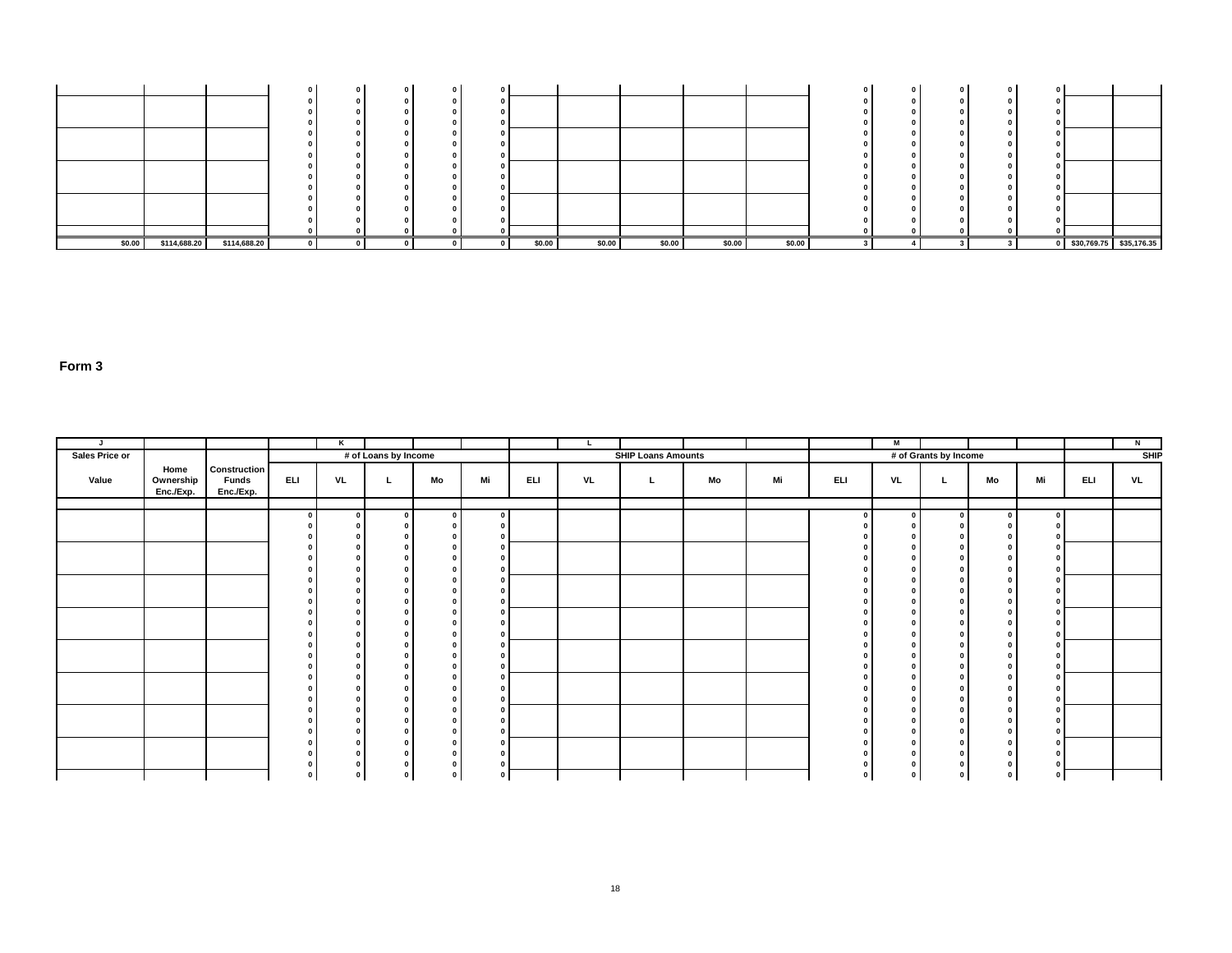| \$0.00 | \$114,688.20 | \$114,688.20 |  |  | \$0.00 | \$0.00 | \$0.00 | \$0.00 | \$0.00 |  |  |  | \$30,769.75 \$35,176.35 |
|--------|--------------|--------------|--|--|--------|--------|--------|--------|--------|--|--|--|-------------------------|

| J              |                                |                                           |                         | K  |                      |          |    |     |    |                           |    |    |     | M  |                       |    |                             |     | N           |
|----------------|--------------------------------|-------------------------------------------|-------------------------|----|----------------------|----------|----|-----|----|---------------------------|----|----|-----|----|-----------------------|----|-----------------------------|-----|-------------|
| Sales Price or |                                |                                           |                         |    | # of Loans by Income |          |    |     |    | <b>SHIP Loans Amounts</b> |    |    |     |    | # of Grants by Income |    |                             |     | <b>SHIP</b> |
| Value          | Home<br>Ownership<br>Enc./Exp. | Construction<br><b>Funds</b><br>Enc./Exp. | ELI                     | VL | <b>L</b>             | Mo       | Mi | ELI | VL | L.                        | Mo | Mi | ELI | VL | . L                   | Mo | Mi                          | ELI | VL          |
|                |                                |                                           | $\overline{\mathbf{0}}$ |    | - 0                  | $\Omega$ |    |     |    |                           |    |    |     |    | n.                    |    | $\mathbf{0}$                |     |             |
|                |                                |                                           | $\Omega$                |    |                      |          |    |     |    |                           |    |    |     |    |                       |    | $\Omega$                    |     |             |
|                |                                |                                           | $\sqrt{2}$              |    |                      |          |    |     |    |                           |    |    |     |    |                       |    | $\Omega$                    |     |             |
|                |                                |                                           | <b>n</b>                |    |                      |          |    |     |    |                           |    |    |     |    |                       |    | $\mathbf{0}$                |     |             |
|                |                                |                                           | $\Omega$                |    |                      |          |    |     |    |                           |    |    |     |    |                       |    |                             |     |             |
|                |                                |                                           | $\Omega$                |    |                      |          |    |     |    |                           |    |    |     |    |                       |    | $\mathbf{0}$                |     |             |
|                |                                |                                           | $\Omega$<br>$\Omega$    |    |                      |          |    |     |    |                           |    |    |     |    |                       |    | $\mathbf 0$<br>$\mathbf{r}$ |     |             |
|                |                                |                                           | $\mathbf{r}$            |    |                      |          |    |     |    |                           |    |    |     |    |                       |    | $\mathbf{0}$                |     |             |
|                |                                |                                           | n                       |    |                      |          |    |     |    |                           |    |    |     |    |                       |    | $\mathbf{0}$                |     |             |
|                |                                |                                           | n                       |    |                      |          |    |     |    |                           |    |    |     |    |                       |    |                             |     |             |
|                |                                |                                           |                         |    |                      |          |    |     |    |                           |    |    |     |    |                       |    | $\Omega$                    |     |             |
|                |                                |                                           | $\Omega$                |    |                      |          |    |     |    |                           |    |    |     |    |                       |    | $\mathbf 0$                 |     |             |
|                |                                |                                           | $\Omega$                |    |                      |          |    |     |    |                           |    |    |     |    |                       |    |                             |     |             |
|                |                                |                                           | n<br>$\Omega$           |    |                      |          |    |     |    |                           |    |    |     |    |                       |    | $\mathbf 0$<br>$\mathbf{0}$ |     |             |
|                |                                |                                           |                         |    |                      |          |    |     |    |                           |    |    |     |    |                       |    |                             |     |             |
|                |                                |                                           |                         |    |                      |          |    |     |    |                           |    |    |     |    |                       |    | $\mathbf{0}$                |     |             |
|                |                                |                                           | $\Omega$                |    |                      |          |    |     |    |                           |    |    |     |    |                       |    | $\mathbf 0$                 |     |             |
|                |                                |                                           |                         |    |                      |          |    |     |    |                           |    |    |     |    |                       |    |                             |     |             |
|                |                                |                                           | $\mathbf{0}$            |    |                      |          |    |     |    |                           |    |    |     |    |                       |    | $\mathbf{0}$                |     |             |
|                |                                |                                           | $\mathbf{0}$            |    |                      |          |    |     |    |                           |    |    |     |    |                       |    | $\mathbf{0}$                |     |             |
|                |                                |                                           |                         |    |                      |          |    |     |    |                           |    |    |     |    |                       |    | $\mathbf 0$                 |     |             |
|                |                                |                                           | $\mathbf 0$             |    |                      |          |    |     |    |                           |    |    |     |    |                       |    | $\circ$                     |     |             |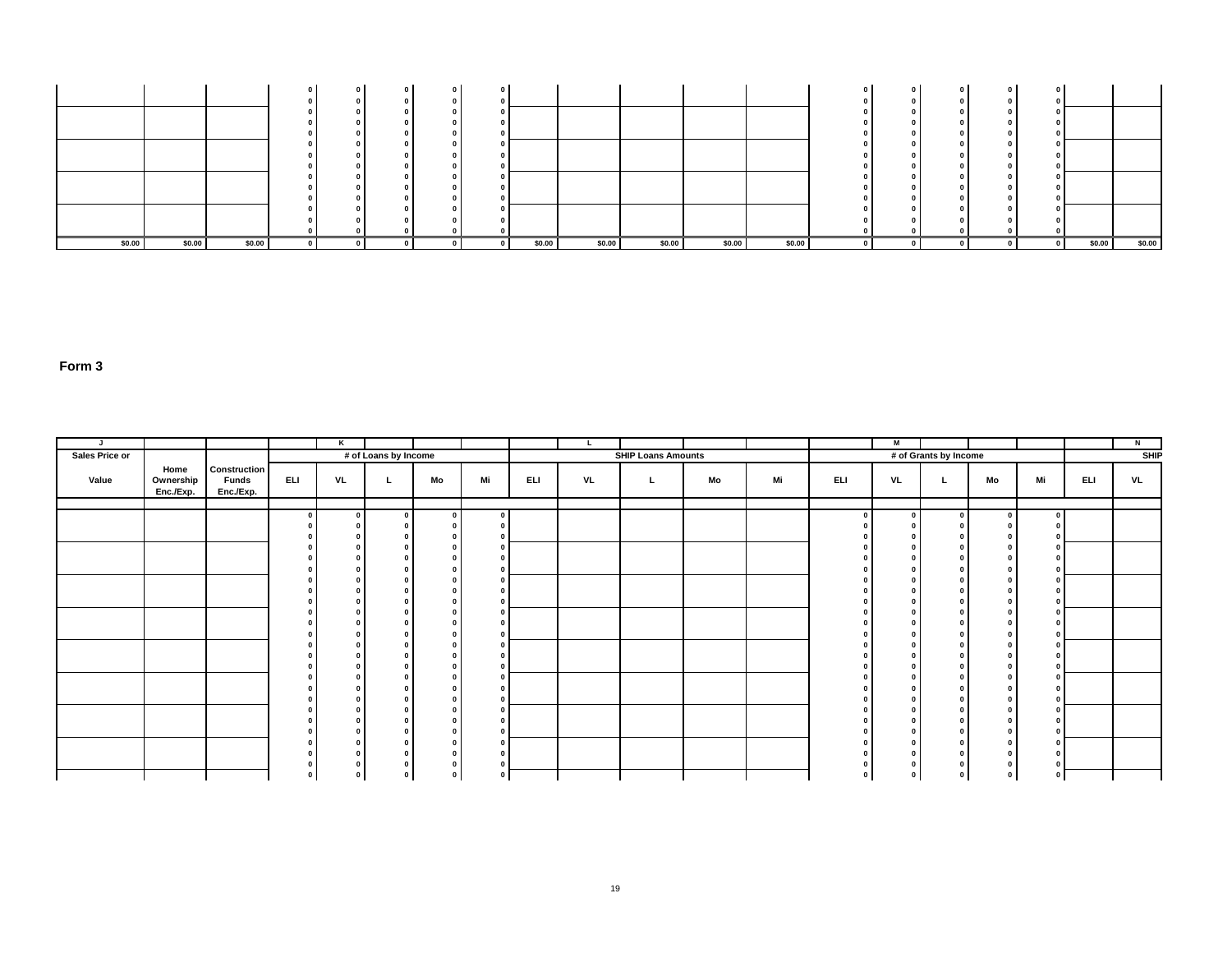|        |        |        |  |  |        |        |        |        |        |          | $\sqrt{2}$<br>$\mathbf 0$ |        |        |
|--------|--------|--------|--|--|--------|--------|--------|--------|--------|----------|---------------------------|--------|--------|
|        |        |        |  |  |        |        |        |        |        |          |                           |        |        |
|        |        |        |  |  |        |        |        |        |        |          |                           |        |        |
|        |        |        |  |  |        |        |        |        |        |          |                           |        |        |
|        |        |        |  |  |        |        |        |        |        |          |                           |        |        |
| \$0.00 | \$0.00 | \$0.00 |  |  | \$0.00 | \$0.00 | \$0.00 | \$0.00 | \$0.00 | $\Omega$ |                           | \$0.00 | \$0.00 |

| J.             |                                |                                                  |             | Κ                                      |                      |             |    |     | L  |                           |    |    |            | M        |                       |    |               |     | N           |
|----------------|--------------------------------|--------------------------------------------------|-------------|----------------------------------------|----------------------|-------------|----|-----|----|---------------------------|----|----|------------|----------|-----------------------|----|---------------|-----|-------------|
| Sales Price or |                                |                                                  |             |                                        | # of Loans by Income |             |    |     |    | <b>SHIP Loans Amounts</b> |    |    |            |          | # of Grants by Income |    |               |     | <b>SHIP</b> |
| Value          | Home<br>Ownership<br>Enc./Exp. | <b>Construction</b><br><b>Funds</b><br>Enc./Exp. | <b>ELI</b>  | VL                                     | L.                   | Mo          | Mi | ELI | VL | L.                        | Mo | Mi | <b>ELI</b> | VL       |                       | Mo | Mi            | ELI | VL          |
|                |                                |                                                  | $\Omega$    | $\mathbf{0}$                           | $\mathbf{0}$         | $\sqrt{2}$  |    |     |    |                           |    |    |            | $\Omega$ | $\Omega$              |    |               |     |             |
|                |                                |                                                  |             | $\Omega$                               |                      |             |    |     |    |                           |    |    |            |          |                       |    |               |     |             |
|                |                                |                                                  |             | $\mathbf{r}$<br>$\sqrt{2}$             |                      |             |    |     |    |                           |    |    |            |          |                       |    |               |     |             |
|                |                                |                                                  |             | $\Omega$                               |                      |             |    |     |    |                           |    |    |            |          |                       |    |               |     |             |
|                |                                |                                                  |             | $\Omega$                               |                      |             |    |     |    |                           |    |    |            |          |                       |    |               |     |             |
|                |                                |                                                  |             | $\Omega$                               |                      |             |    |     |    |                           |    |    |            |          |                       |    |               |     |             |
|                |                                |                                                  |             | $\Omega$<br>$\Omega$                   |                      |             |    |     |    |                           |    |    |            |          |                       |    |               |     |             |
|                |                                |                                                  |             | $\Omega$                               |                      |             |    |     |    |                           |    |    |            |          |                       |    |               |     |             |
|                |                                |                                                  |             | $\Omega$                               |                      |             |    |     |    |                           |    |    |            |          | $\sqrt{2}$            |    |               |     |             |
|                |                                |                                                  |             | $\Omega$<br>$\Omega$                   |                      |             |    |     |    |                           |    |    |            |          |                       |    | $\mathbf{0}$  |     |             |
|                |                                |                                                  |             | $\Omega$                               |                      |             |    |     |    |                           |    |    |            |          |                       |    |               |     |             |
|                |                                |                                                  |             | $\Omega$                               |                      |             |    |     |    |                           |    |    |            |          |                       |    |               |     |             |
|                |                                |                                                  |             | $\Omega$<br>$\Omega$                   |                      |             |    |     |    |                           |    |    |            |          |                       |    | $\mathbf{0}$  |     |             |
|                |                                |                                                  |             | $\Omega$                               |                      |             |    |     |    |                           |    |    |            |          |                       |    |               |     |             |
|                |                                |                                                  |             | $\Omega$                               |                      |             |    |     |    |                           |    |    |            |          |                       |    | $\Omega$      |     |             |
|                |                                |                                                  |             | $\Omega$<br>$\mathbf{0}$               |                      |             |    |     |    |                           |    |    |            |          |                       |    |               |     |             |
|                |                                |                                                  |             | $\Omega$                               |                      |             |    |     |    |                           |    |    |            |          | $\sqrt{2}$            |    |               |     |             |
|                |                                |                                                  |             | $\mathbf 0$                            |                      |             |    |     |    |                           |    |    |            |          |                       |    |               |     |             |
|                |                                |                                                  | $\mathbf 0$ | $\mathbf 0$<br>$\overline{\mathbf{0}}$ | 0                    | $\mathbf 0$ |    |     |    |                           |    |    |            |          | $\mathbf 0$           |    | $\Omega$<br>0 |     |             |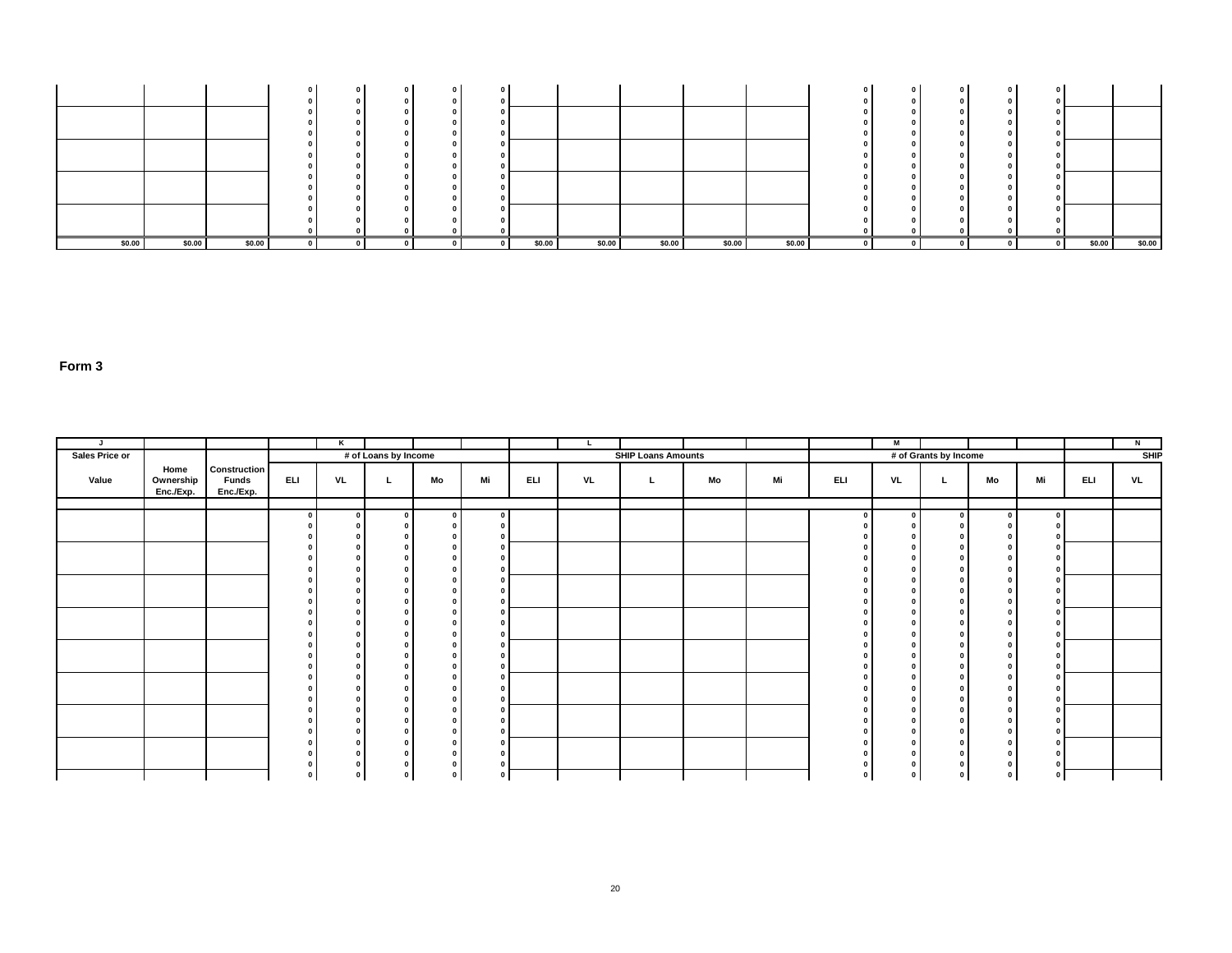|        |        |        |  |  |        |        |        |        |        |          | $\sqrt{2}$<br>$\mathbf 0$ |        |        |
|--------|--------|--------|--|--|--------|--------|--------|--------|--------|----------|---------------------------|--------|--------|
|        |        |        |  |  |        |        |        |        |        |          |                           |        |        |
|        |        |        |  |  |        |        |        |        |        |          |                           |        |        |
|        |        |        |  |  |        |        |        |        |        |          |                           |        |        |
|        |        |        |  |  |        |        |        |        |        |          |                           |        |        |
| \$0.00 | \$0.00 | \$0.00 |  |  | \$0.00 | \$0.00 | \$0.00 | \$0.00 | \$0.00 | $\Omega$ |                           | \$0.00 | \$0.00 |

| J.             |                                |                                                  |             | Κ                                      |                      |             |    |     | L  |                           |    |    |            | M            |                       |    |               |     | N           |
|----------------|--------------------------------|--------------------------------------------------|-------------|----------------------------------------|----------------------|-------------|----|-----|----|---------------------------|----|----|------------|--------------|-----------------------|----|---------------|-----|-------------|
| Sales Price or |                                |                                                  |             |                                        | # of Loans by Income |             |    |     |    | <b>SHIP Loans Amounts</b> |    |    |            |              | # of Grants by Income |    |               |     | <b>SHIP</b> |
| Value          | Home<br>Ownership<br>Enc./Exp. | <b>Construction</b><br><b>Funds</b><br>Enc./Exp. | <b>ELI</b>  | VL                                     | L.                   | Mo          | Mi | ELI | VL | L.                        | Mo | Mi | <b>ELI</b> | <b>VL</b>    |                       | Mo | Mi            | ELI | VL          |
|                |                                |                                                  | $\Omega$    | $\mathbf{0}$                           | $\mathbf{0}$         | $\sqrt{2}$  |    |     |    |                           |    |    |            | $\mathbf{a}$ | $\Omega$              |    |               |     |             |
|                |                                |                                                  |             | $\Omega$                               |                      |             |    |     |    |                           |    |    |            |              |                       |    |               |     |             |
|                |                                |                                                  |             | $\Omega$<br>$\sqrt{2}$                 |                      |             |    |     |    |                           |    |    |            |              |                       |    |               |     |             |
|                |                                |                                                  |             | $\Omega$                               |                      |             |    |     |    |                           |    |    |            |              |                       |    |               |     |             |
|                |                                |                                                  |             | $\Omega$                               |                      |             |    |     |    |                           |    |    |            |              |                       |    |               |     |             |
|                |                                |                                                  |             | $\Omega$                               |                      |             |    |     |    |                           |    |    |            |              |                       |    |               |     |             |
|                |                                |                                                  |             | $\Omega$<br>$\Omega$                   |                      |             |    |     |    |                           |    |    |            |              |                       |    |               |     |             |
|                |                                |                                                  |             | $\Omega$                               |                      |             |    |     |    |                           |    |    |            |              |                       |    |               |     |             |
|                |                                |                                                  |             | $\Omega$<br>$\Omega$                   |                      |             |    |     |    |                           |    |    |            |              | $\sqrt{2}$            |    |               |     |             |
|                |                                |                                                  |             | $\Omega$                               |                      |             |    |     |    |                           |    |    |            |              |                       |    | $\mathbf{0}$  |     |             |
|                |                                |                                                  |             | $\Omega$                               |                      |             |    |     |    |                           |    |    |            |              |                       |    |               |     |             |
|                |                                |                                                  |             | $\Omega$                               |                      |             |    |     |    |                           |    |    |            |              |                       |    |               |     |             |
|                |                                |                                                  |             | $\Omega$<br>$\Omega$                   |                      |             |    |     |    |                           |    |    |            |              |                       |    | $\mathbf{0}$  |     |             |
|                |                                |                                                  |             | $\Omega$                               |                      |             |    |     |    |                           |    |    |            |              |                       |    |               |     |             |
|                |                                |                                                  |             | $\Omega$                               |                      |             |    |     |    |                           |    |    |            |              |                       |    | $\Omega$      |     |             |
|                |                                |                                                  |             | $\Omega$<br>$\mathbf{0}$               |                      |             |    |     |    |                           |    |    |            |              |                       |    |               |     |             |
|                |                                |                                                  |             | $\Omega$                               |                      |             |    |     |    |                           |    |    |            |              | $\sqrt{2}$            |    |               |     |             |
|                |                                |                                                  |             | $\mathbf 0$                            |                      |             |    |     |    |                           |    |    |            |              |                       |    |               |     |             |
|                |                                |                                                  | $\mathbf 0$ | $\mathbf 0$<br>$\overline{\mathbf{0}}$ | 0                    | $\mathbf 0$ |    |     |    |                           |    |    |            |              | $\mathbf 0$           |    | $\Omega$<br>0 |     |             |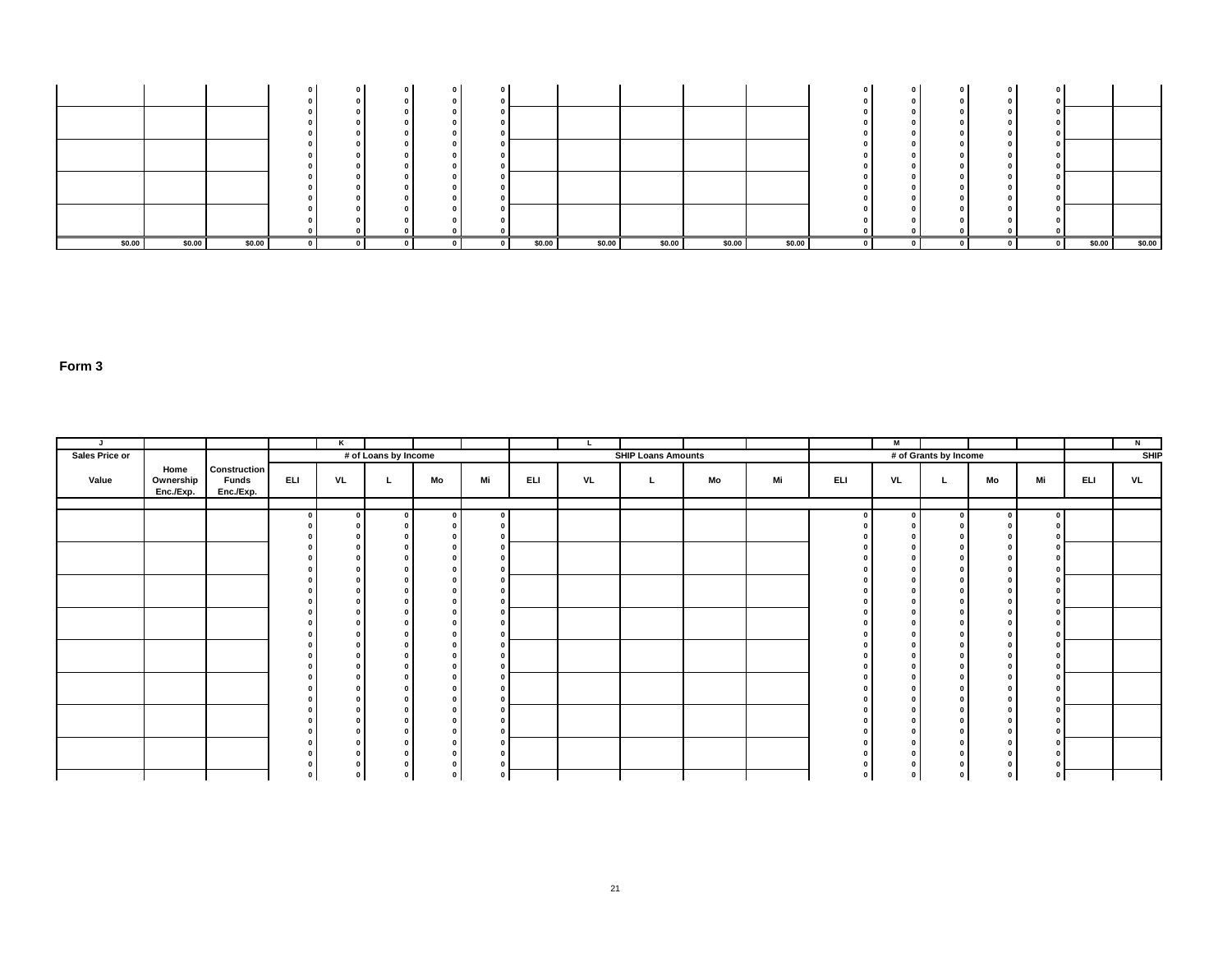|        |        |        |  |  |        |        |        |        |        |          | $\sqrt{2}$<br>$\mathbf 0$ |        |        |
|--------|--------|--------|--|--|--------|--------|--------|--------|--------|----------|---------------------------|--------|--------|
|        |        |        |  |  |        |        |        |        |        |          |                           |        |        |
|        |        |        |  |  |        |        |        |        |        |          |                           |        |        |
|        |        |        |  |  |        |        |        |        |        |          |                           |        |        |
|        |        |        |  |  |        |        |        |        |        |          |                           |        |        |
| \$0.00 | \$0.00 | \$0.00 |  |  | \$0.00 | \$0.00 | \$0.00 | \$0.00 | \$0.00 | $\Omega$ |                           | \$0.00 | \$0.00 |

| J.             |                                |                                                  |             | Κ                                      |                      |             |    |     | L  |                           |    |    |            | M            |                       |    |               |     | N           |
|----------------|--------------------------------|--------------------------------------------------|-------------|----------------------------------------|----------------------|-------------|----|-----|----|---------------------------|----|----|------------|--------------|-----------------------|----|---------------|-----|-------------|
| Sales Price or |                                |                                                  |             |                                        | # of Loans by Income |             |    |     |    | <b>SHIP Loans Amounts</b> |    |    |            |              | # of Grants by Income |    |               |     | <b>SHIP</b> |
| Value          | Home<br>Ownership<br>Enc./Exp. | <b>Construction</b><br><b>Funds</b><br>Enc./Exp. | <b>ELI</b>  | VL                                     | L.                   | Mo          | Mi | ELI | VL | L.                        | Mo | Mi | <b>ELI</b> | <b>VL</b>    |                       | Mo | Mi            | ELI | VL          |
|                |                                |                                                  | $\Omega$    | $\mathbf{0}$                           | $\mathbf{0}$         | $\sqrt{2}$  |    |     |    |                           |    |    |            | $\mathbf{a}$ | $\Omega$              |    |               |     |             |
|                |                                |                                                  |             | $\Omega$                               |                      |             |    |     |    |                           |    |    |            |              |                       |    |               |     |             |
|                |                                |                                                  |             | $\Omega$<br>$\sqrt{2}$                 |                      |             |    |     |    |                           |    |    |            |              |                       |    |               |     |             |
|                |                                |                                                  |             | $\Omega$                               |                      |             |    |     |    |                           |    |    |            |              |                       |    |               |     |             |
|                |                                |                                                  |             | $\Omega$                               |                      |             |    |     |    |                           |    |    |            |              |                       |    |               |     |             |
|                |                                |                                                  |             | $\Omega$                               |                      |             |    |     |    |                           |    |    |            |              |                       |    |               |     |             |
|                |                                |                                                  |             | $\Omega$<br>$\Omega$                   |                      |             |    |     |    |                           |    |    |            |              |                       |    |               |     |             |
|                |                                |                                                  |             | $\Omega$                               |                      |             |    |     |    |                           |    |    |            |              |                       |    |               |     |             |
|                |                                |                                                  |             | $\Omega$<br>$\Omega$                   |                      |             |    |     |    |                           |    |    |            |              | $\sqrt{2}$            |    |               |     |             |
|                |                                |                                                  |             | $\Omega$                               |                      |             |    |     |    |                           |    |    |            |              |                       |    | $\mathbf{0}$  |     |             |
|                |                                |                                                  |             | $\Omega$                               |                      |             |    |     |    |                           |    |    |            |              |                       |    |               |     |             |
|                |                                |                                                  |             | $\Omega$                               |                      |             |    |     |    |                           |    |    |            |              |                       |    |               |     |             |
|                |                                |                                                  |             | $\Omega$<br>$\Omega$                   |                      |             |    |     |    |                           |    |    |            |              |                       |    | $\mathbf{0}$  |     |             |
|                |                                |                                                  |             | $\Omega$                               |                      |             |    |     |    |                           |    |    |            |              |                       |    |               |     |             |
|                |                                |                                                  |             | $\Omega$                               |                      |             |    |     |    |                           |    |    |            |              |                       |    | $\Omega$      |     |             |
|                |                                |                                                  |             | $\Omega$<br>$\mathbf{0}$               |                      |             |    |     |    |                           |    |    |            |              |                       |    |               |     |             |
|                |                                |                                                  |             | $\Omega$                               |                      |             |    |     |    |                           |    |    |            |              | $\sqrt{2}$            |    |               |     |             |
|                |                                |                                                  |             | $\mathbf 0$                            |                      |             |    |     |    |                           |    |    |            |              |                       |    |               |     |             |
|                |                                |                                                  | $\mathbf 0$ | $\mathbf 0$<br>$\overline{\mathbf{0}}$ | 0                    | $\mathbf 0$ |    |     |    |                           |    |    |            |              | $\mathbf 0$           |    | $\Omega$<br>0 |     |             |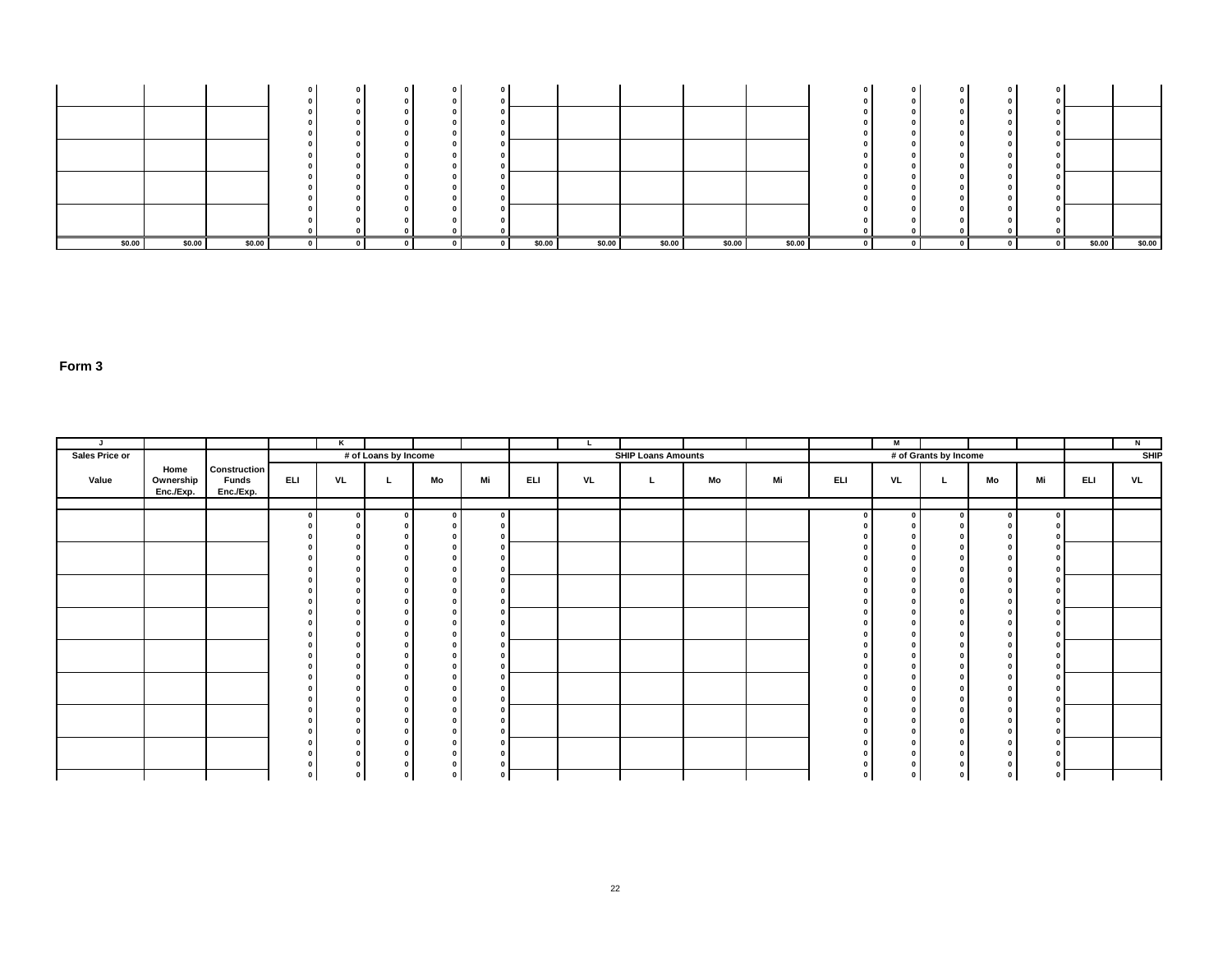|        |        |        |  |  |        |        |        |        |        |          | $\sqrt{2}$<br>$\mathbf 0$ |        |        |
|--------|--------|--------|--|--|--------|--------|--------|--------|--------|----------|---------------------------|--------|--------|
|        |        |        |  |  |        |        |        |        |        |          |                           |        |        |
|        |        |        |  |  |        |        |        |        |        |          |                           |        |        |
|        |        |        |  |  |        |        |        |        |        |          |                           |        |        |
|        |        |        |  |  |        |        |        |        |        |          |                           |        |        |
| \$0.00 | \$0.00 | \$0.00 |  |  | \$0.00 | \$0.00 | \$0.00 | \$0.00 | \$0.00 | $\Omega$ |                           | \$0.00 | \$0.00 |

| J.             |                                |                                                  |             | Κ                                      |                      |             |    |     | L  |                           |    |    |            | M            |                       |    |               |     | N           |
|----------------|--------------------------------|--------------------------------------------------|-------------|----------------------------------------|----------------------|-------------|----|-----|----|---------------------------|----|----|------------|--------------|-----------------------|----|---------------|-----|-------------|
| Sales Price or |                                |                                                  |             |                                        | # of Loans by Income |             |    |     |    | <b>SHIP Loans Amounts</b> |    |    |            |              | # of Grants by Income |    |               |     | <b>SHIP</b> |
| Value          | Home<br>Ownership<br>Enc./Exp. | <b>Construction</b><br><b>Funds</b><br>Enc./Exp. | <b>ELI</b>  | VL                                     | L.                   | Mo          | Mi | ELI | VL | L.                        | Mo | Mi | <b>ELI</b> | <b>VL</b>    |                       | Mo | Mi            | ELI | VL          |
|                |                                |                                                  | $\Omega$    | $\mathbf{0}$                           | $\mathbf{0}$         | $\sqrt{2}$  |    |     |    |                           |    |    |            | $\mathbf{a}$ | $\Omega$              |    |               |     |             |
|                |                                |                                                  |             | $\Omega$                               |                      |             |    |     |    |                           |    |    |            |              |                       |    |               |     |             |
|                |                                |                                                  |             | $\Omega$<br>$\sqrt{2}$                 |                      |             |    |     |    |                           |    |    |            |              |                       |    |               |     |             |
|                |                                |                                                  |             | $\Omega$                               |                      |             |    |     |    |                           |    |    |            |              |                       |    |               |     |             |
|                |                                |                                                  |             | $\Omega$                               |                      |             |    |     |    |                           |    |    |            |              |                       |    |               |     |             |
|                |                                |                                                  |             | $\Omega$                               |                      |             |    |     |    |                           |    |    |            |              |                       |    |               |     |             |
|                |                                |                                                  |             | $\Omega$<br>$\Omega$                   |                      |             |    |     |    |                           |    |    |            |              |                       |    |               |     |             |
|                |                                |                                                  |             | $\Omega$                               |                      |             |    |     |    |                           |    |    |            |              |                       |    |               |     |             |
|                |                                |                                                  |             | $\Omega$<br>$\Omega$                   |                      |             |    |     |    |                           |    |    |            |              | $\sqrt{2}$            |    |               |     |             |
|                |                                |                                                  |             | $\Omega$                               |                      |             |    |     |    |                           |    |    |            |              |                       |    | $\mathbf{0}$  |     |             |
|                |                                |                                                  |             | $\Omega$                               |                      |             |    |     |    |                           |    |    |            |              |                       |    |               |     |             |
|                |                                |                                                  |             | $\Omega$                               |                      |             |    |     |    |                           |    |    |            |              |                       |    |               |     |             |
|                |                                |                                                  |             | $\Omega$<br>$\Omega$                   |                      |             |    |     |    |                           |    |    |            |              |                       |    | $\mathbf{0}$  |     |             |
|                |                                |                                                  |             | $\Omega$                               |                      |             |    |     |    |                           |    |    |            |              |                       |    |               |     |             |
|                |                                |                                                  |             | $\Omega$                               |                      |             |    |     |    |                           |    |    |            |              |                       |    | $\Omega$      |     |             |
|                |                                |                                                  |             | $\Omega$<br>$\mathbf{0}$               |                      |             |    |     |    |                           |    |    |            |              |                       |    |               |     |             |
|                |                                |                                                  |             | $\Omega$                               |                      |             |    |     |    |                           |    |    |            |              | $\sqrt{2}$            |    |               |     |             |
|                |                                |                                                  |             | $\mathbf 0$                            |                      |             |    |     |    |                           |    |    |            |              |                       |    |               |     |             |
|                |                                |                                                  | $\mathbf 0$ | $\mathbf 0$<br>$\overline{\mathbf{0}}$ | 0                    | $\mathbf 0$ |    |     |    |                           |    |    |            |              | $\mathbf 0$           |    | $\Omega$<br>0 |     |             |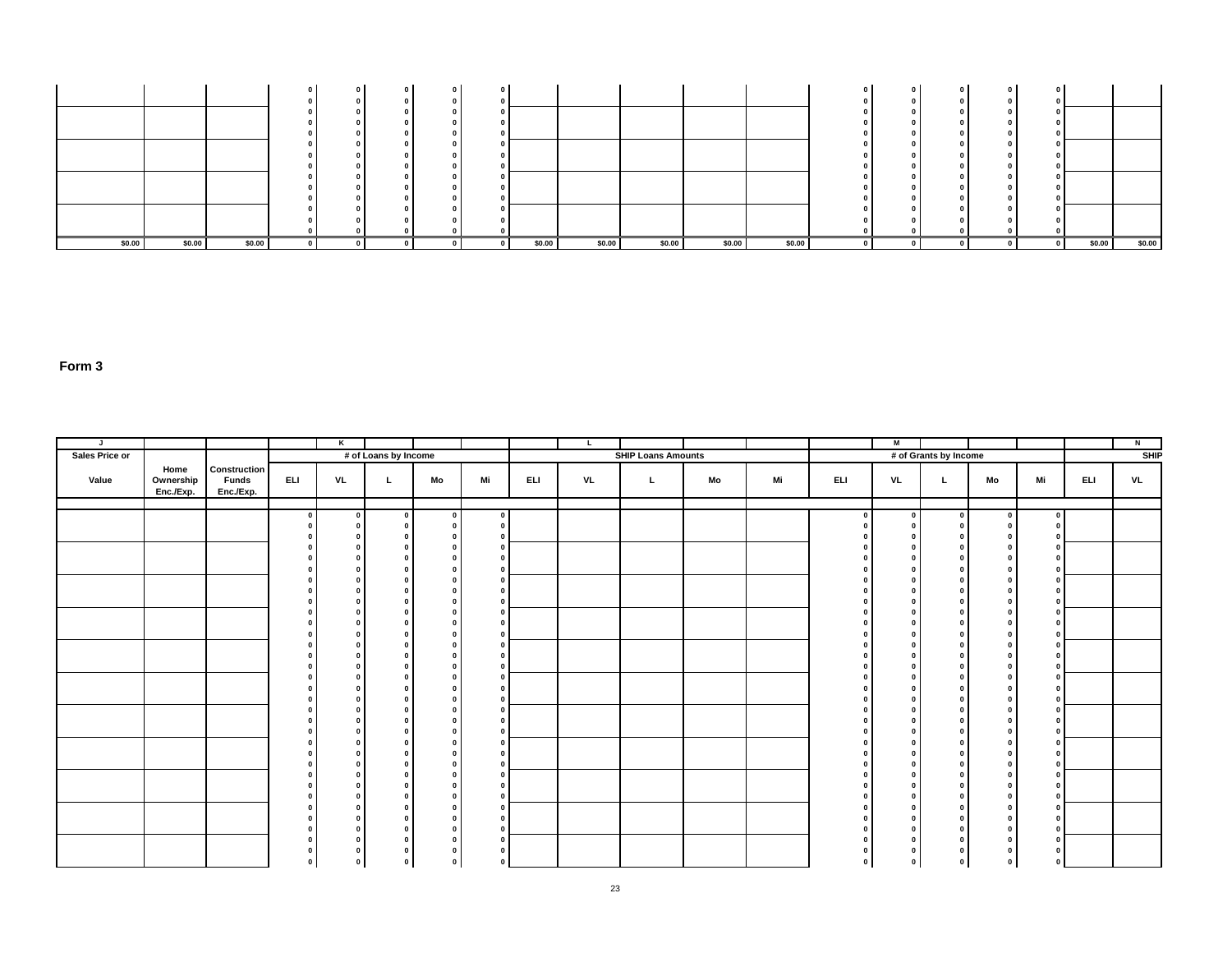|        |        |        |  |  |        |        |        |        |        |  | $\sqrt{2}$<br>$\mathbf 0$ |        |        |
|--------|--------|--------|--|--|--------|--------|--------|--------|--------|--|---------------------------|--------|--------|
|        |        |        |  |  |        |        |        |        |        |  |                           |        |        |
|        |        |        |  |  |        |        |        |        |        |  |                           |        |        |
|        |        |        |  |  |        |        |        |        |        |  |                           |        |        |
|        |        |        |  |  |        |        |        |        |        |  |                           |        |        |
|        |        |        |  |  |        |        |        |        |        |  |                           |        |        |
| \$0.00 | \$0.00 | \$0.00 |  |  | \$0.00 | \$0.00 | \$0.00 | \$0.00 | \$0.00 |  |                           | \$0.00 | \$0.00 |

| $\mathsf{J}$   |                                |                                           |                          | $\overline{\mathbf{r}}$  |                         |          |                                           |     | L. |                           |    |    |              | $\blacksquare$                       |                          |                                |                              |     | $\overline{N}$ |
|----------------|--------------------------------|-------------------------------------------|--------------------------|--------------------------|-------------------------|----------|-------------------------------------------|-----|----|---------------------------|----|----|--------------|--------------------------------------|--------------------------|--------------------------------|------------------------------|-----|----------------|
| Sales Price or |                                |                                           |                          |                          | # of Loans by Income    |          |                                           |     |    | <b>SHIP Loans Amounts</b> |    |    |              |                                      | # of Grants by Income    |                                |                              |     | SHP            |
| Value          | Home<br>Ownership<br>Enc./Exp. | Construction<br><b>Funds</b><br>Enc./Exp. | <b>ELI</b>               | VL                       | L.                      | Mo       | Mi                                        | ELI | VL | L.                        | Mo | Mi | ELI.         | VL                                   | L.                       | Mo                             | Mi                           | ELI | VL             |
|                |                                |                                           |                          |                          |                         |          |                                           |     |    |                           |    |    |              |                                      |                          |                                |                              |     |                |
|                |                                |                                           | $\overline{\phantom{a}}$ | $\overline{\phantom{a}}$ | $\overline{\mathbf{0}}$ | $\Omega$ | $\overline{0}$<br>$\overline{\mathbf{0}}$ |     |    |                           |    |    | $\Omega$     | $\overline{\phantom{a}}$<br>$\Omega$ | $\Omega$<br>$^{\circ}$   | $\overline{a}$<br>$\mathbf{0}$ | $\overline{0}$<br>$\Omega$   |     |                |
|                |                                |                                           |                          |                          |                         |          | $\Omega$                                  |     |    |                           |    |    |              | $\Omega$                             | $\Omega$                 | $\Omega$                       | $\overline{\mathbf{0}}$      |     |                |
|                |                                |                                           |                          |                          |                         |          |                                           |     |    |                           |    |    |              |                                      |                          | $\mathbf{0}$                   | $\mathbf{0}$                 |     |                |
|                |                                |                                           |                          |                          |                         |          |                                           |     |    |                           |    |    |              |                                      |                          | $\mathbf{0}$<br>$\Omega$       | $\Omega$                     |     |                |
|                |                                |                                           |                          |                          |                         |          |                                           |     |    |                           |    |    |              |                                      |                          | $\Omega$                       | <b>n</b>                     |     |                |
|                |                                |                                           |                          |                          |                         |          |                                           |     |    |                           |    |    |              |                                      |                          | $\Omega$                       | <b>n</b><br>$\mathbf{r}$     |     |                |
|                |                                |                                           |                          |                          |                         |          |                                           |     |    |                           |    |    |              |                                      | $\sqrt{2}$               | $\Omega$<br>$\Omega$           | $\overline{\mathbf{0}}$      |     |                |
|                |                                |                                           |                          |                          |                         |          |                                           |     |    |                           |    |    |              |                                      | $\Omega$                 | $\mathbf{0}$                   | $\Omega$                     |     |                |
|                |                                |                                           |                          |                          |                         |          |                                           |     |    |                           |    |    |              |                                      | $\sqrt{2}$               | $\mathbf{0}$                   | $\overline{\mathbf{0}}$      |     |                |
|                |                                |                                           |                          |                          |                         |          |                                           |     |    |                           |    |    |              | $\Omega$<br>n                        | $\sqrt{2}$               | $\Omega$<br>$\Omega$           | $\mathbf{o}$<br>$\Omega$     |     |                |
|                |                                |                                           |                          |                          |                         |          |                                           |     |    |                           |    |    |              |                                      | n                        | $\mathbf{0}$                   | $\Omega$                     |     |                |
|                |                                |                                           |                          |                          |                         |          |                                           |     |    |                           |    |    |              | $\Omega$                             | $\sqrt{2}$               | $\mathbf{0}$                   | $\overline{0}$               |     |                |
|                |                                |                                           |                          |                          |                         |          |                                           |     |    |                           |    |    |              | $\sqrt{2}$                           | $\sqrt{2}$<br>$\sqrt{2}$ | $\mathbf{0}$<br>$\Omega$       | $\Omega$<br>$\Omega$         |     |                |
|                |                                |                                           |                          |                          |                         |          |                                           |     |    |                           |    |    |              | $\Omega$                             | $\sqrt{2}$               | $\mathbf{0}$                   | $\mathbf{0}$                 |     |                |
|                |                                |                                           |                          |                          |                         |          |                                           |     |    |                           |    |    |              | $\Omega$                             | $\sqrt{2}$               | $\mathbf{0}$                   | $\Omega$                     |     |                |
|                |                                |                                           |                          |                          |                         |          |                                           |     |    |                           |    |    |              |                                      |                          | $\mathbf{0}$<br>$\mathbf{r}$   | $\Omega$<br>$\Omega$         |     |                |
|                |                                |                                           |                          |                          |                         |          |                                           |     |    |                           |    |    |              |                                      |                          | $\mathbf{0}$                   |                              |     |                |
|                |                                |                                           |                          |                          |                         |          |                                           |     |    |                           |    |    |              |                                      |                          | $\Omega$                       |                              |     |                |
|                |                                |                                           |                          |                          |                         |          |                                           |     |    |                           |    |    |              |                                      | $\Omega$                 | $\Omega$<br>$\Omega$           | $\mathbf{0}$<br>$\Omega$     |     |                |
|                |                                |                                           |                          |                          |                         |          |                                           |     |    |                           |    |    |              | n                                    | $\Omega$                 | $\mathbf{0}$                   | $\overline{\mathbf{0}}$      |     |                |
|                |                                |                                           |                          |                          |                         |          |                                           |     |    |                           |    |    |              | $\Omega$                             | $\sqrt{2}$               | $\mathbf{0}$                   | $\overline{0}$               |     |                |
|                |                                |                                           |                          |                          |                         |          |                                           |     |    |                           |    |    |              | n                                    |                          | $\Omega$                       | $\Omega$                     |     |                |
|                |                                |                                           |                          |                          |                         |          |                                           |     |    |                           |    |    |              |                                      | n                        | $\mathbf{0}$<br>$\mathbf{0}$   | $\mathbf{0}$<br>$\mathbf{0}$ |     |                |
|                |                                |                                           |                          |                          |                         |          |                                           |     |    |                           |    |    |              |                                      |                          |                                |                              |     |                |
|                |                                |                                           | $\Omega$                 |                          |                         | $\Omega$ |                                           |     |    |                           |    |    | $\mathbf{0}$ | $\Omega$                             | $\Omega$                 | $\Omega$                       | $\Omega$                     |     |                |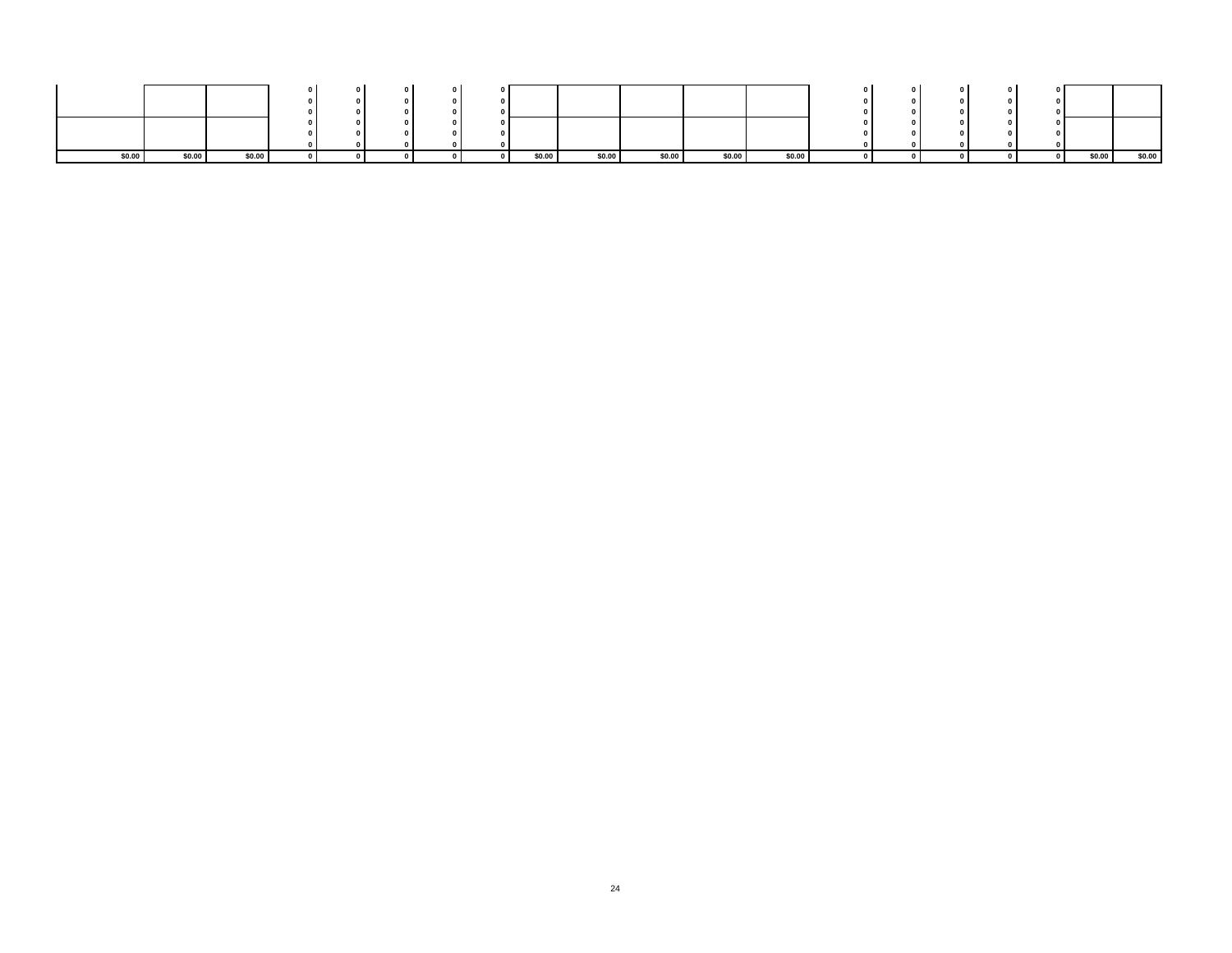| \$0.00 | \$0.00 | \$0.00 |  |  | \$0.00 | \$0.00 | \$0.00 | \$0.00 | \$0.00 |  |  | \$0.00 | \$0.00 |
|--------|--------|--------|--|--|--------|--------|--------|--------|--------|--|--|--------|--------|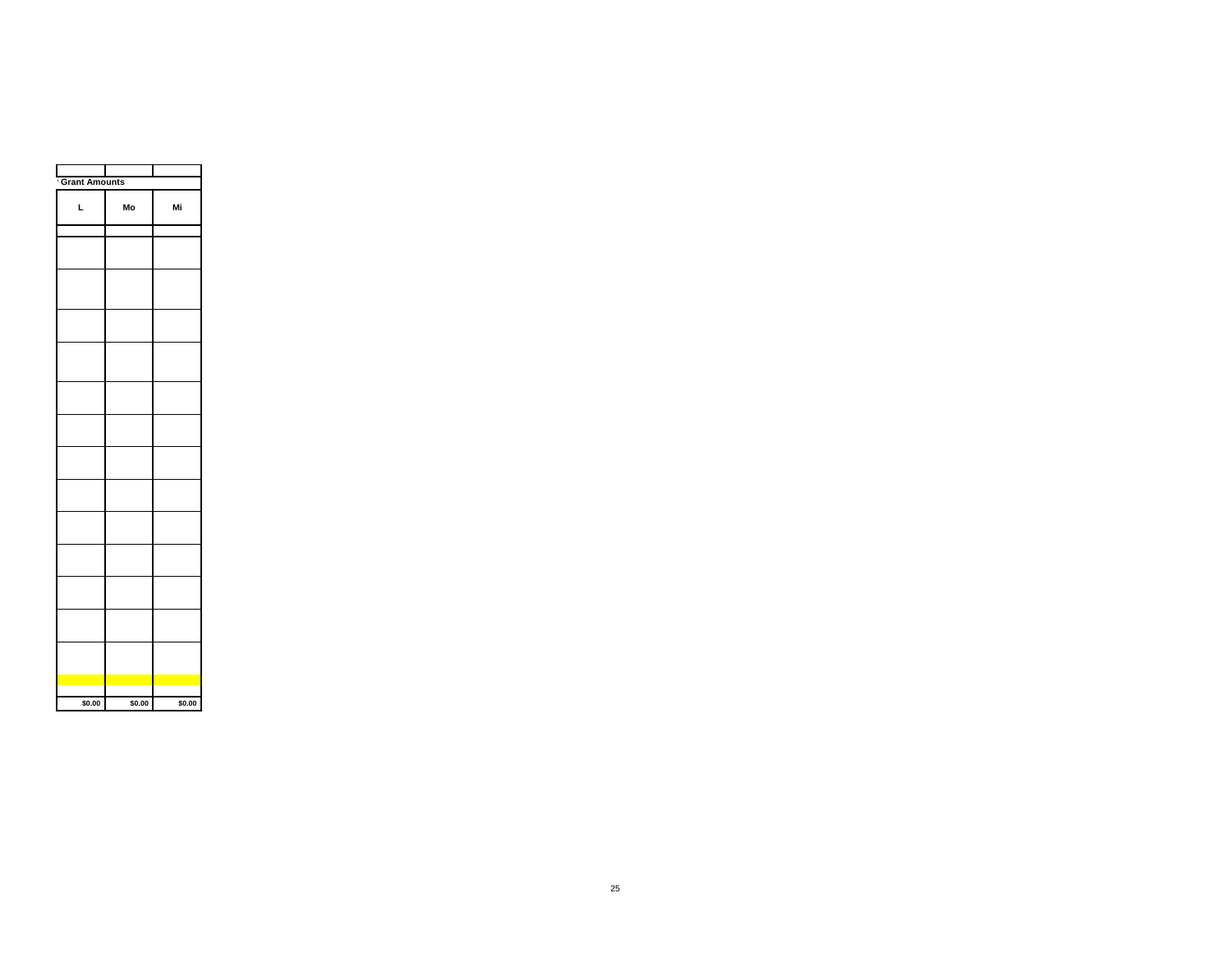| <sup>'</sup> Grant Amounts |        |        |
|----------------------------|--------|--------|
| L                          | Mo     | Mi     |
|                            |        |        |
|                            |        |        |
|                            |        |        |
|                            |        |        |
|                            |        |        |
|                            |        |        |
|                            |        |        |
|                            |        |        |
|                            |        |        |
|                            |        |        |
|                            |        |        |
|                            |        |        |
|                            |        |        |
|                            |        |        |
|                            |        |        |
|                            |        |        |
| \$0.00                     | \$0.00 | \$0.00 |
|                            |        |        |

 $\Gamma$ 

Τ

 $\blacksquare$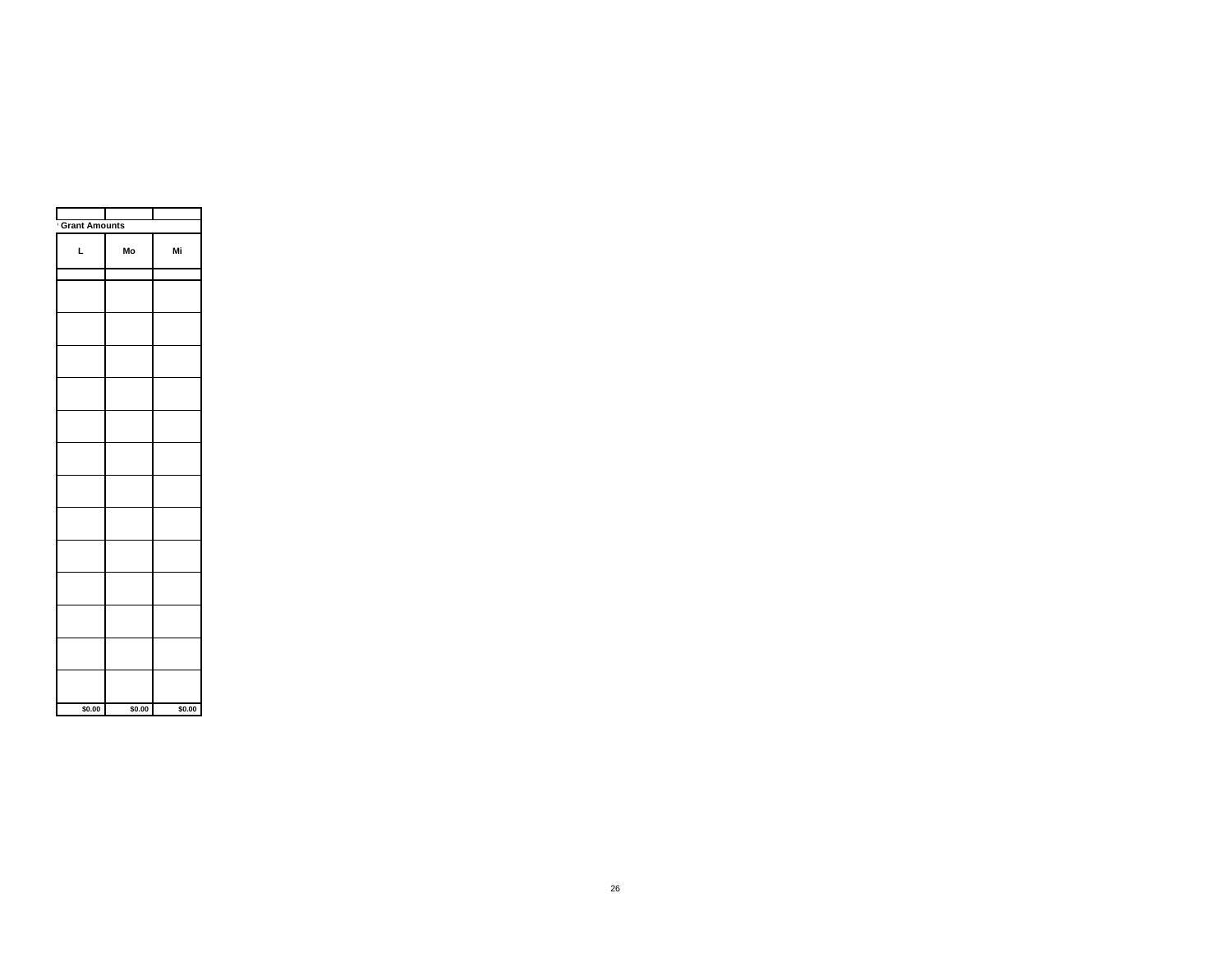| Grant Amounts |        |        |
|---------------|--------|--------|
| L             | Mo     | Mi     |
|               |        |        |
|               |        |        |
|               |        |        |
|               |        |        |
|               |        |        |
|               |        |        |
|               |        |        |
|               |        |        |
|               |        |        |
|               |        |        |
|               |        |        |
|               |        |        |
|               |        |        |
|               |        |        |
| \$0.00        | \$0.00 | \$0.00 |

┯

┱

┑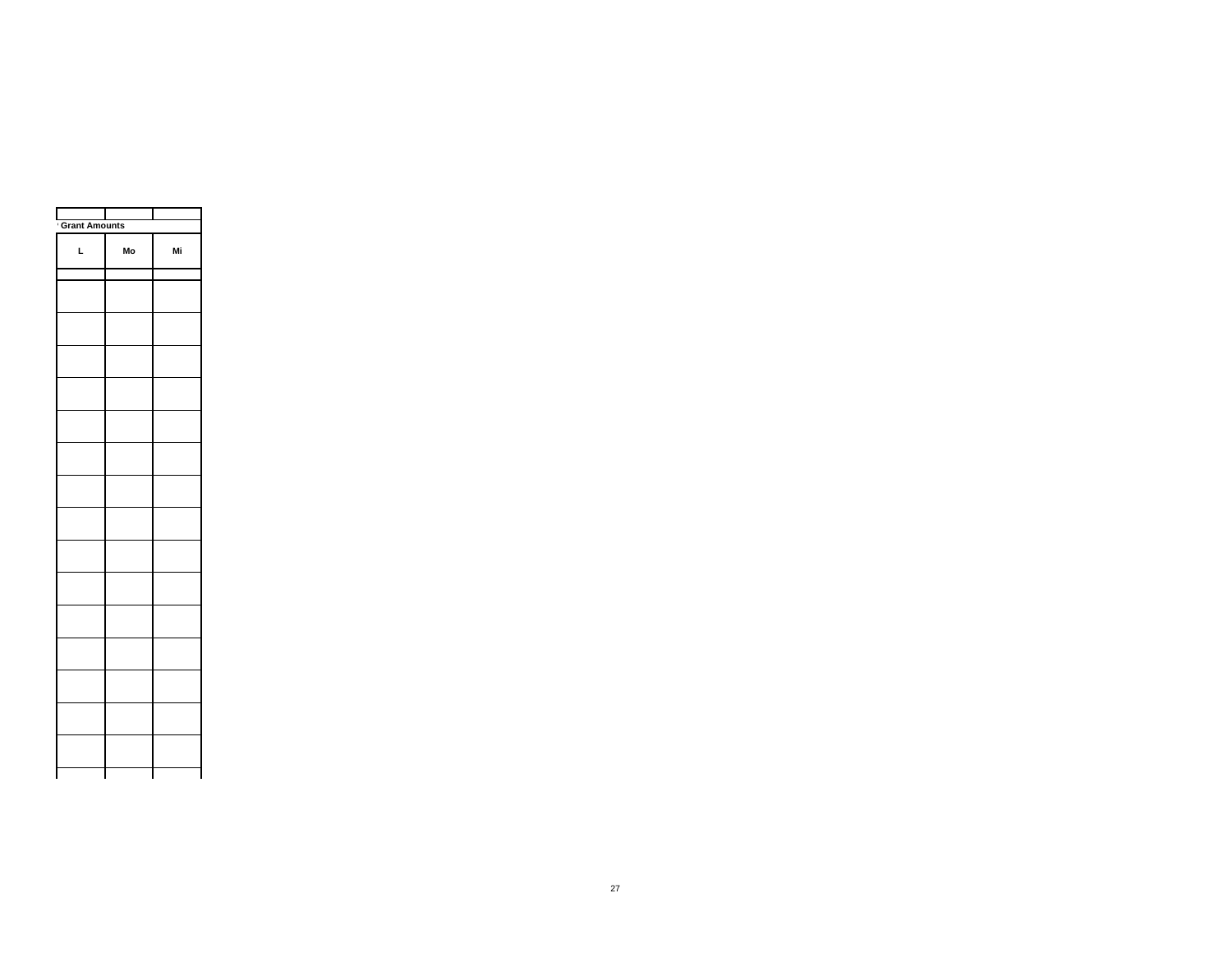| Grant Amounts |    |    |
|---------------|----|----|
| L             | Mo | Mi |
|               |    |    |
|               |    |    |
|               |    |    |
|               |    |    |
|               |    |    |
|               |    |    |
|               |    |    |
|               |    |    |
|               |    |    |
|               |    |    |
|               |    |    |
|               |    |    |
|               |    |    |
|               |    |    |
|               |    |    |
|               |    |    |
|               |    |    |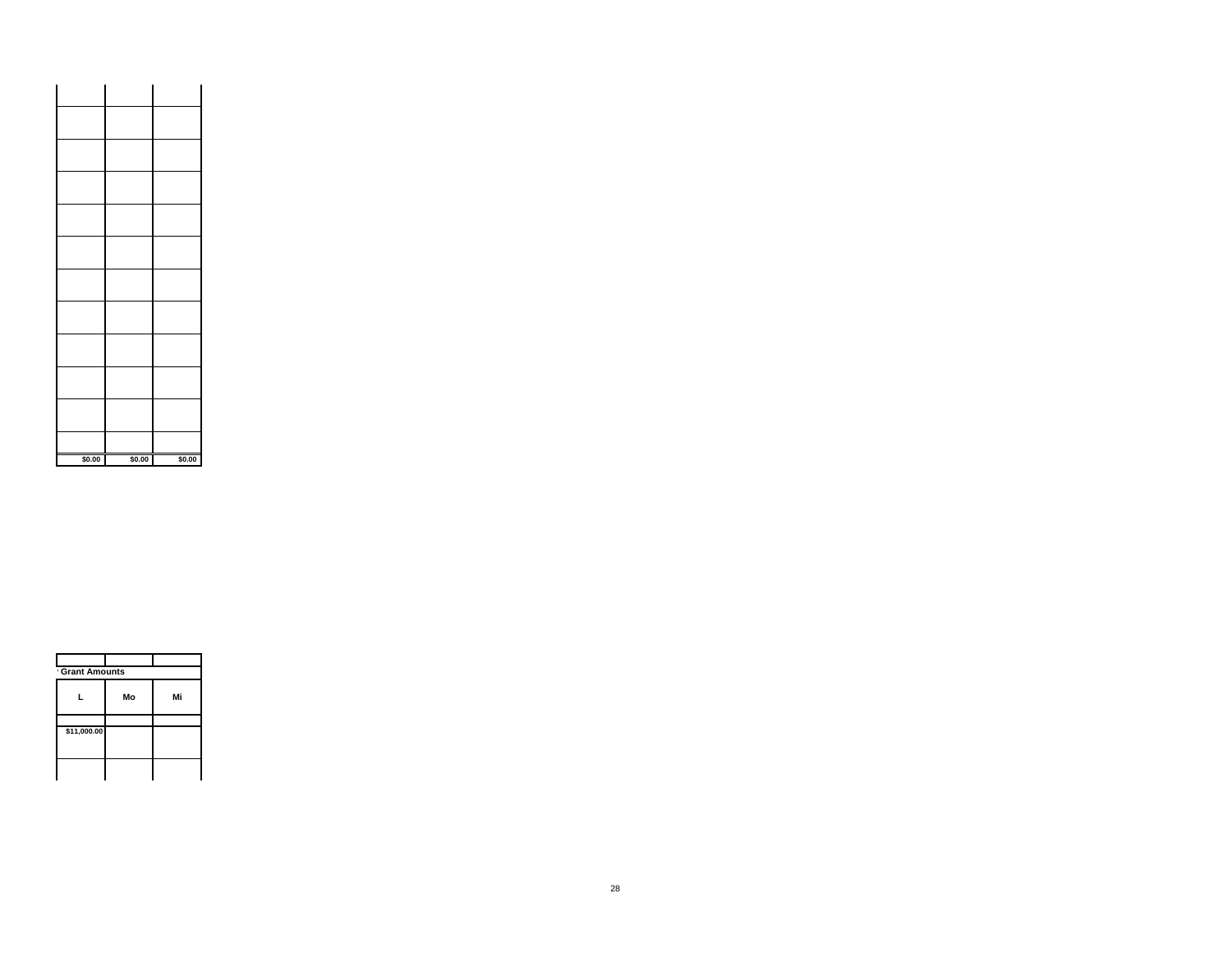| \$0.00 | \$0.00 | \$0.00 |  |
|--------|--------|--------|--|

| L | Mo          | Mi            |
|---|-------------|---------------|
|   |             |               |
|   |             |               |
|   |             |               |
|   |             |               |
|   | \$11,000.00 | Grant Amounts |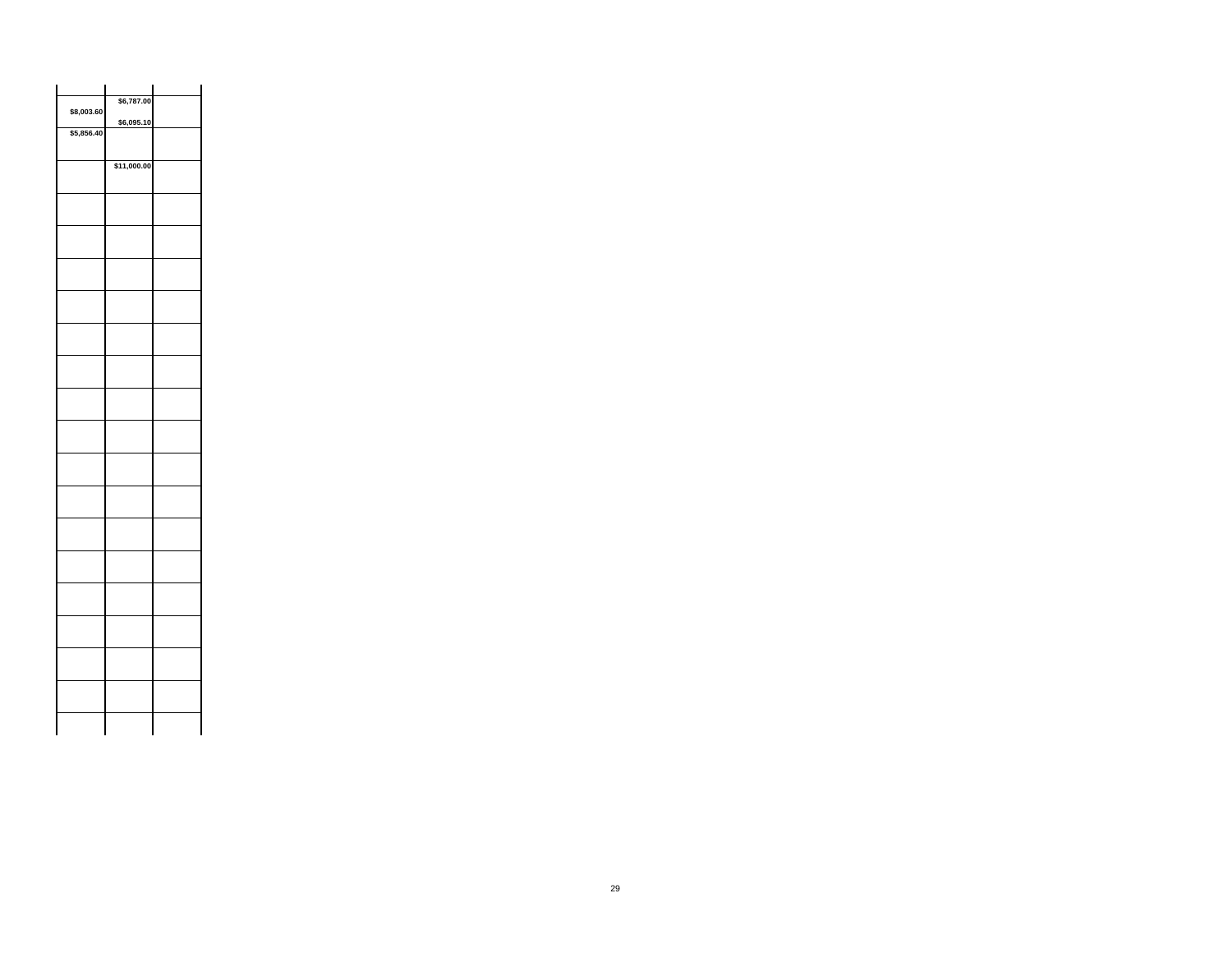| \$8,003.60 | \$6,787.00  |  |
|------------|-------------|--|
|            | \$6,095.10  |  |
| \$5,856.40 |             |  |
|            | \$11,000.00 |  |
|            |             |  |
|            |             |  |
|            |             |  |
|            |             |  |
|            |             |  |
|            |             |  |
|            |             |  |
|            |             |  |
|            |             |  |
|            |             |  |
|            |             |  |
|            |             |  |
|            |             |  |
|            |             |  |
|            |             |  |
|            |             |  |
|            |             |  |
|            |             |  |
|            |             |  |
|            |             |  |
|            |             |  |
|            |             |  |
|            |             |  |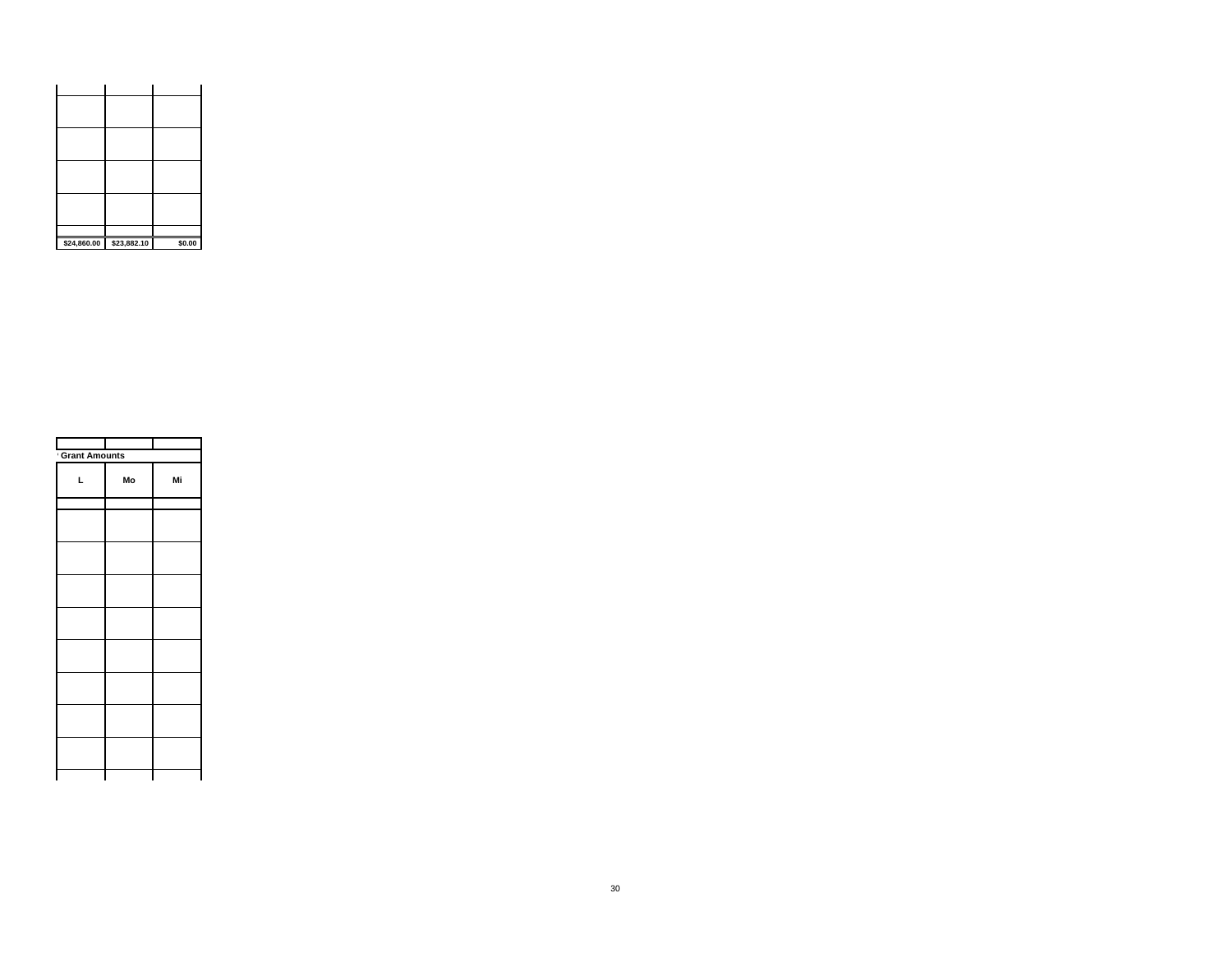| \$24,860.00 \$23,882.10 | \$0.00 |
|-------------------------|--------|

| <b>Grant Amounts</b> |    |    |
|----------------------|----|----|
| L                    | Mo | Mi |
|                      |    |    |
|                      |    |    |
|                      |    |    |
|                      |    |    |
|                      |    |    |
|                      |    |    |
|                      |    |    |
|                      |    |    |
|                      |    |    |
|                      |    |    |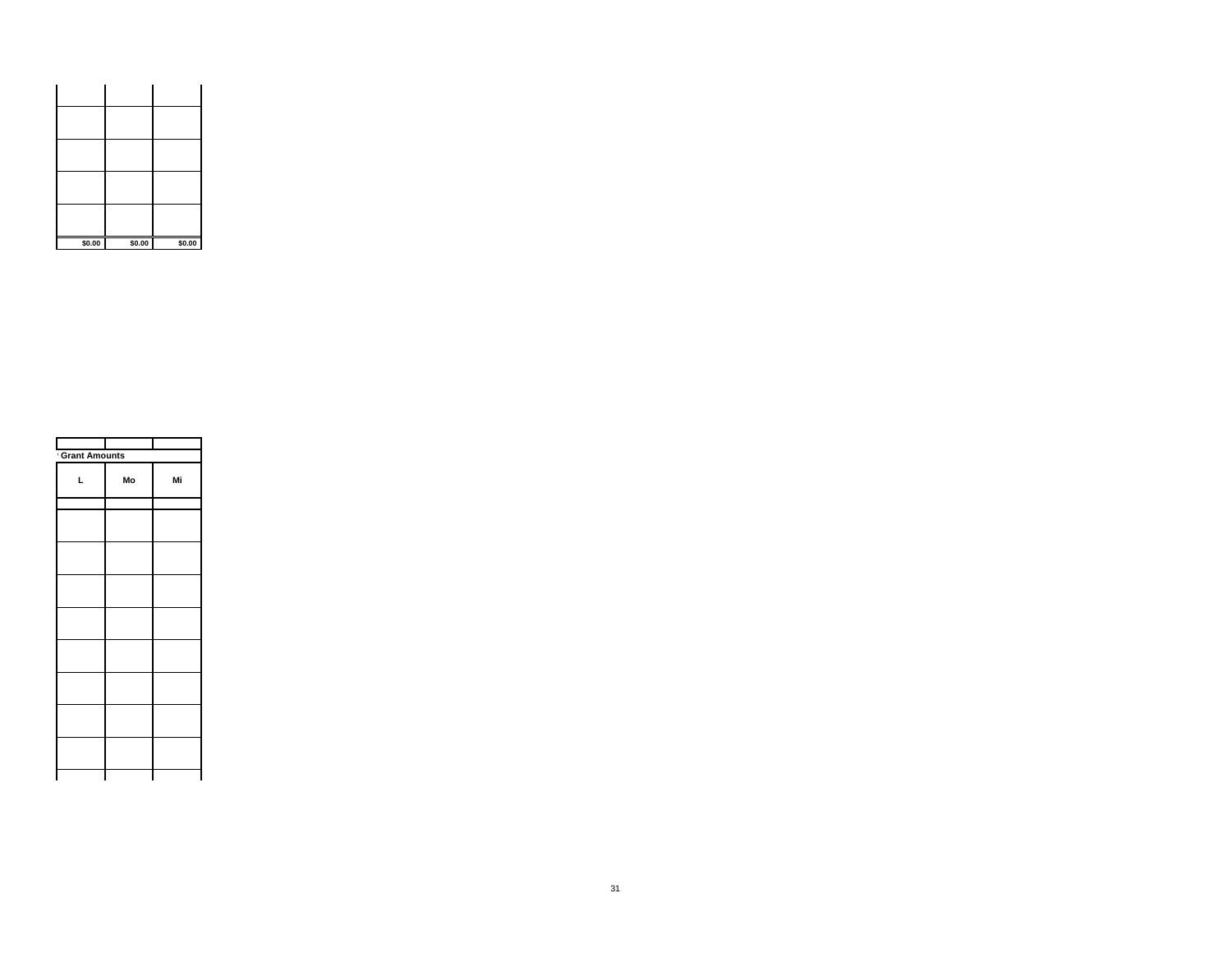| \$0.00 | \$0.00 | \$0.00 |
|--------|--------|--------|

| <b>Grant Amounts</b> |    |    |
|----------------------|----|----|
| L                    | Mo | Mi |
|                      |    |    |
|                      |    |    |
|                      |    |    |
|                      |    |    |
|                      |    |    |
|                      |    |    |
|                      |    |    |
|                      |    |    |
|                      |    |    |
|                      |    |    |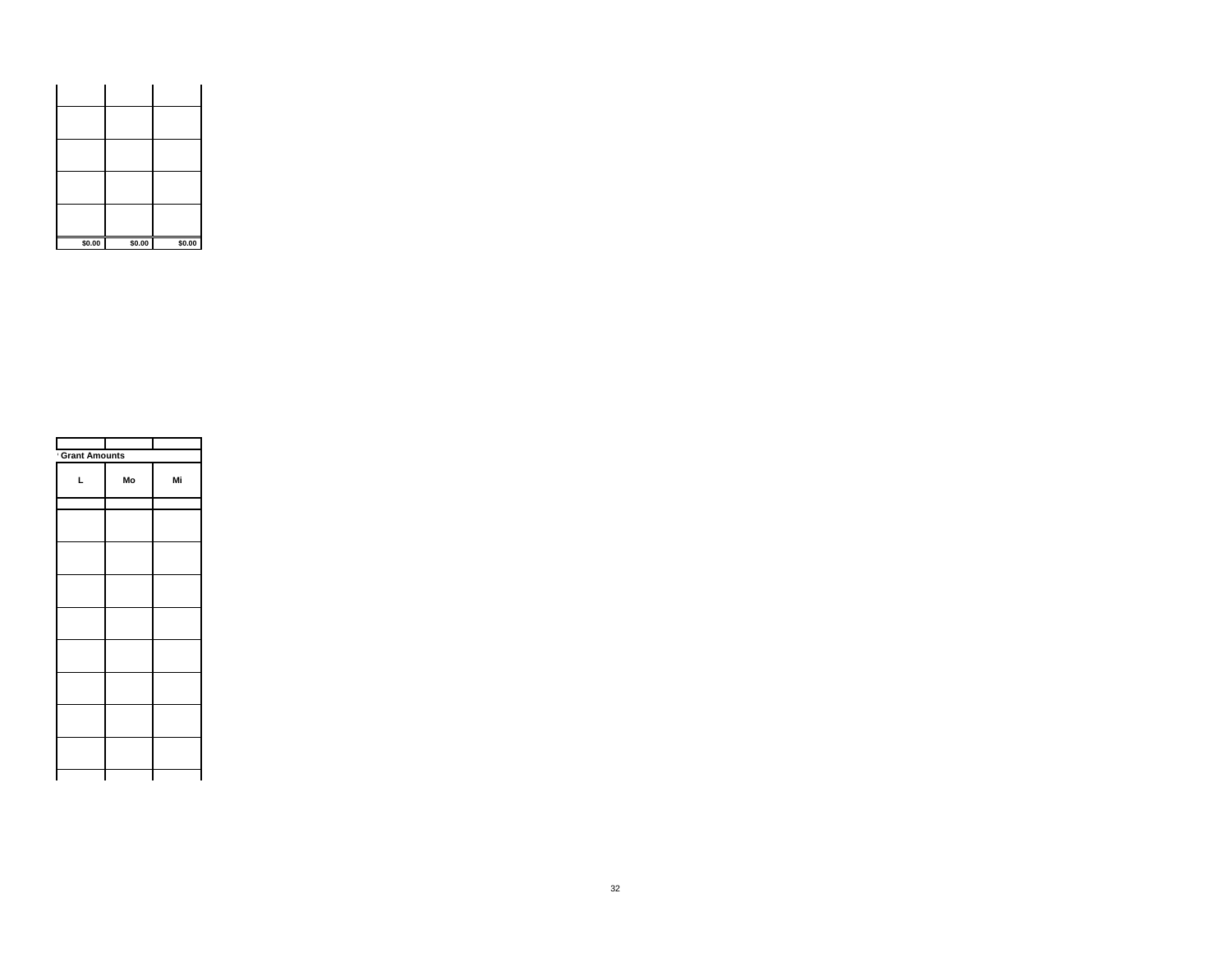| \$0.00 | \$0.00 | \$0.00 |
|--------|--------|--------|

| <b>Grant Amounts</b> |    |    |
|----------------------|----|----|
| L                    | Mo | Mi |
|                      |    |    |
|                      |    |    |
|                      |    |    |
|                      |    |    |
|                      |    |    |
|                      |    |    |
|                      |    |    |
|                      |    |    |
|                      |    |    |
|                      |    |    |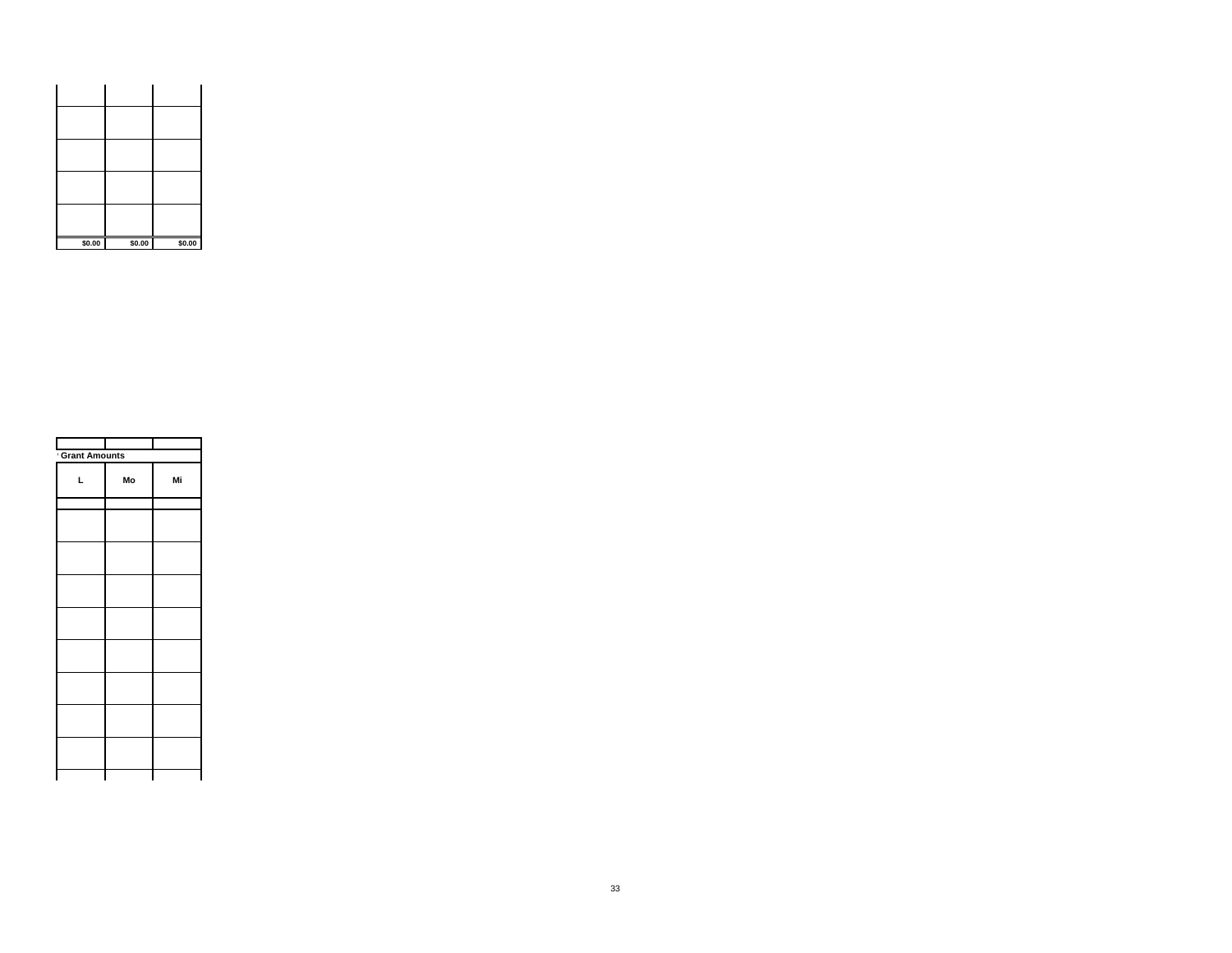| \$0.00 | \$0.00 | \$0.00 |
|--------|--------|--------|

| <b>Grant Amounts</b> |    |    |
|----------------------|----|----|
| L                    | Mo | Mi |
|                      |    |    |
|                      |    |    |
|                      |    |    |
|                      |    |    |
|                      |    |    |
|                      |    |    |
|                      |    |    |
|                      |    |    |
|                      |    |    |
|                      |    |    |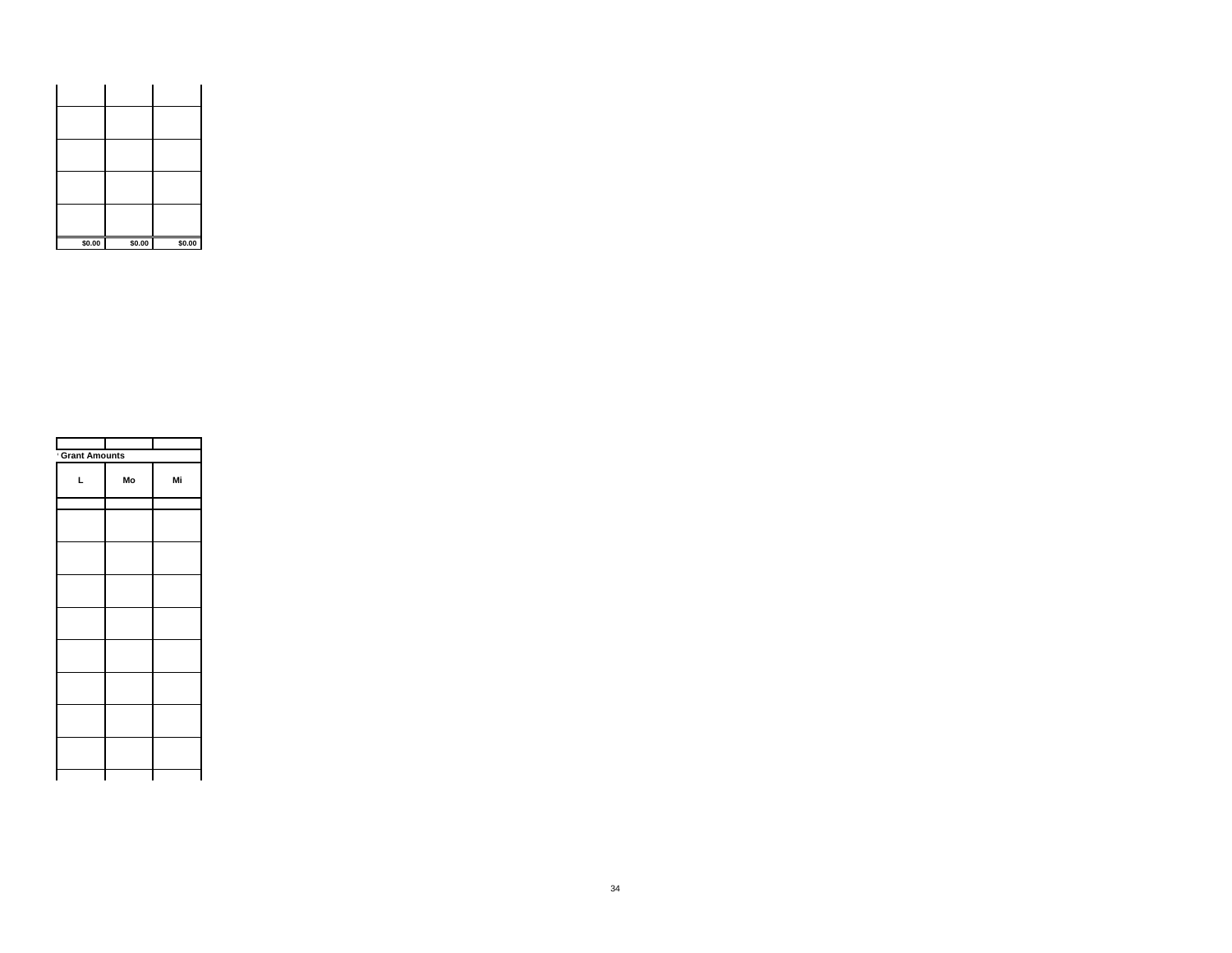| \$0.00 | \$0.00 | \$0.00 |
|--------|--------|--------|

| <b>Grant Amounts</b> |    |    |
|----------------------|----|----|
| L                    | Mo | Mi |
|                      |    |    |
|                      |    |    |
|                      |    |    |
|                      |    |    |
|                      |    |    |
|                      |    |    |
|                      |    |    |
|                      |    |    |
|                      |    |    |
|                      |    |    |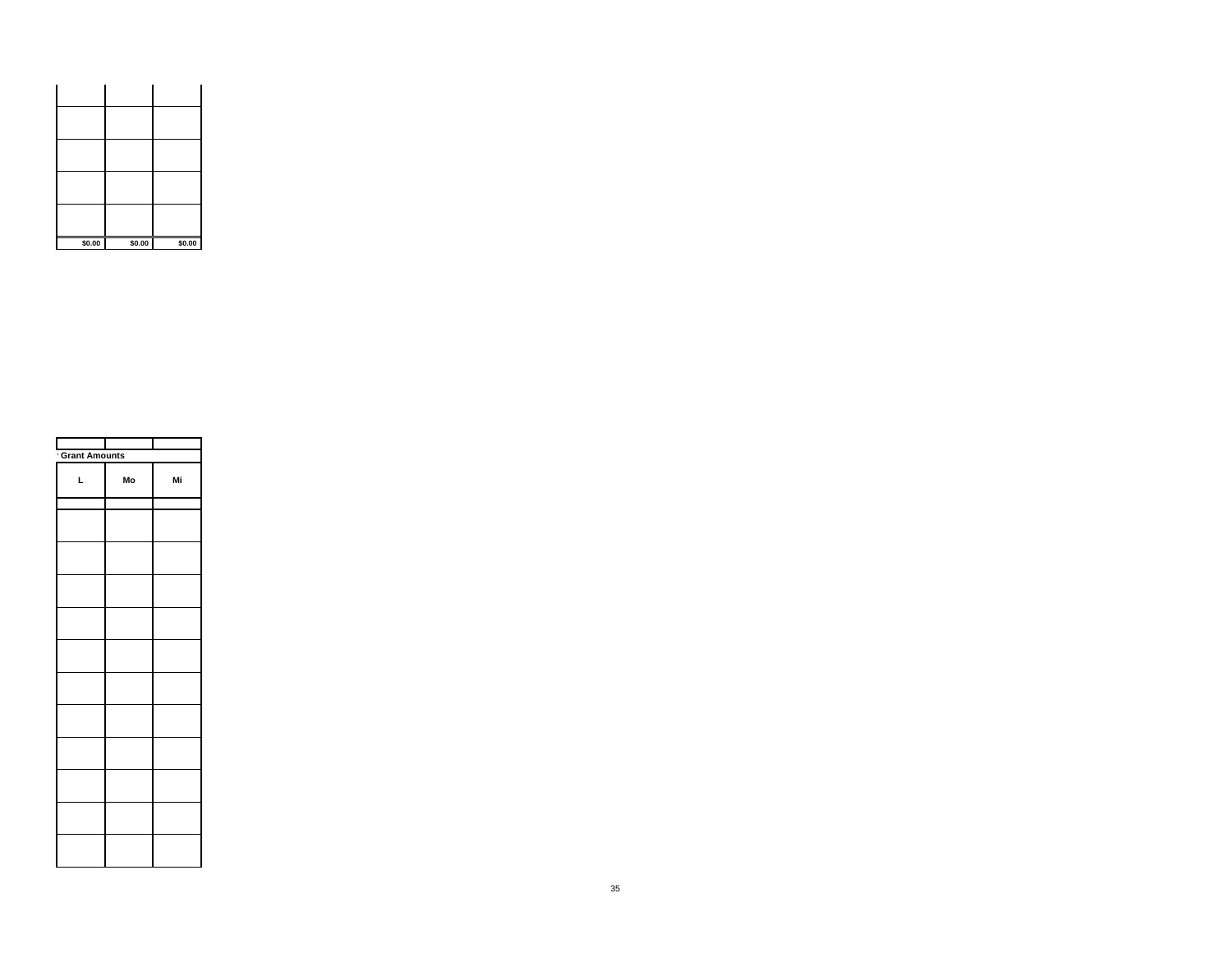| \$0.00 | \$0.00 | \$0.00 |
|--------|--------|--------|

| Ĺ | Mo | Mi                   |
|---|----|----------------------|
|   |    |                      |
|   |    |                      |
|   |    |                      |
|   |    |                      |
|   |    |                      |
|   |    |                      |
|   |    |                      |
|   |    |                      |
|   |    |                      |
|   |    |                      |
|   |    |                      |
|   |    |                      |
|   |    | <b>Grant Amounts</b> |